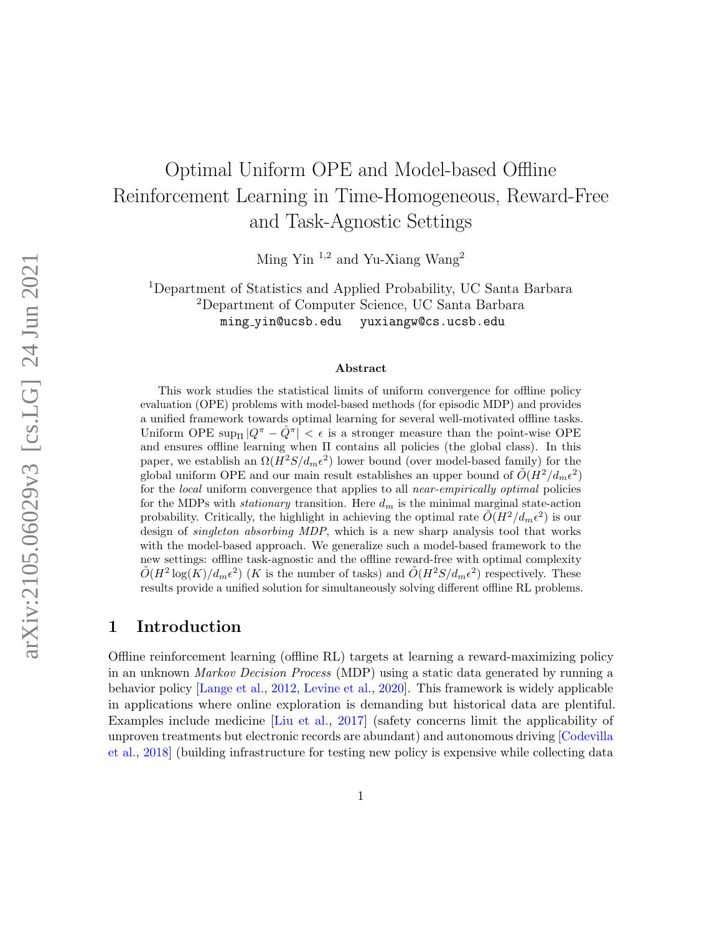# Optimal Uniform OPE and Model-based Offline Reinforcement Learning in Time-Homogeneous, Reward-Free and Task-Agnostic Settings

Ming Yin <sup>1,2</sup> and Yu-Xiang Wang<sup>2</sup>

<sup>1</sup>Department of Statistics and Applied Probability, UC Santa Barbara <sup>2</sup>Department of Computer Science, UC Santa Barbara ming yin@ucsb.edu yuxiangw@cs.ucsb.edu

#### Abstract

This work studies the statistical limits of uniform convergence for offline policy evaluation (OPE) problems with model-based methods (for episodic MDP) and provides a unified framework towards optimal learning for several well-motivated offline tasks. Uniform OPE  $\sup_{\Pi} |Q^{\pi} - \hat{Q}^{\pi}| < \epsilon$  is a stronger measure than the point-wise OPE and ensures offline learning when Π contains all policies (the global class). In this paper, we establish an  $\Omega(H^2S/d_m\epsilon^2)$  lower bound (over model-based family) for the global uniform OPE and our main result establishes an upper bound of  $\tilde{O}(H^2/d_m\epsilon^2)$ for the *local* uniform convergence that applies to all *near-empirically optimal* policies for the MDPs with *stationary* transition. Here  $d_m$  is the minimal marginal state-action probability. Critically, the highlight in achieving the optimal rate  $\tilde{O}(H^2/d_m\epsilon^2)$  is our design of singleton absorbing MDP, which is a new sharp analysis tool that works with the model-based approach. We generalize such a model-based framework to the new settings: offline task-agnostic and the offline reward-free with optimal complexity  $\tilde{O}(H^2 \log(K)/d_m \epsilon^2)$  (K is the number of tasks) and  $\tilde{O}(H^2S/d_m \epsilon^2)$  respectively. These results provide a unified solution for simultaneously solving different offline RL problems.

### <span id="page-0-0"></span>1 Introduction

Offline reinforcement learning (offline RL) targets at learning a reward-maximizing policy in an unknown Markov Decision Process (MDP) using a static data generated by running a behavior policy [\[Lange et al.,](#page-18-0) [2012,](#page-18-0) [Levine et al.,](#page-18-1) [2020\]](#page-18-1). This framework is widely applicable in applications where online exploration is demanding but historical data are plentiful. Examples include medicine [\[Liu et al.,](#page-19-0) [2017\]](#page-19-0) (safety concerns limit the applicability of unproven treatments but electronic records are abundant) and autonomous driving [\[Codevilla](#page-16-0) [et al.,](#page-16-0) [2018\]](#page-16-0) (building infrastructure for testing new policy is expensive while collecting data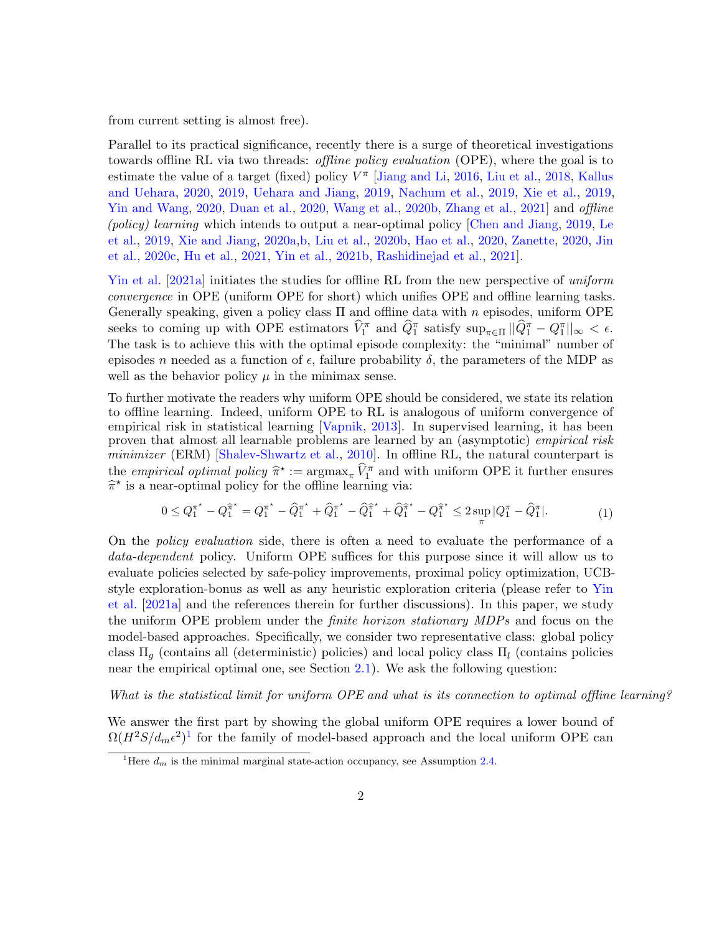from current setting is almost free).

Parallel to its practical significance, recently there is a surge of theoretical investigations towards offline RL via two threads: offline policy evaluation (OPE), where the goal is to estimate the value of a target (fixed) policy  $V^{\pi}$  [\[Jiang and Li,](#page-17-0) [2016,](#page-17-0) [Liu et al.,](#page-18-2) [2018,](#page-18-2) [Kallus](#page-18-3) [and Uehara,](#page-18-3) [2020,](#page-18-3) [2019,](#page-18-4) [Uehara and Jiang,](#page-19-1) [2019,](#page-19-1) [Nachum et al.,](#page-19-2) [2019,](#page-19-2) [Xie et al.,](#page-20-0) [2019,](#page-20-0) [Yin and Wang,](#page-20-1) [2020,](#page-17-1) [Duan et al.,](#page-17-1) 2020, [Wang et al.,](#page-20-2) [2020b,](#page-20-2) [Zhang et al.,](#page-20-3) [2021\]](#page-20-3) and *offline* (policy) learning which intends to output a near-optimal policy [\[Chen and Jiang,](#page-16-1) [2019,](#page-16-1) [Le](#page-18-5) [et al.,](#page-18-5) [2019,](#page-18-5) [Xie and Jiang,](#page-20-4) [2020a](#page-20-4)[,b,](#page-20-5) [Liu et al.,](#page-18-6) [2020b,](#page-18-6) [Hao et al.,](#page-17-2) [2020,](#page-17-2) [Zanette,](#page-20-6) [2020,](#page-20-6) [Jin](#page-18-7) [et al.,](#page-18-7) [2020c,](#page-18-7) [Hu et al.,](#page-17-3) [2021,](#page-17-3) [Yin et al.,](#page-20-7) [2021b,](#page-20-7) [Rashidinejad et al.,](#page-19-3) [2021\]](#page-19-3).

[Yin et al.](#page-20-8) [\[2021a\]](#page-20-8) initiates the studies for offline RL from the new perspective of uniform convergence in OPE (uniform OPE for short) which unifies OPE and offline learning tasks. Generally speaking, given a policy class  $\Pi$  and offline data with n episodes, uniform OPE seeks to coming up with OPE estimators  $\widehat{V}_1^{\pi}$  and  $\widehat{Q}_1^{\pi}$  satisfy  $\sup_{\pi \in \Pi} ||\widehat{Q}_1^{\pi} - Q_1^{\pi}||_{\infty} < \epsilon$ . The task is to achieve this with the optimal episode complexity: the "minimal" number of episodes n needed as a function of  $\epsilon$ , failure probability  $\delta$ , the parameters of the MDP as well as the behavior policy  $\mu$  in the minimax sense.

To further motivate the readers why uniform OPE should be considered, we state its relation to offline learning. Indeed, uniform OPE to RL is analogous of uniform convergence of empirical risk in statistical learning [\[Vapnik,](#page-19-4) [2013\]](#page-19-4). In supervised learning, it has been proven that almost all learnable problems are learned by an (asymptotic) empirical risk minimizer (ERM) [\[Shalev-Shwartz et al.,](#page-19-5) [2010\]](#page-19-5). In offline RL, the natural counterpart is the *empirical optimal policy*  $\hat{\pi}^* := \argmax_{\pi} \hat{V}_1^{\pi}$  and with uniform OPE it further ensures  $\hat{\pi}^*$  is a near-optimal policy for the offline learning via:  $\hat{\pi}^{\star}$  is a near-optimal policy for the offline learning via:

<span id="page-1-1"></span>
$$
0 \leq Q_1^{\pi^*} - Q_1^{\hat{\pi}^*} = Q_1^{\pi^*} - \hat{Q}_1^{\pi^*} + \hat{Q}_1^{\pi^*} - \hat{Q}_1^{\hat{\pi}^*} + \hat{Q}_1^{\hat{\pi}^*} - Q_1^{\hat{\pi}^*} \leq 2 \sup_{\pi} |Q_1^{\pi} - \hat{Q}_1^{\pi}|. \tag{1}
$$

On the policy evaluation side, there is often a need to evaluate the performance of a data-dependent policy. Uniform OPE suffices for this purpose since it will allow us to evaluate policies selected by safe-policy improvements, proximal policy optimization, UCBstyle exploration-bonus as well as any heuristic exploration criteria (please refer to [Yin](#page-20-8) [et al.](#page-20-8) [\[2021a\]](#page-20-8) and the references therein for further discussions). In this paper, we study the uniform OPE problem under the finite horizon stationary MDPs and focus on the model-based approaches. Specifically, we consider two representative class: global policy class  $\Pi_g$  (contains all (deterministic) policies) and local policy class  $\Pi_l$  (contains policies near the empirical optimal one, see Section [2.1\)](#page-5-0). We ask the following question:

What is the statistical limit for uniform OPE and what is its connection to optimal offline learning?

We answer the first part by showing the global uniform OPE requires a lower bound of  $\Omega(H^2S/d_m\epsilon^2)^1$  $\Omega(H^2S/d_m\epsilon^2)^1$  for the family of model-based approach and the local uniform OPE can

<span id="page-1-0"></span><sup>&</sup>lt;sup>1</sup>Here  $d_m$  is the minimal marginal state-action occupancy, see Assumption [2.4.](#page-6-0)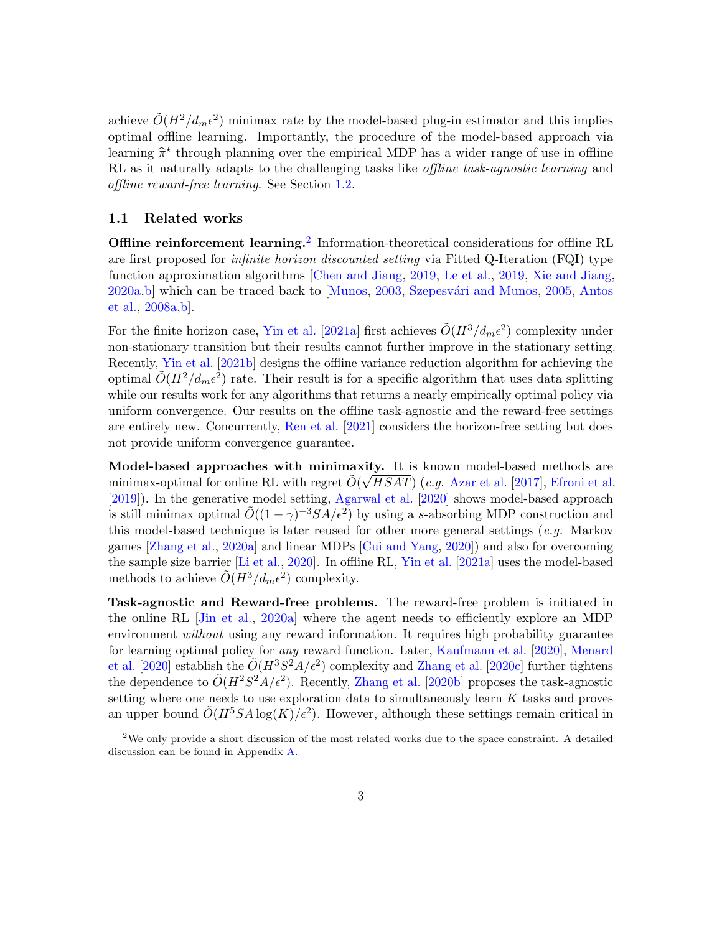achieve  $\tilde{O}(H^2/d_m\epsilon^2)$  minimax rate by the model-based plug-in estimator and this implies optimal offline learning. Importantly, the procedure of the model-based approach via learning  $\hat{\pi}^*$  through planning over the empirical MDP has a wider range of use in offline<br>PL as it paturally adapts to the shallonging tasks like offline task agreetic learning and RL as it naturally adapts to the challenging tasks like *offline task-agnostic learning* and offline reward-free learning. See Section [1.2.](#page-3-0)

#### <span id="page-2-1"></span>1.1 Related works

Offline reinforcement learning.<sup>[2](#page-2-0)</sup> Information-theoretical considerations for offline RL are first proposed for infinite horizon discounted setting via Fitted Q-Iteration (FQI) type function approximation algorithms [\[Chen and Jiang,](#page-16-1) [2019,](#page-16-1) [Le et al.,](#page-18-5) [2019,](#page-18-5) [Xie and Jiang,](#page-20-4) [2020a](#page-20-4)[,b\]](#page-20-5) which can be traced back to [\[Munos,](#page-19-6) [2003,](#page-19-6) Szepesvári and Munos, [2005,](#page-19-7) [Antos](#page-16-2) [et al.,](#page-16-2) [2008a,](#page-16-2)[b\]](#page-16-3).

For the finite horizon case, [Yin et al.](#page-20-8) [\[2021a\]](#page-20-8) first achieves  $\tilde{O}(H^3/d_m\epsilon^2)$  complexity under non-stationary transition but their results cannot further improve in the stationary setting. Recently, [Yin et al.](#page-20-7) [\[2021b\]](#page-20-7) designs the offline variance reduction algorithm for achieving the optimal  $\tilde{O}(H^2/d_m\epsilon^2)$  rate. Their result is for a specific algorithm that uses data splitting while our results work for any algorithms that returns a nearly empirically optimal policy via uniform convergence. Our results on the offline task-agnostic and the reward-free settings are entirely new. Concurrently, [Ren et al.](#page-19-8) [\[2021\]](#page-19-8) considers the horizon-free setting but does not provide uniform convergence guarantee.

Model-based approaches with minimaxity. It is known model-based methods are minimax-optimal for online RL with regret  $\tilde{O}(\sqrt{HSAT})$  (e.g. [Azar et al.](#page-16-4) [\[2017\]](#page-16-4), [Efroni et al.](#page-17-4) [\[2019\]](#page-17-4)). In the generative model setting, [Agarwal et al.](#page-16-5) [\[2020\]](#page-16-5) shows model-based approach is still minimax optimal  $\tilde{O}((1-\gamma)^{-3}SA/\epsilon^2)$  by using a s-absorbing MDP construction and this model-based technique is later reused for other more general settings  $(e.g.$  Markov games [\[Zhang et al.,](#page-20-9) [2020a\]](#page-20-9) and linear MDPs [\[Cui and Yang,](#page-16-6) [2020\]](#page-16-6)) and also for overcoming the sample size barrier [\[Li et al.,](#page-18-8) [2020\]](#page-18-8). In offline RL, [Yin et al.](#page-20-8) [\[2021a\]](#page-20-8) uses the model-based methods to achieve  $\tilde{O}(H^3/d_m\epsilon^2)$  complexity.

Task-agnostic and Reward-free problems. The reward-free problem is initiated in the online RL [\[Jin et al.,](#page-17-5) [2020a\]](#page-17-5) where the agent needs to efficiently explore an MDP environment *without* using any reward information. It requires high probability guarantee for learning optimal policy for any reward function. Later, [Kaufmann et al.](#page-18-9) [\[2020\]](#page-18-9), [Menard](#page-19-9) [et al.](#page-19-9) [\[2020\]](#page-19-9) establish the  $\tilde{O}(H^3S^2A/\epsilon^2)$  complexity and [Zhang et al.](#page-21-0) [\[2020c\]](#page-21-0) further tightens the dependence to  $\tilde{O}(H^2S^2A/\epsilon^2)$ . Recently, [Zhang et al.](#page-21-1) [\[2020b\]](#page-21-1) proposes the task-agnostic setting where one needs to use exploration data to simultaneously learn  $K$  tasks and proves an upper bound  $\tilde{O}(H^5SA \log(K)/\epsilon^2)$ . However, although these settings remain critical in

<span id="page-2-0"></span><sup>&</sup>lt;sup>2</sup>We only provide a short discussion of the most related works due to the space constraint. A detailed discussion can be found in Appendix [A.](#page-23-0)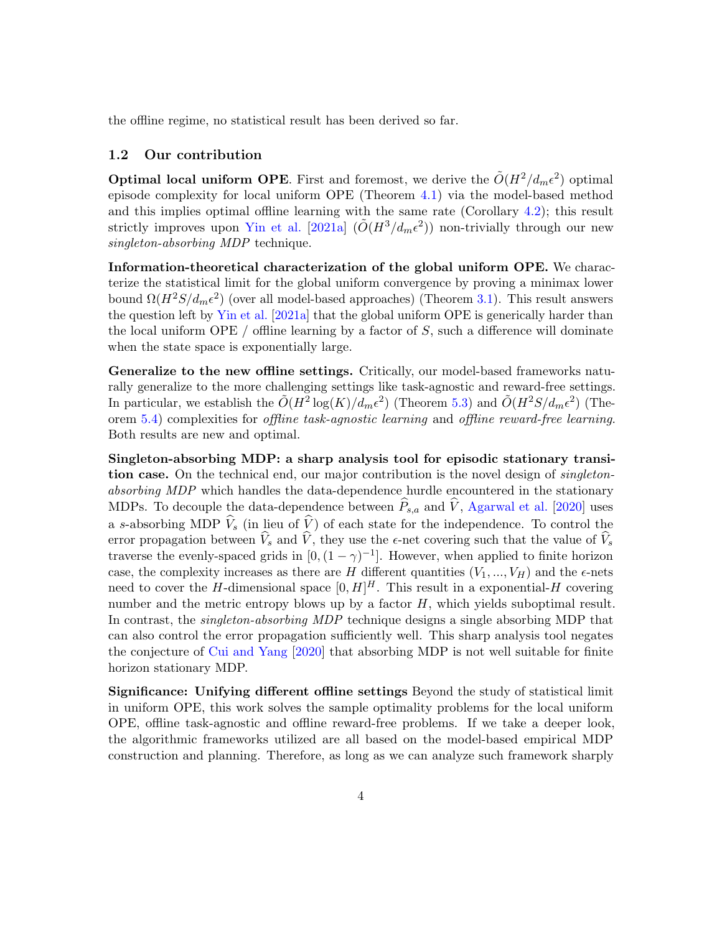the offline regime, no statistical result has been derived so far.

#### <span id="page-3-0"></span>1.2 Our contribution

**Optimal local uniform OPE**. First and foremost, we derive the  $\tilde{O}(H^2/d_m\epsilon^2)$  optimal episode complexity for local uniform OPE (Theorem [4.1\)](#page-9-0) via the model-based method and this implies optimal offline learning with the same rate (Corollary [4.2\)](#page-9-1); this result strictly improves upon [Yin et al.](#page-20-8) [\[2021a\]](#page-20-8)  $(\tilde{O}(H^3/d_m\epsilon^2))$  non-trivially through our new singleton-absorbing MDP technique.

Information-theoretical characterization of the global uniform OPE. We characterize the statistical limit for the global uniform convergence by proving a minimax lower bound  $\Omega(H^2S/d_m\epsilon^2)$  (over all model-based approaches) (Theorem [3.1\)](#page-6-1). This result answers the question left by [Yin et al.](#page-20-8) [\[2021a\]](#page-20-8) that the global uniform OPE is generically harder than the local uniform OPE / offline learning by a factor of  $S$ , such a difference will dominate when the state space is exponentially large.

Generalize to the new offline settings. Critically, our model-based frameworks naturally generalize to the more challenging settings like task-agnostic and reward-free settings. In particular, we establish the  $\tilde{O}(H^2 \log(K)/d_m \epsilon^2)$  (Theorem [5.3\)](#page-13-0) and  $\tilde{O}(H^2 S/d_m \epsilon^2)$  (Theorem [5.4\)](#page-13-1) complexities for offline task-agnostic learning and offline reward-free learning. Both results are new and optimal.

Singleton-absorbing MDP: a sharp analysis tool for episodic stationary transition case. On the technical end, our major contribution is the novel design of *singleton*absorbing MDP which handles the data-dependence hurdle encountered in the stationary MDPs. To decouple the data-dependence between  $\widehat{P}_{s,a}$  and  $\widehat{V}$ , [Agarwal et al.](#page-16-5) [\[2020\]](#page-16-5) uses a s-absorbing MDP  $V_s$  (in lieu of V) of each state for the independence. To control the error propagation between  $V_s$  and  $V$ , they use the  $\epsilon$ -net covering such that the value of  $V_s$ traverse the evenly-spaced grids in  $[0, (1 - \gamma)^{-1}]$ . However, when applied to finite horizon case, the complexity increases as there are H different quantities  $(V_1, ..., V_H)$  and the  $\epsilon$ -nets need to cover the H-dimensional space  $[0, H]^H$ . This result in a exponential-H covering number and the metric entropy blows up by a factor  $H$ , which yields suboptimal result. In contrast, the *singleton-absorbing MDP* technique designs a single absorbing MDP that can also control the error propagation sufficiently well. This sharp analysis tool negates the conjecture of [Cui and Yang](#page-16-6) [\[2020\]](#page-16-6) that absorbing MDP is not well suitable for finite horizon stationary MDP.

Significance: Unifying different offline settings Beyond the study of statistical limit in uniform OPE, this work solves the sample optimality problems for the local uniform OPE, offline task-agnostic and offline reward-free problems. If we take a deeper look, the algorithmic frameworks utilized are all based on the model-based empirical MDP construction and planning. Therefore, as long as we can analyze such framework sharply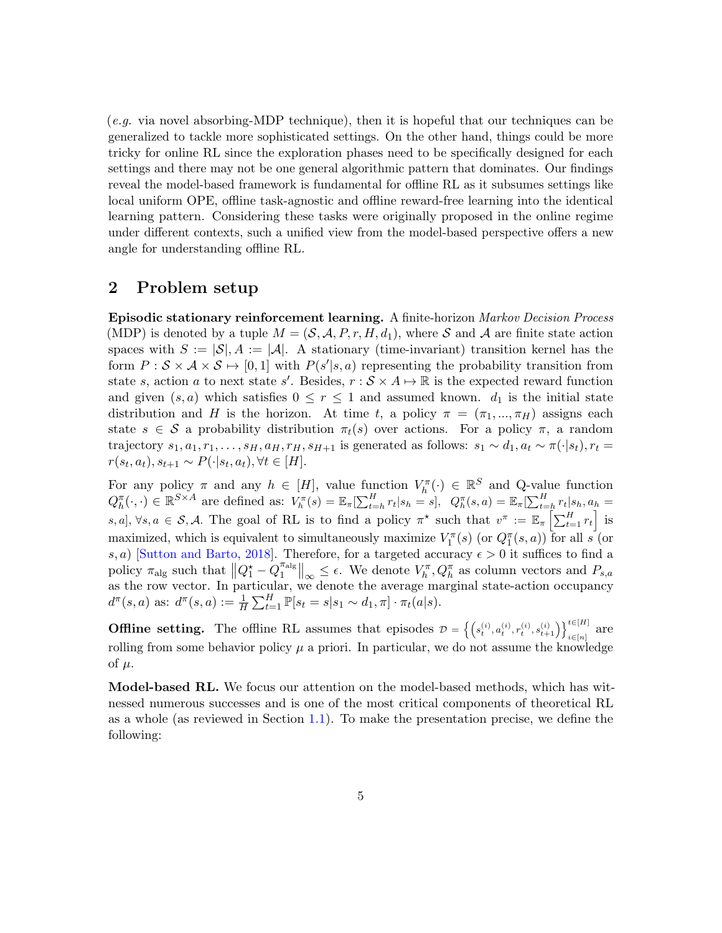(e.g. via novel absorbing-MDP technique), then it is hopeful that our techniques can be generalized to tackle more sophisticated settings. On the other hand, things could be more tricky for online RL since the exploration phases need to be specifically designed for each settings and there may not be one general algorithmic pattern that dominates. Our findings reveal the model-based framework is fundamental for offline RL as it subsumes settings like local uniform OPE, offline task-agnostic and offline reward-free learning into the identical learning pattern. Considering these tasks were originally proposed in the online regime under different contexts, such a unified view from the model-based perspective offers a new angle for understanding offline RL.

## <span id="page-4-1"></span>2 Problem setup

Episodic stationary reinforcement learning. A finite-horizon Markov Decision Process (MDP) is denoted by a tuple  $M = (\mathcal{S}, \mathcal{A}, P, r, H, d_1)$ , where S and A are finite state action spaces with  $S := |\mathcal{S}|$ ,  $A := |\mathcal{A}|$ . A stationary (time-invariant) transition kernel has the form  $P : \mathcal{S} \times \mathcal{A} \times \mathcal{S} \mapsto [0, 1]$  with  $P(s'|s, a)$  representing the probability transition from state s, action a to next state s'. Besides,  $r : \mathcal{S} \times A \mapsto \mathbb{R}$  is the expected reward function and given  $(s, a)$  which satisfies  $0 \leq r \leq 1$  and assumed known.  $d_1$  is the initial state distribution and H is the horizon. At time t, a policy  $\pi = (\pi_1, ..., \pi_H)$  assigns each state  $s \in \mathcal{S}$  a probability distribution  $\pi_t(s)$  over actions. For a policy  $\pi$ , a random trajectory  $s_1, a_1, r_1, \ldots, s_H, a_H, r_H, s_{H+1}$  is generated as follows:  $s_1 \sim d_1, a_t \sim \pi(\cdot | s_t), r_t =$  $r(s_t, a_t), s_{t+1} \sim P(\cdot | s_t, a_t), \forall t \in [H].$ 

For any policy  $\pi$  and any  $h \in [H]$ , value function  $V_h^{\pi}(\cdot) \in \mathbb{R}^S$  and Q-value function  $Q_h^{\pi}(\cdot, \cdot) \in \mathbb{R}^{S \times A}$  are defined as:  $V_h^{\pi}(s) = \mathbb{E}_{\pi}[\sum_{t=h}^H r_t | s_h = s], Q_h^{\pi}(s, a) = \mathbb{E}_{\pi}[\sum_{t=h}^H r_t | s_h, a_h = s_h]$ s, a],  $\forall s, a \in S$ , A. The goal of RL is to find a policy  $\pi^*$  such that  $v^{\pi} := \mathbb{E}_{\pi} \left[ \sum_{t=1}^H r_t \right]$  is maximized, which is equivalent to simultaneously maximize  $V_1^{\pi}(s)$  (or  $Q_1^{\pi}(s, a)$ ) for all s (or s, a) [\[Sutton and Barto,](#page-19-10) [2018\]](#page-19-10). Therefore, for a targeted accuracy  $\epsilon > 0$  it suffices to find a policy  $\pi_{\text{alg}}$  such that  $||Q_1^{\star} - Q_1^{\pi_{\text{alg}}}$  $\mathbb{T}_1^{\text{alg}}\|_{\infty} \leq \epsilon$ . We denote  $V_h^{\pi}, Q_h^{\pi}$  as column vectors and  $P_{s,a}$ as the row vector. In particular, we denote the average marginal state-action occupancy  $d^{\pi}(s, a)$  as:  $d^{\pi}(s, a) := \frac{1}{H} \sum_{t=1}^{H} \mathbb{P}[s_t = s | s_1 \sim d_1, \pi] \cdot \pi_t(a|s)$ .

**Offline setting.** The offline RL assumes that episodes  $\mathcal{D} = \left\{ \left( s_t^{(i)}, a_t^{(i)}, r_t^{(i)}, s_{t+1}^{(i)} \right) \right\}_{i \in [n]}^{t \in [H]}$  are rolling from some behavior policy  $\mu$  a priori. In particular, we do not assume the knowledge of  $\mu$ .

<span id="page-4-0"></span>Model-based RL. We focus our attention on the model-based methods, which has witnessed numerous successes and is one of the most critical components of theoretical RL as a whole (as reviewed in Section [1.1\)](#page-2-1). To make the presentation precise, we define the following: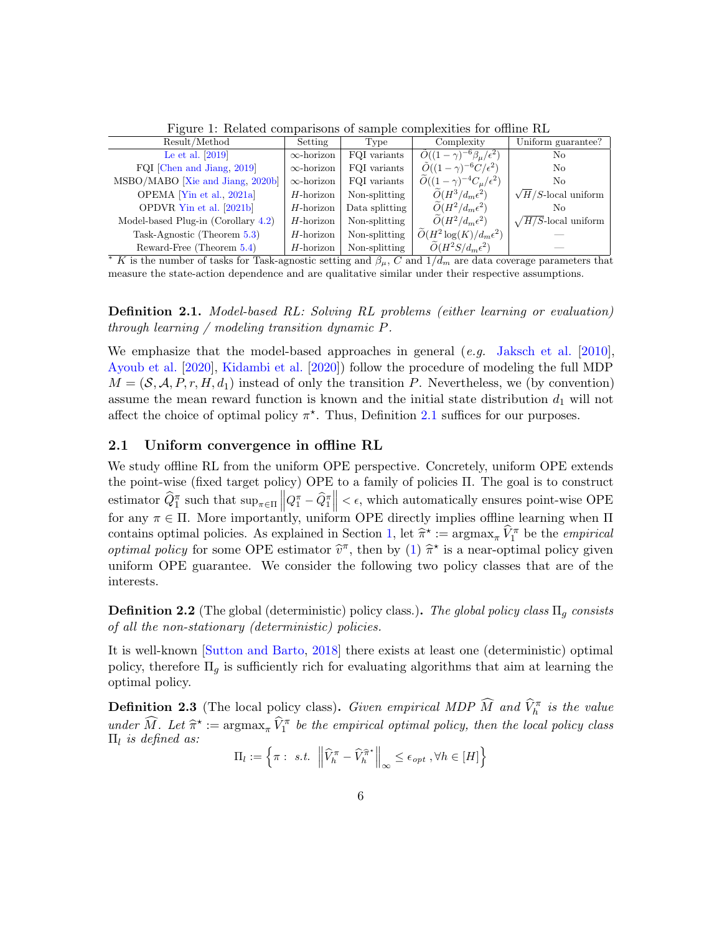| <b>I</b> Igure 1. Iterated comparisons of sample complexities for omine rule                                               |                   |                |                                                    |                             |
|----------------------------------------------------------------------------------------------------------------------------|-------------------|----------------|----------------------------------------------------|-----------------------------|
| Result/Method                                                                                                              | Setting           | Type           | Complexity                                         | Uniform guarantee?          |
| Le et al. $[2019]$                                                                                                         | $\infty$ -horizon | FQI variants   | $\tilde{O}((1-\gamma)^{-6}\beta_{\mu}/\epsilon^2)$ | No                          |
| FQI [Chen and Jiang, 2019]                                                                                                 | $\infty$ -horizon | FQI variants   | $\tilde{O}((1-\gamma)^{-6}C/\epsilon^2)$           | No                          |
| MSBO/MABO [Xie and Jiang, 2020b]                                                                                           | $\infty$ -horizon | FQI variants   | $\ddot{O}((1-\gamma)^{-4}C_{\mu}/\epsilon^2)$      | No.                         |
| OPEMA [Yin et al., 2021a]                                                                                                  | $H$ -horizon      | Non-splitting  | $\tilde{O}(H^3/d_m\epsilon^2)$                     | $\sqrt{H/S}$ -local uniform |
| OPDVR Yin et al. [2021b]                                                                                                   | $H$ -horizon      | Data splitting | $\tilde{O}(H^2/d_m\epsilon^2)$                     | No.                         |
| Model-based Plug-in (Corollary $4.2$ )                                                                                     | $H$ -horizon      | Non-splitting  | $\tilde{O}(H^2/d_m\epsilon^2)$                     | $\sqrt{H/S}$ -local uniform |
| Task-Agnostic (Theorem 5.3)                                                                                                | $H$ -horizon      | Non-splitting  | $\widetilde{O}(H^2 \log(K) / d_m \epsilon^2)$      |                             |
| Reward-Free (Theorem 5.4)                                                                                                  | $H$ -horizon      | Non-splitting  | $\widetilde{O}(H^2S/d_m\epsilon^2)$                |                             |
| * K is the number of tasks for Task-agnostic setting and $\beta_{\mu}$ , C and $1/d_{m}$ are data coverage parameters that |                   |                |                                                    |                             |

Figure 1: Related comparisons of sample complexities for offline  $\overline{RI}$ 

measure the state-action dependence and are qualitative similar under their respective assumptions.

Definition 2.1. Model-based RL: Solving RL problems (either learning or evaluation) through learning / modeling transition dynamic P.

We emphasize that the model-based approaches in general  $(e, q, \text{ Jaksch et al. } [2010],$  $(e, q, \text{ Jaksch et al. } [2010],$  $(e, q, \text{ Jaksch et al. } [2010],$  $(e, q, \text{ Jaksch et al. } [2010],$  $(e, q, \text{ Jaksch et al. } [2010],$ [Ayoub et al.](#page-16-7) [\[2020\]](#page-16-7), [Kidambi et al.](#page-18-10) [\[2020\]](#page-18-10)) follow the procedure of modeling the full MDP  $M = (\mathcal{S}, \mathcal{A}, P, r, H, d_1)$  instead of only the transition P. Nevertheless, we (by convention) assume the mean reward function is known and the initial state distribution  $d_1$  will not affect the choice of optimal policy  $\pi^*$ . Thus, Definition [2.1](#page-4-0) suffices for our purposes.

#### <span id="page-5-0"></span>2.1 Uniform convergence in offline RL

We study offline RL from the uniform OPE perspective. Concretely, uniform OPE extends the point-wise (fixed target policy) OPE to a family of policies Π. The goal is to construct estimator  $\hat{Q}_1^{\pi}$  such that  $\sup_{\pi \in \Pi} ||Q_1^{\pi} - \hat{Q}_1^{\pi}|| < \epsilon$ , which automatically ensures point-wise OPE<br>for any  $\pi \in \Pi$ . More importantly, uniform OPE directly implies offline learning when  $\Pi$ contains optimal policies. As explained in Section [1,](#page-0-0) let  $\hat{\pi}^* := \argmax_{\pi} \hat{V}_1^{\pi}$  be the *empirical*<br>cational policy for some OBE estimator  $\hat{\pi}$  than by (1)  $\hat{\pi}^*$  is a near optimal policy given *optimal policy* for some OPE estimator  $\hat{v}^{\pi}$ , then by [\(1\)](#page-1-1)  $\hat{\pi}^{\star}$  is a near-optimal policy given<br>uniform OPE guarantee. We consider the following two policy classes that are of the uniform OPE guarantee. We consider the following two policy classes that are of the interests.

<span id="page-5-1"></span>**Definition 2.2** (The global (deterministic) policy class.). The global policy class  $\Pi_q$  consists of all the non-stationary (deterministic) policies.

It is well-known [\[Sutton and Barto,](#page-19-10) [2018\]](#page-19-10) there exists at least one (deterministic) optimal policy, therefore  $\Pi_q$  is sufficiently rich for evaluating algorithms that aim at learning the optimal policy.

<span id="page-5-2"></span>**Definition 2.3** (The local policy class). Given empirical MDP  $\widehat{M}$  and  $\widehat{V}_h^{\pi}$  is the value under  $\widehat{M}$ . Let  $\widehat{\pi}^* := \operatorname{argmax}_{\pi} \widehat{V}_1^{\pi}$  be the empirical optimal policy, then the local policy class  $\Pi_i$  is defined as:  $\Pi_l$  is defined as:

$$
\Pi_l := \left\{ \pi : s.t. \left\| \widehat{V}_h^{\pi} - \widehat{V}_h^{\widehat{\pi}^*} \right\|_{\infty} \le \epsilon_{opt} , \forall h \in [H] \right\}
$$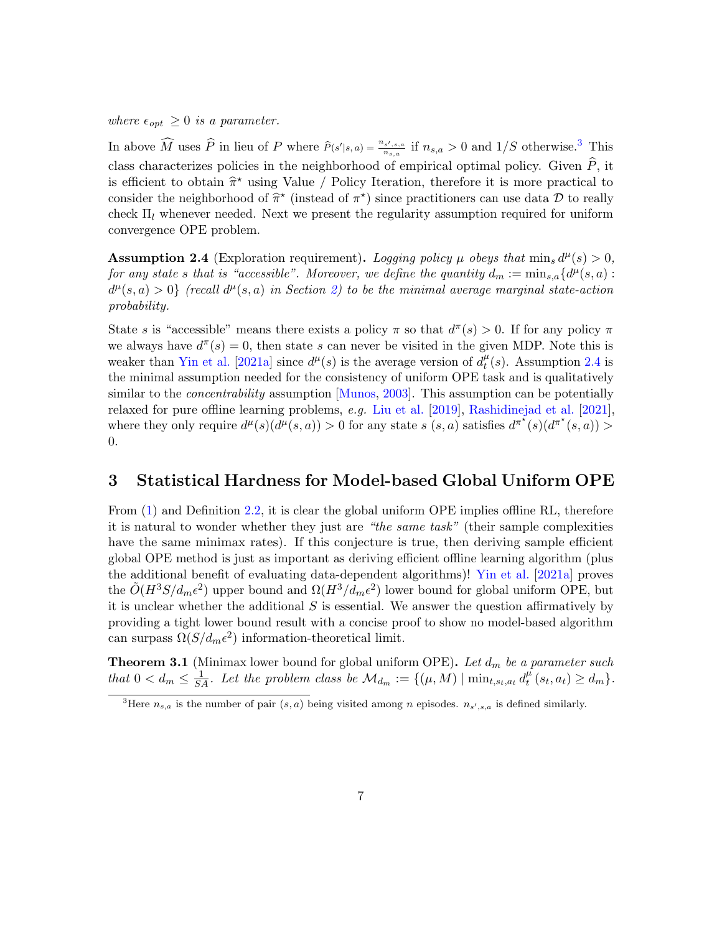where  $\epsilon_{opt} \geq 0$  is a parameter.

In above  $\widehat{M}$  uses  $\widehat{P}$  in lieu of P where  $\widehat{P}(s'|s,a) = \frac{n_{s',s,a}}{n_{s,a}}$  if  $n_{s,a} > 0$  and  $1/S$  otherwise.<sup>[3](#page-6-2)</sup> This class characterizes policies in the neighborhood of empirical optimal policy. Given  $\hat{P}$ , it is efficient to obtain  $\hat{\pi}^*$  using Value / Policy Iteration, therefore it is more practical to<br>consider the pointborhood of  $\hat{\pi}^*$  (instead of  $\pi^*$ ) sings practitioners can use data  $\hat{\pi}$  to really consider the neighborhood of  $\hat{\pi}^*$  (instead of  $\pi^*$ ) since practitioners can use data D to really aboat  $\Pi$ , whenever needed. Next we present the regularity assumption required for uniform check  $\Pi_l$  whenever needed. Next we present the regularity assumption required for uniform convergence OPE problem.

<span id="page-6-0"></span>**Assumption 2.4** (Exploration requirement). Logging policy  $\mu$  obeys that  $\min_s d^{\mu}(s) > 0$ , for any state s that is "accessible". Moreover, we define the quantity  $d_m := \min_{s,a} \{d^{\mu}(s,a) :$  $d^{\mu}(s, a) > 0$  (recall  $d^{\mu}(s, a)$  in Section [2\)](#page-4-1) to be the minimal average marginal state-action probability.

State s is "accessible" means there exists a policy  $\pi$  so that  $d^{\pi}(s) > 0$ . If for any policy  $\pi$ we always have  $d^{\pi}(s) = 0$ , then state s can never be visited in the given MDP. Note this is weaker than [Yin et al.](#page-20-8) [\[2021a\]](#page-20-8) since  $d^{\mu}(s)$  is the average version of  $d_t^{\mu}$  $t^{\mu}(s)$ . Assumption [2.4](#page-6-0) is the minimal assumption needed for the consistency of uniform OPE task and is qualitatively similar to the *concentrability* assumption [\[Munos,](#page-19-6) [2003\]](#page-19-6). This assumption can be potentially relaxed for pure offline learning problems, e.g. [Liu et al.](#page-18-11) [\[2019\]](#page-18-11), [Rashidinejad et al.](#page-19-3) [\[2021\]](#page-19-3), where they only require  $d^{\mu}(s)(\overline{d^{\mu}}(s, a)) > 0$  for any state  $s(s, a)$  satisfies  $d^{\pi^*}(s)(\overline{d^{\pi^*}}(s, a)) >$ 0.

## 3 Statistical Hardness for Model-based Global Uniform OPE

From  $(1)$  and Definition [2.2,](#page-5-1) it is clear the global uniform OPE implies offline RL, therefore it is natural to wonder whether they just are "the same task" (their sample complexities have the same minimax rates). If this conjecture is true, then deriving sample efficient global OPE method is just as important as deriving efficient offline learning algorithm (plus the additional benefit of evaluating data-dependent algorithms)! [Yin et al.](#page-20-8) [\[2021a\]](#page-20-8) proves the  $\tilde{O}(H^3S/d_m\epsilon^2)$  upper bound and  $\Omega(H^3/d_m\epsilon^2)$  lower bound for global uniform OPE, but it is unclear whether the additional  $S$  is essential. We answer the question affirmatively by providing a tight lower bound result with a concise proof to show no model-based algorithm can surpass  $\Omega(S/d_m\epsilon^2)$  information-theoretical limit.

<span id="page-6-1"></span>**Theorem 3.1** (Minimax lower bound for global uniform OPE). Let  $d_m$  be a parameter such that  $0 < d_m \leq \frac{1}{SA}$ . Let the problem class be  $\mathcal{M}_{d_m} := \{(\mu, M) \mid \min_{t, s_t, a_t} d_t^{\mu}$  $_{t}^{\mu}(s_{t}, a_{t}) \geq d_{m}$  }.

<span id="page-6-2"></span><sup>&</sup>lt;sup>3</sup>Here  $n_{s,a}$  is the number of pair  $(s,a)$  being visited among n episodes.  $n_{s',s,a}$  is defined similarly.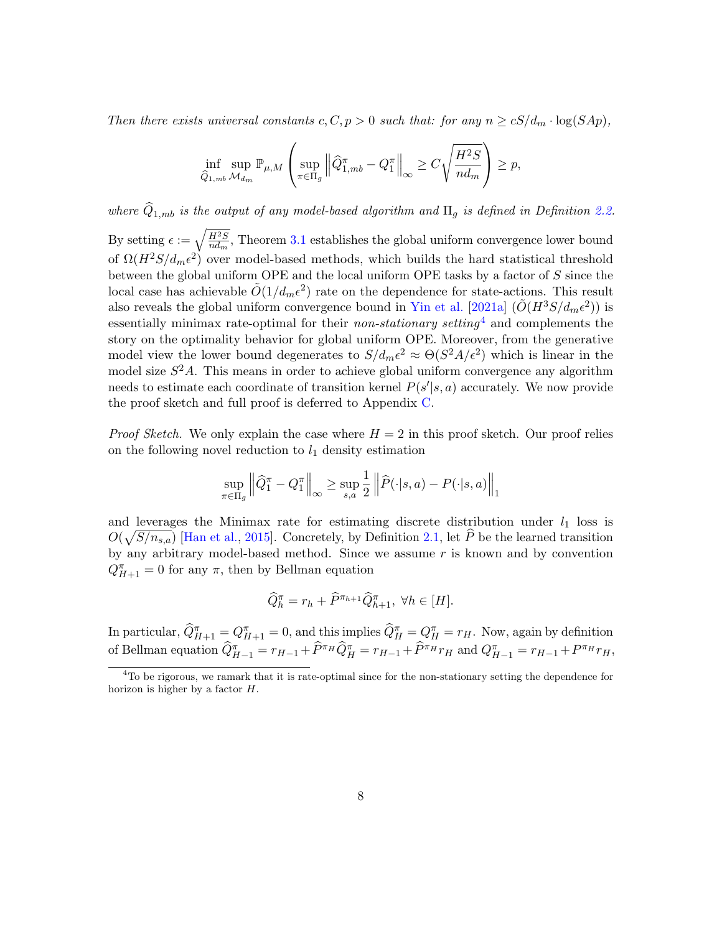Then there exists universal constants  $c, C, p > 0$  such that: for any  $n \geq cS/d_m \cdot \log(SAp)$ ,

$$
\inf_{\widehat{Q}_{1,mb}} \sup_{\mathcal{M}_{dm}} \mathbb{P}_{\mu,M} \left( \sup_{\pi \in \Pi_g} \left\| \widehat{Q}_{1,mb}^{\pi} - Q_1^{\pi} \right\|_{\infty} \ge C \sqrt{\frac{H^2 S}{n d_m}} \right) \ge p,
$$

where  $\widehat{Q}_{1,mb}$  is the output of any model-based algorithm and  $\Pi_g$  is defined in Definition [2.2.](#page-5-1) By setting  $\epsilon := \sqrt{\frac{H^2S}{rd}}$  $\frac{H^2S}{nd_m}$ , Theorem [3.1](#page-6-1) establishes the global uniform convergence lower bound of  $\Omega(H^2S/d_m\epsilon^2)$  over model-based methods, which builds the hard statistical threshold between the global uniform OPE and the local uniform OPE tasks by a factor of S since the local case has achievable  $\tilde{O}(1/d_m\epsilon^2)$  rate on the dependence for state-actions. This result also reveals the global uniform convergence bound in [Yin et al.](#page-20-8) [\[2021a\]](#page-20-8)  $(\tilde{O}(H^3S/d_m\epsilon^2))$  is essentially minimax rate-optimal for their *non-stationary setting*<sup>[4](#page-7-0)</sup> and complements the story on the optimality behavior for global uniform OPE. Moreover, from the generative model view the lower bound degenerates to  $S/d_m\epsilon^2 \approx \Theta(S^2A/\epsilon^2)$  which is linear in the model size  $S^2A$ . This means in order to achieve global uniform convergence any algorithm needs to estimate each coordinate of transition kernel  $P(s'|s, a)$  accurately. We now provide the proof sketch and full proof is deferred to Appendix [C.](#page-36-0)

*Proof Sketch.* We only explain the case where  $H = 2$  in this proof sketch. Our proof relies on the following novel reduction to  $l_1$  density estimation

$$
\sup_{\pi \in \Pi_g} \left\| \widehat{Q}_1^{\pi} - Q_1^{\pi} \right\|_{\infty} \ge \sup_{s,a} \frac{1}{2} \left\| \widehat{P}(\cdot|s,a) - P(\cdot|s,a) \right\|_{1}
$$

and leverages the Minimax rate for estimating discrete distribution under  $l_1$  loss is  $O(\sqrt{S/n_{s,a}})$  [\[Han et al.,](#page-17-7) [2015\]](#page-17-7). Concretely, by Definition [2.1,](#page-4-0) let  $\hat{P}$  be the learned transition by any arbitrary model-based method. Since we assume  $r$  is known and by convention  $Q_{H+1}^{\pi} = 0$  for any  $\pi$ , then by Bellman equation

$$
\widehat{Q}_{h}^{\pi} = r_{h} + \widehat{P}^{\pi_{h+1}} \widehat{Q}_{h+1}^{\pi}, \ \forall h \in [H].
$$

In particular,  $\widehat{Q}_{H+1}^{\pi} = Q_{H+1}^{\pi} = 0$ , and this implies  $\widehat{Q}_{H}^{\pi} = Q_{H}^{\pi} = r_{H}$ . Now, again by definition of Bellman equation  $\hat{Q}_{H-1}^{\pi} = r_{H-1} + \hat{P}^{\pi_H} \hat{Q}_{H}^{\pi} = r_{H-1} + \hat{P}^{\pi_H} r_H$  and  $Q_{H-1}^{\pi} = r_{H-1} + P^{\pi_H} r_H$ ,

<span id="page-7-0"></span><sup>4</sup>To be rigorous, we ramark that it is rate-optimal since for the non-stationary setting the dependence for horizon is higher by a factor H.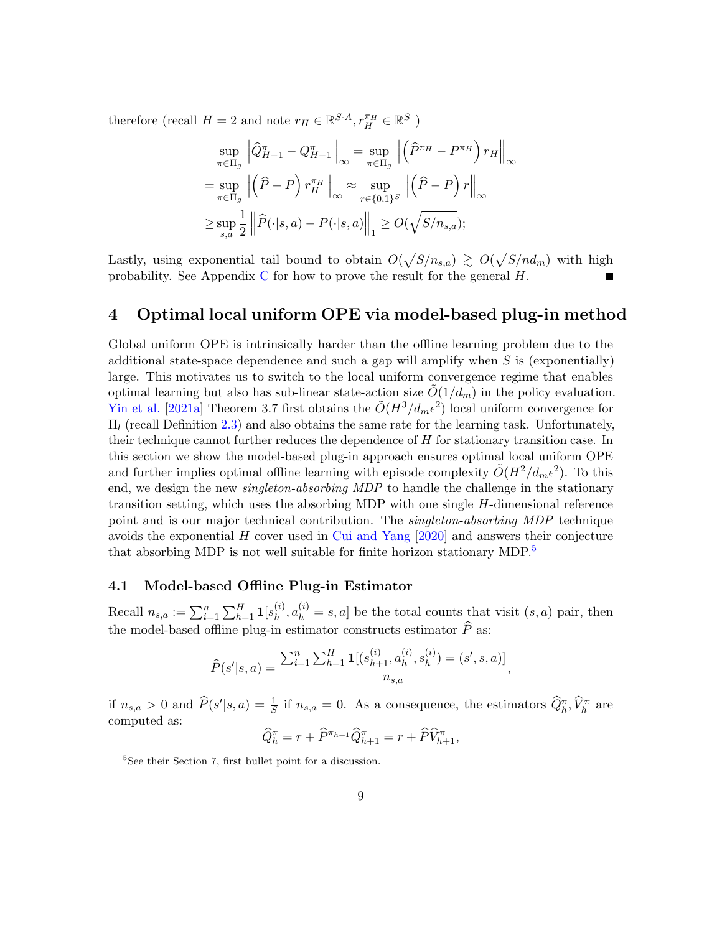therefore (recall  $H = 2$  and note  $r_H \in \mathbb{R}^{S \cdot A}, r_H^{\pi_H} \in \mathbb{R}^S$ )

$$
\sup_{\pi \in \Pi_g} \left\| \widehat{Q}_{H-1}^{\pi} - Q_{H-1}^{\pi} \right\|_{\infty} = \sup_{\pi \in \Pi_g} \left\| \left( \widehat{P}^{\pi_H} - P^{\pi_H} \right) r_H \right\|_{\infty}
$$

$$
= \sup_{\pi \in \Pi_g} \left\| \left( \widehat{P} - P \right) r_H^{\pi_H} \right\|_{\infty} \approx \sup_{r \in \{0,1\}^S} \left\| \left( \widehat{P} - P \right) r \right\|_{\infty}
$$

$$
\geq \sup_{s,a} \frac{1}{2} \left\| \widehat{P}(\cdot|s,a) - P(\cdot|s,a) \right\|_{1} \geq O(\sqrt{S/n_{s,a}});
$$

Lastly, using exponential tail bound to obtain  $O(\sqrt{S/n_{s,a}}) \gtrsim O(\sqrt{S/n_{d_m}})$  with high probability. See Appendix [C](#page-36-0) for how to prove the result for the general  $H$ .

## 4 Optimal local uniform OPE via model-based plug-in method

Global uniform OPE is intrinsically harder than the offline learning problem due to the additional state-space dependence and such a gap will amplify when  $S$  is (exponentially) large. This motivates us to switch to the local uniform convergence regime that enables optimal learning but also has sub-linear state-action size  $O(1/d_m)$  in the policy evaluation. [Yin et al.](#page-20-8) [\[2021a\]](#page-20-8) Theorem 3.7 first obtains the  $\tilde{O}(H^3/d_m\epsilon^2)$  local uniform convergence for  $\Pi_l$  (recall Definition [2.3\)](#page-5-2) and also obtains the same rate for the learning task. Unfortunately, their technique cannot further reduces the dependence of H for stationary transition case. In this section we show the model-based plug-in approach ensures optimal local uniform OPE and further implies optimal offline learning with episode complexity  $\tilde{O}(H^2/d_m\epsilon^2)$ . To this end, we design the new *singleton-absorbing MDP* to handle the challenge in the stationary transition setting, which uses the absorbing MDP with one single  $H$ -dimensional reference point and is our major technical contribution. The singleton-absorbing MDP technique avoids the exponential  $H$  cover used in [Cui and Yang](#page-16-6)  $[2020]$  and answers their conjecture that absorbing MDP is not well suitable for finite horizon stationary MDP.<sup>[5](#page-8-0)</sup>

### 4.1 Model-based Offline Plug-in Estimator

Recall  $n_{s,a} := \sum_{i=1}^n \sum_{h=1}^H \mathbf{1}[s_h^{(i)}]$  $\mathbf{a}_{h}^{(i)}$ ,  $a_{h}^{(i)} = s, a$ ] be the total counts that visit  $(s, a)$  pair, then the model-based offline plug-in estimator constructs estimator  $\widehat{P}$  as:

$$
\widehat{P}(s'|s,a) = \frac{\sum_{i=1}^{n} \sum_{h=1}^{H} \mathbf{1}[(s_{h+1}^{(i)}, a_h^{(i)}, s_h^{(i)}) = (s', s, a)]}{n_{s,a}},
$$

if  $n_{s,a} > 0$  and  $\widehat{P}(s'|s,a) = \frac{1}{S}$  if  $n_{s,a} = 0$ . As a consequence, the estimators  $\widehat{Q}_h^{\pi}, \widehat{V}_h^{\pi}$  are computed as:

$$
\widehat{Q}_{h}^{\pi} = r + \widehat{P}^{\pi_{h+1}} \widehat{Q}_{h+1}^{\pi} = r + \widehat{P} \widehat{V}_{h+1}^{\pi},
$$

<span id="page-8-0"></span><sup>5</sup>See their Section 7, first bullet point for a discussion.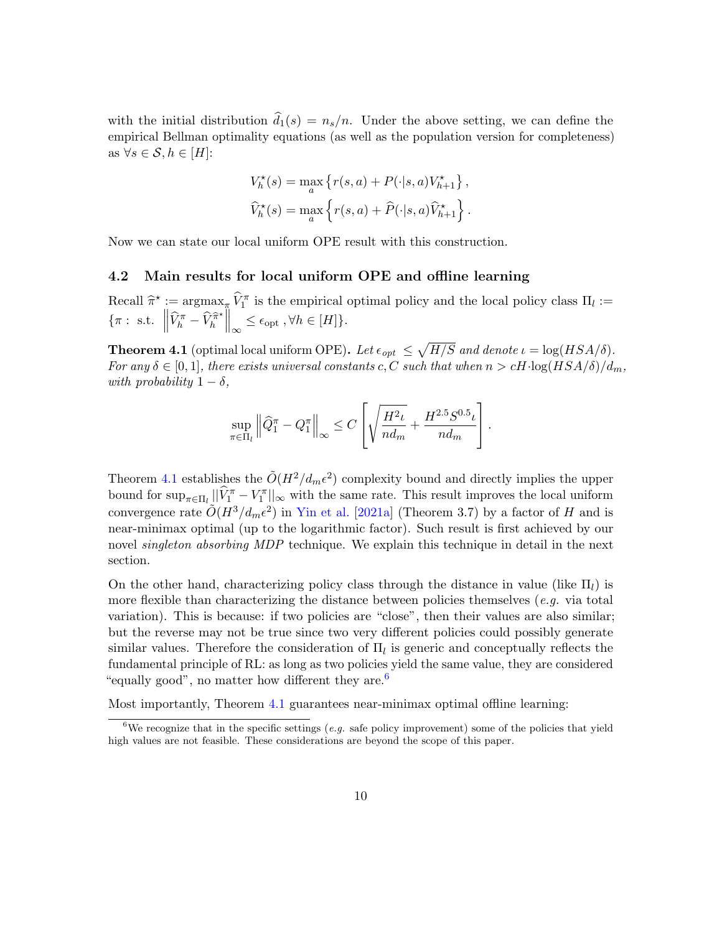with the initial distribution  $\hat{d}_1(s) = n_s/n$ . Under the above setting, we can define the empirical Bellman optimality equations (as well as the population version for completeness) as  $\forall s \in \mathcal{S}, h \in [H]$ :

$$
V_h^{\star}(s) = \max_{a} \left\{ r(s, a) + P(\cdot | s, a) V_{h+1}^{\star} \right\},\,
$$
  

$$
\widehat{V}_h^{\star}(s) = \max_{a} \left\{ r(s, a) + \widehat{P}(\cdot | s, a) \widehat{V}_{h+1}^{\star} \right\}.
$$

Now we can state our local uniform OPE result with this construction.

## 4.2 Main results for local uniform OPE and offline learning

Recall  $\hat{\pi}^* := \operatorname*{argmax}_{\pi} \hat{V}_1^{\pi}$  is the empirical optimal policy and the local policy class  $\Pi_l :=$  $\{\pi : \text{ s.t. } \left\|\widehat{V}_h^{\pi} - \widehat{V}_h^{\widehat{\pi}^*}\right\|$  $\left\| \hat{\pi}^* \right\|_{\infty} \leq \epsilon_{\text{opt}} , \forall h \in [H] \}.$ 

<span id="page-9-0"></span>**Theorem 4.1** (optimal local uniform OPE). Let  $\epsilon_{opt} \leq \sqrt{H/S}$  and denote  $\iota = \log(HSA/\delta)$ . For any  $\delta \in [0,1]$ , there exists universal constants c, C such that when  $n > cH \cdot \log(HSA/\delta)/d_m$ , with probability  $1 - \delta$ ,

$$
\sup_{\pi \in \Pi_l} \left\| \widehat{Q}_1^{\pi} - Q_1^{\pi} \right\|_{\infty} \le C \left[ \sqrt{\frac{H^2 \iota}{n d_m}} + \frac{H^{2.5} S^{0.5} \iota}{n d_m} \right].
$$

Theorem [4.1](#page-9-0) establishes the  $\tilde{O}(H^2/d_m\epsilon^2)$  complexity bound and directly implies the upper bound for  $\sup_{\pi \in \Pi_l} ||\hat{V}_1^{\pi} - V_1^{\pi}||_{\infty}$  with the same rate. This result improves the local uniform convergence rate  $O(H^3/d_m\epsilon^2)$  in [Yin et al.](#page-20-8) [\[2021a\]](#page-20-8) (Theorem 3.7) by a factor of H and is near-minimax optimal (up to the logarithmic factor). Such result is first achieved by our novel *singleton absorbing MDP* technique. We explain this technique in detail in the next section.

On the other hand, characterizing policy class through the distance in value (like  $\Pi_l$ ) is more flexible than characterizing the distance between policies themselves  $(e.g.$  via total variation). This is because: if two policies are "close", then their values are also similar; but the reverse may not be true since two very different policies could possibly generate similar values. Therefore the consideration of  $\Pi_l$  is generic and conceptually reflects the fundamental principle of RL: as long as two policies yield the same value, they are considered "equally good", no matter how different they are.<sup>[6](#page-9-2)</sup>

Most importantly, Theorem [4.1](#page-9-0) guarantees near-minimax optimal offline learning:

<span id="page-9-2"></span><span id="page-9-1"></span><sup>&</sup>lt;sup>6</sup>We recognize that in the specific settings (e.g. safe policy improvement) some of the policies that yield high values are not feasible. These considerations are beyond the scope of this paper.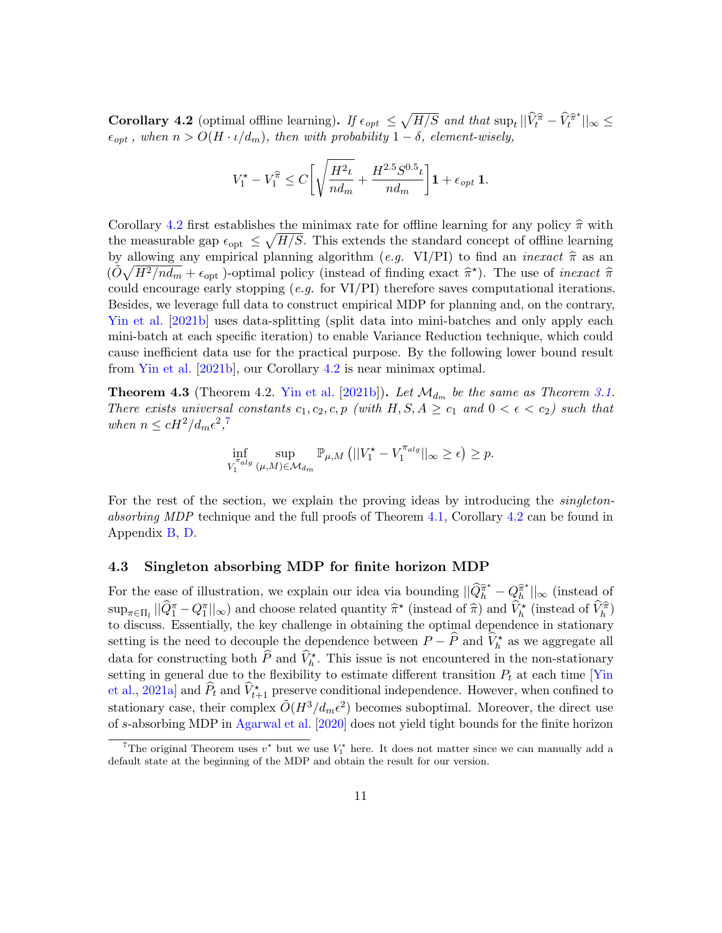Corollary 4.2 (optimal offline learning). If  $\epsilon_{opt} \leq \sqrt{H/S}$  and that  $\sup_t ||\hat{V}_t^{\hat{\pi}} - \hat{V}_t^{\hat{\pi}^*}||_{\infty} \leq$  $\epsilon_{opt}$ , when  $n > O(H \cdot \iota/d_m)$ , then with probability  $1 - \delta$ , element-wisely,

$$
V_1^{\star} - V_1^{\widehat{\pi}} \leq C\bigg[\sqrt{\frac{H^2\iota}{nd_m}} + \frac{H^{2.5}S^{0.5}\iota}{nd_m}\bigg]{\mathbf{1}} + \epsilon_{opt}\;{\mathbf{1}}.
$$

Corollary [4.2](#page-9-1) first establishes the minimax rate for offline learning for any policy  $\hat{\pi}$  with the measurable gap  $\epsilon_{\rm opt} \leq \sqrt{H/S}$ . This extends the standard concept of offline learning by allowing any empirical planning algorithm (e.g. VI/PI) to find an *inexact*  $\hat{\pi}$  as an  $\left(\tilde{\tilde{O}}\sqrt{H^2/nd_m} + \epsilon_{\text{opt}}\right)$ -optimal policy (instead of finding exact  $\hat{\pi}^*$ ). The use of *inexact*  $\hat{\pi}$ <br>could encourage only stapping (e.g. for VL/PI) therefore gave computational iterations could encourage early stopping (*e.g.* for VI/PI) therefore saves computational iterations. Besides, we leverage full data to construct empirical MDP for planning and, on the contrary, [Yin et al.](#page-20-7) [\[2021b\]](#page-20-7) uses data-splitting (split data into mini-batches and only apply each mini-batch at each specific iteration) to enable Variance Reduction technique, which could cause inefficient data use for the practical purpose. By the following lower bound result from [Yin et al.](#page-20-7) [\[2021b\]](#page-20-7), our Corollary [4.2](#page-9-1) is near minimax optimal.

**Theorem 4.3** (Theorem 4.2. [Yin et al.](#page-20-7) [\[2021b\]](#page-20-7)). Let  $\mathcal{M}_{d_m}$  be the same as Theorem [3.1.](#page-6-1) There exists universal constants  $c_1, c_2, c, p$  (with  $H, S, A \geq c_1$  and  $0 < \epsilon < c_2$ ) such that when  $n \leq cH^2/d_m\epsilon^2$ ,<sup>[7](#page-10-0)</sup>

$$
\inf_{V_1^{\pi_{alg}}} \sup_{(\mu,M)\in\mathcal{M}_{d_m}} \mathbb{P}_{\mu,M} \left( ||V_1^* - V_1^{\pi_{alg}}||_{\infty} \ge \epsilon \right) \ge p.
$$

For the rest of the section, we explain the proving ideas by introducing the *singleton*-absorbing MDP technique and the full proofs of Theorem [4.1,](#page-9-0) Corollary [4.2](#page-9-1) can be found in Appendix [B,](#page-24-0) [D.](#page-41-0)

### 4.3 Singleton absorbing MDP for finite horizon MDP

For the ease of illustration, we explain our idea via bounding  $||\hat{Q}_h^{\hat{\pi}^*} - Q_h^{\hat{\pi}^*}||$  $\hat{\mathbb{Z}}_h^{\star}$ ||<sub>∞</sub> (instead of  $\sup_{\pi \in \Pi_l} ||\hat{Q}_l^{\pi} - Q_l^{\pi}||_{\infty}$  and choose related quantity  $\hat{\pi}^{\star}$  (instead of  $\hat{\pi}$ ) and  $\hat{V}_h^{\star}$  (instead of  $\hat{V}_h^{\hat{\pi}}$ ) to discuss. Essentially, the key challenge in obtaining the optimal dependence in stationary setting is the need to decouple the dependence between  $P - \widehat{P}$  and  $\widehat{V}_h^*$  as we aggregate all data for constructing both  $\widehat{P}$  and  $\widehat{V}_h^*$ . This issue is not encountered in the non-stationary setting in general due to the flexibility to estimate different transition  $P_t$  at each time [\[Yin](#page-20-8)] [et al.,](#page-20-8) [2021a\]](#page-20-8) and  $\hat{P}_t$  and  $\hat{V}_{t+1}^{\star}$  preserve conditional independence. However, when confined to stationary case, their complex  $\tilde{O}(H^3/d_m\epsilon^2)$  becomes suboptimal. Moreover, the direct use of s-absorbing MDP in [Agarwal et al.](#page-16-5) [\[2020\]](#page-16-5) does not yield tight bounds for the finite horizon

<span id="page-10-0"></span><sup>&</sup>lt;sup>7</sup>The original Theorem uses  $v^*$  but we use  $V_1^*$  here. It does not matter since we can manually add a default state at the beginning of the MDP and obtain the result for our version.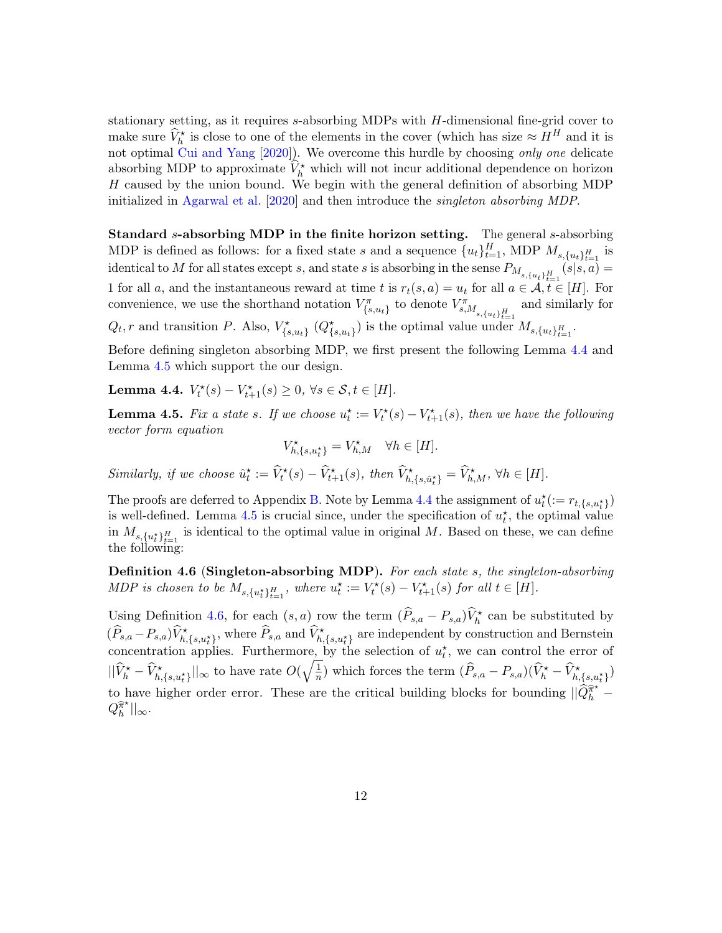stationary setting, as it requires s-absorbing MDPs with H-dimensional fine-grid cover to make sure  $\widehat{V}_h^*$  is close to one of the elements in the cover (which has size  $\approx H^H$  and it is not optimal  $\text{Cui}$  and Yang [\[2020\]](#page-16-6)). We overcome this hurdle by choosing only one delicate absorbing MDP to approximate  $\hat{V}_h^*$  which will not incur additional dependence on horizon H caused by the union bound. We begin with the general definition of absorbing MDP initialized in [Agarwal et al.](#page-16-5) [\[2020\]](#page-16-5) and then introduce the singleton absorbing MDP.

Standard s-absorbing MDP in the finite horizon setting. The general s-absorbing MDP is defined as follows: for a fixed state s and a sequence  ${u_t}_{t=1}^H$ , MDP  $M_{s,\lbrace u_t \rbrace_{t=1}^H}$  is identical to M for all states except s, and state s is absorbing in the sense  $P_{M_{s,\{u_t\}_{t=1}^H}}(s|s,a)$ 1 for all a, and the instantaneous reward at time t is  $r_t(s, a) = u_t$  for all  $a \in \mathcal{A}, t \in [H]$ . For convenience, we use the shorthand notation  $V_{\{s,u_t\}}^{\pi}$  to denote  $V_{s,M_{s,\{u_t\}_{t=1}^H}}^{\pi}$ and similarly for  $Q_t$ , r and transition P. Also,  $V^*_{\{s,u_t\}}(Q^*_{\{s,u_t\}})$  is the optimal value under  $M_{s,\{u_t\}_{t=1}^H}$ .

Before defining singleton absorbing MDP, we first present the following Lemma [4.4](#page-11-0) and Lemma [4.5](#page-11-1) which support the our design.

<span id="page-11-0"></span>Lemma 4.4.  $V_t^*(s) - V_{t+1}^*(s) \ge 0, \ \forall s \in \mathcal{S}, t \in [H].$ 

<span id="page-11-1"></span>**Lemma 4.5.** Fix a state s. If we choose  $u_t^* := V_t^*(s) - V_{t+1}^*(s)$ , then we have the following vector form equation

$$
V^\star_{h,\{s,u^\star_t\}}=V^\star_{h,M} \quad \forall h \in [H].
$$

Similarly, if we choose  $\hat{u}_t^* := \widehat{V}_t^*(s) - \widehat{V}_{t+1}^*(s)$ , then  $\widehat{V}_{h,\{s,\hat{u}_t^*\}}^* = \widehat{V}_{h,M}^*$ ,  $\forall h \in [H]$ .

The proofs are deferred to Appendix [B.](#page-24-0) Note by Lemma [4.4](#page-11-0) the assignment of  $u_t^{\star} := r_{t,\{s,u_t^{\star}\}}$ is well-defined. Lemma [4.5](#page-11-1) is crucial since, under the specification of  $u_t^*$ , the optimal value in  $M_{s,\{u_t^*\}_{t=1}^H}$  is identical to the optimal value in original M. Based on these, we can define the following:

<span id="page-11-2"></span>Definition 4.6 (Singleton-absorbing MDP). For each state s, the singleton-absorbing MDP is chosen to be  $M_{s,\{u_t^*\}_{t=1}^H}$ , where  $u_t^* := V_t^*(s) - V_{t+1}^*(s)$  for all  $t \in [H]$ .

Using Definition [4.6,](#page-11-2) for each  $(s, a)$  row the term  $(\widehat{P}_{s,a} - P_{s,a})\widehat{V}_h^{\star}$  can be substituted by  $(\widehat{P}_{s,a} - P_{s,a})\widehat{V}_{h,\{s,u_t^{\star}\}}^{\star}$ , where  $\widehat{P}_{s,a}$  and  $\widehat{V}_{h,\{s,u_t^{\star}\}}^{\star}$  are independent by construction and Bernstein concentration applies. Furthermore, by the selection of  $u_t^*$ , we can control the error of  $||\hat{V}_h^{\star} - \hat{V}_{h,\{s,u_t^{\star}\}}^{\star}||_{\infty}$  to have rate  $O(\sqrt{\frac{1}{n}}$  $\frac{1}{n}$ ) which forces the term  $(\widehat{P}_{s,a} - P_{s,a})(\widehat{V}_h^* - \widehat{V}_{h,\{s,u_t^*}\})$ to have higher order error. These are the critical building blocks for bounding  $||\hat{Q}_h^{\hat{\pi}^*} - \hat{Q}_h^{\hat{\pi}^*}||$  $Q_h^{\widehat\pi^\star}$  $\frac{\pi^{\star}}{h}$ || $\infty$ .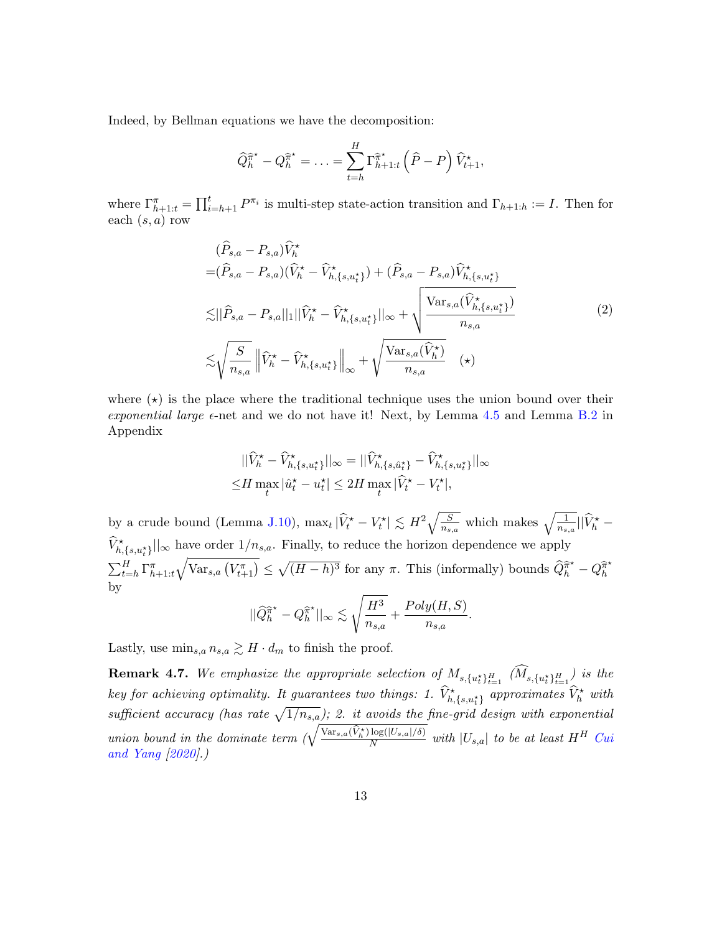Indeed, by Bellman equations we have the decomposition:

$$
\widehat{Q}_{h}^{\widehat{\pi}^{\star}} - Q_{h}^{\widehat{\pi}^{\star}} = \ldots = \sum_{t=h}^{H} \Gamma_{h+1:t}^{\widehat{\pi}^{\star}} \left( \widehat{P} - P \right) \widehat{V}_{t+1}^{\star},
$$

where  $\Gamma_{h+1:t}^{\pi} = \prod_{i=h+1}^{t} P^{\pi_i}$  is multi-step state-action transition and  $\Gamma_{h+1:h} := I$ . Then for each  $(s, a)$  row

$$
(\widehat{P}_{s,a} - P_{s,a})\widehat{V}_{h}^{\star}
$$
  
\n
$$
= (\widehat{P}_{s,a} - P_{s,a})(\widehat{V}_{h}^{\star} - \widehat{V}_{h,\{s,u_{t}^{\star}\}}^{\star}) + (\widehat{P}_{s,a} - P_{s,a})\widehat{V}_{h,\{s,u_{t}^{\star}\}}^{\star}
$$
  
\n
$$
\lesssim ||\widehat{P}_{s,a} - P_{s,a}||_{1}||\widehat{V}_{h}^{\star} - \widehat{V}_{h,\{s,u_{t}^{\star}\}}^{\star}||_{\infty} + \sqrt{\frac{\text{Var}_{s,a}(\widehat{V}_{h,\{s,u_{t}^{\star}\}}^{\star})}{n_{s,a}}}
$$
  
\n
$$
\lesssim \sqrt{\frac{S}{n_{s,a}}}\left\|\widehat{V}_{h}^{\star} - \widehat{V}_{h,\{s,u_{t}^{\star}\}}^{\star}\right\|_{\infty} + \sqrt{\frac{\text{Var}_{s,a}(\widehat{V}_{h}^{\star})}{n_{s,a}}}
$$
(2)

where  $(\star)$  is the place where the traditional technique uses the union bound over their exponential large  $\epsilon$ -net and we do not have it! Next, by Lemma [4.5](#page-11-1) and Lemma [B.2](#page-25-0) in Appendix

$$
\begin{aligned} ||\widehat{V}_h^\star - \widehat{V}_{h,\{s,u_t^\star\}}^\star||_{\infty} &= ||\widehat{V}_{h,\{s,\hat{u}_t^\star\}}^\star - \widehat{V}_{h,\{s,u_t^\star\}}^\star||_{\infty} \\ \leq & H \max_t |\widehat{u}_t^\star - u_t^\star| \leq 2H \max_t |\widehat{V}_t^\star - V_t^\star|, \end{aligned}
$$

by a crude bound (Lemma [J.10\)](#page-59-0),  $\max_t |\hat{V}_t^* - V_t^*| \lesssim H^2 \sqrt{\frac{S}{n_{s,a}}}$  which makes  $\sqrt{\frac{1}{n_{s,a}}} ||\hat{V}_h^* \widehat{V}^{\star}_{h,\{s,u^{\star}_{t}\}}||_{\infty}$  have order  $1/n_{s,a}$ . Finally, to reduce the horizon dependence we apply  $\sum_{t=h}^H \Gamma_{h+1:t}^{\pi} \sqrt{\text{Var}_{s,a} (V_{t+1}^{\pi})} \leq \sqrt{(H-h)^3}$  for any  $\pi$ . This (informally) bounds  $\widehat{Q}_h^{\widehat{\pi}^*} - Q_h^{\widehat{\pi}^*}$ h by s

$$
||\widehat{Q}_{h}^{\widehat{\pi}^{\star}} - Q_{h}^{\widehat{\pi}^{\star}}||_{\infty} \lesssim \sqrt{\frac{H^3}{n_{s,a}} + \frac{Poly(H,S)}{n_{s,a}}}.
$$

Lastly, use  $\min_{s,a} n_{s,a} \gtrsim H \cdot d_m$  to finish the proof.

**Remark 4.7.** We emphasize the appropriate selection of  $M_{s,\{u_t^{\star}\}_{t=1}^H}$   $(M_{s,\{u_t^{\star}\}_{t=1}^H})$  is the key for achieving optimality. It guarantees two things: 1.  $\widehat{V}^\star_{h,\{s,u^\star_t\}}$  approximates  $\widehat{V}^\star_h$  with sufficient accuracy (has rate  $\sqrt{1/n_{s,a}}$ ); 2. it avoids the fine-grid design with exponential union bound in the dominate term  $\left(\sqrt{\frac{\text{Var}_{s,a}(\hat{V}_h^*)\log(|U_{s,a}|/\delta)}{N}}\right)$  $\frac{\log(|U_{s,a}|/0)}{N}$  with  $|U_{s,a}|$  to be at least  $H^H$  [Cui](#page-16-6) [and Yang](#page-16-6) [\[2020\]](#page-16-6).)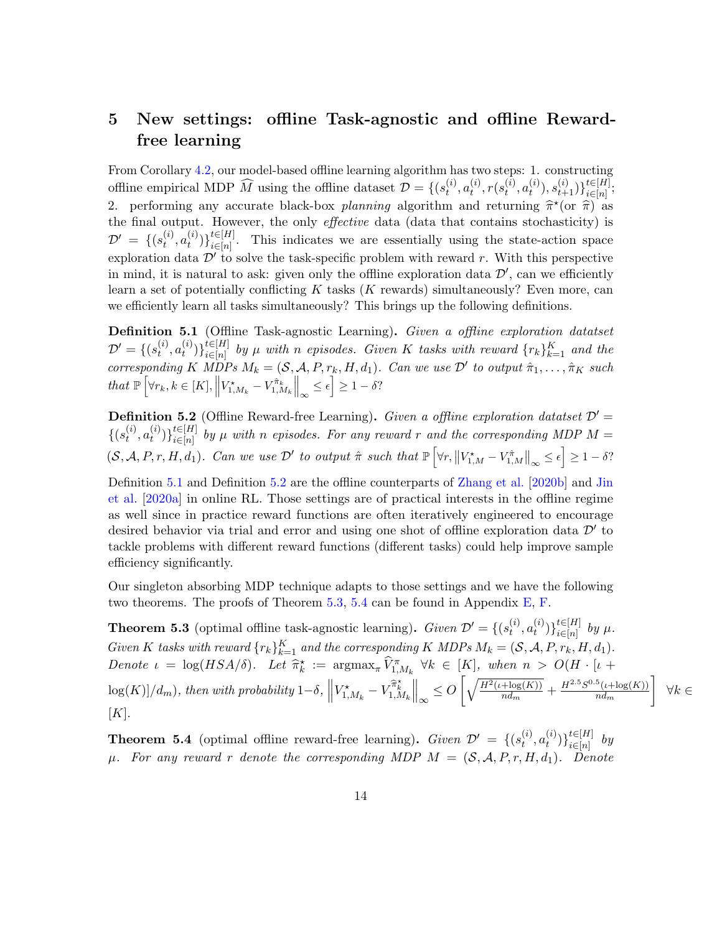## <span id="page-13-4"></span>5 New settings: offline Task-agnostic and offline Rewardfree learning

From Corollary [4.2,](#page-9-1) our model-based offline learning algorithm has two steps: 1. constructing offline empirical MDP  $\widehat{M}$  using the offline dataset  $\mathcal{D} = \{ (s_t^{(i)} \mid$  $_{t}^{\left( i\right) },a_{t}^{\left( i\right) }$  $_{t}^{\left( i\right) },r(s_{t}^{\left( i\right) }% )\rightarrow\left( s_{t}^{\left( i\right) },\sigma_{t}^{\left( i\right) }\right) ,$  $_{t}^{\left( i\right) },a_{t}^{\left( i\right) }$  $t^{(i)}_t),s_{t+1}^{(i)})\}_{i\in[n]}^{t\in[H]}$  $\sum_{i\in[n]}^{t\in[H]}$ 2. performing any accurate black-box *planning* algorithm and returning  $\hat{\pi}^*($  or  $\hat{\pi}^*$  as the final output. However, the only effective data (data that contains stochasticity) is  $\mathcal{D}' \ = \ \{ (s_t^{(i)}$  $_{t}^{\left( i\right) },a_{t}^{\left( i\right) }$  $\binom{i}{t}$   $\big\}$   $\{ \in [H]$ <br> $\big\}$   $\big\{ \in [n]$  $i \in [n]$ . This indicates we are essentially using the state-action space exploration data  $\mathcal{D}'$  to solve the task-specific problem with reward r. With this perspective in mind, it is natural to ask: given only the offline exploration data  $\mathcal{D}'$ , can we efficiently learn a set of potentially conflicting  $K$  tasks  $(K$  rewards) simultaneously? Even more, can we efficiently learn all tasks simultaneously? This brings up the following definitions.

<span id="page-13-2"></span>**Definition 5.1** (Offline Task-agnostic Learning). Given a offline exploration datatset  $\mathcal{D}'=\{(s_t^{(i)}% ,s_t^{(i)}\}_{t=1}^{K}\mid s_t^{(i)}\mid t\in\mathcal{D}_{\mathcal{D}_{\mathrm{max}}^{(i)}}\}$  $_{t}^{\left( i\right) },a_{t}^{\left( i\right) }$  $\left\{ \begin{matrix} (i) \ t \end{matrix} \right\} \}_{i \in [n]}^{t \in [H]}$  $\prod_{i\in [n]}^{t\in [H]}$  by  $\mu$  with n episodes. Given K tasks with reward  $\{r_k\}_{k=1}^K$  and the corresponding K MDPs  $M_k = (S, \mathcal{A}, P, r_k, H, d_1)$ . Can we use  $\mathcal{D}'$  to output  $\hat{\pi}_1, \ldots, \hat{\pi}_K$  such that  $\mathbb{P}\left[\forall r_k, k \in [K], \left\|V_{1,M_k}^* - V_{1,M_k}^{\hat{\pi}_k}\right\|_{\infty} \leq \epsilon\right] \geq 1 - \delta$ ?

<span id="page-13-3"></span>**Definition 5.2** (Offline Reward-free Learning). Given a offline exploration datatset  $\mathcal{D}'$  =  $\{(s_t^{(i)}\)}$  $_{t}^{\left( i\right) },a_{t}^{\left( i\right) }$  $\binom{i}{t}\big\}^t_i \in [H]$  $\sum_{i\in[n]}^{t\in[n]}$  by  $\mu$  with n episodes. For any reward r and the corresponding MDP  $M=$  $(S, \mathcal{A}, P, r, H, d_1)$ . Can we use  $\mathcal{D}'$  to output  $\hat{\pi}$  such that  $\mathbb{P}\left[\forall r, \left\|V_{1,M}^{\star} - V_{1,M}^{\hat{\pi}}\right\|_{\infty} \leq \epsilon\right] \geq 1 - \delta$ ?

Definition [5.1](#page-13-2) and Definition [5.2](#page-13-3) are the offline counterparts of [Zhang et al.](#page-21-1) [\[2020b\]](#page-21-1) and [Jin](#page-17-5) [et al.](#page-17-5) [\[2020a\]](#page-17-5) in online RL. Those settings are of practical interests in the offline regime as well since in practice reward functions are often iteratively engineered to encourage desired behavior via trial and error and using one shot of offline exploration data  $\mathcal{D}'$  to tackle problems with different reward functions (different tasks) could help improve sample efficiency significantly.

Our singleton absorbing MDP technique adapts to those settings and we have the following two theorems. The proofs of Theorem [5.3,](#page-13-0) [5.4](#page-13-1) can be found in Appendix [E,](#page-42-0) [F.](#page-44-0)

<span id="page-13-0"></span>**Theorem 5.3** (optimal offline task-agnostic learning). Given  $\mathcal{D}' = \{(s_t^{(i)}\)}$  $_{t}^{\left( i\right) },a_{t}^{\left( i\right) }$  $t^{(i)}\big)\}_{i\in[n]}^{t\in[H]}$  $\prod_{i\in[n]}^{t\in[H]}$  by  $\mu$ . Given K tasks with reward  $\{r_k\}_{k=1}^K$  and the corresponding K MDPs  $M_k = (S, \mathcal{A}, P, r_k, H, d_1)$ . Denote  $\iota = \log(HSA/\delta)$ . Let  $\widehat{\pi}_k^* := \operatorname{argmax}_{\pi} \widehat{V}_{1,M_k}^{\pi} \ \forall k \in [K]$ , when  $n > O(H \cdot [\iota + \delta])$  $\log(K)]/d_m$ ), then with probability  $1-\delta$ ,  $\Big\|$  $V_{1,M_k}^{\star}-V_{1,M_k}^{\widehat{\pi}^{\star}_k}$  $\Big\|_\infty \leq O\left[\sqrt{\frac{H^2(\iota+\log(K))}{nd_m}}\right]$  $\frac{+\log(K))}{n d_m} + \frac{H^{2.5}S^{0.5}(\iota + \log(K))}{n d_m}$  $n d_m$  $\Big\}$  ∀ $k \in$  $[K]$ .

<span id="page-13-1"></span>**Theorem 5.4** (optimal offline reward-free learning). Given  $\mathcal{D}' = \{(s_t^{(i)}), \dots, s_t^{(i)}\}$  $_{t}^{\left( i\right) },a_{t}^{\left( i\right) }$  $\binom{i}{t}$   $\big\} \big\}^{t \in [H]}_{i \in [n]}$  $\prod_{i\in[n]}^{i\in[n]}$  by  $\mu$ . For any reward r denote the corresponding MDP  $M = (S, \mathcal{A}, P, r, H, d_1)$ . Denote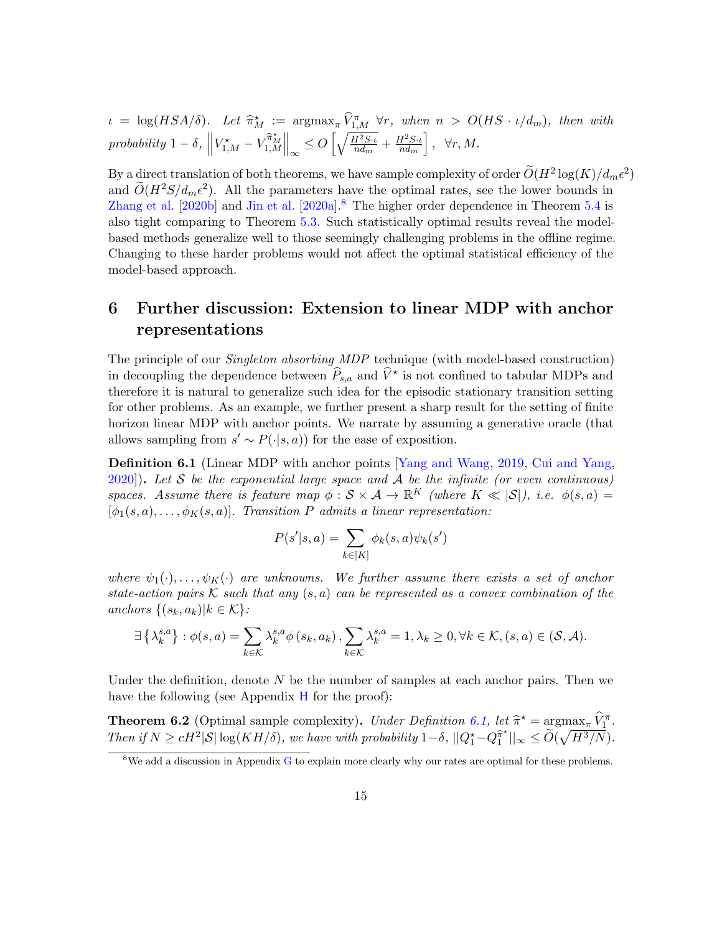$\iota = \log(HSA/\delta)$ . Let  $\widehat{\pi}_M^{\star} := \arg \max_{\pi} \widehat{V}_{1,M}^{\pi} \forall r$ , when  $n > O(HS \cdot \iota/d_m)$ , then with probability  $1 - \delta$ ,  $\parallel$  $V_{1,M}^{\star}-V_{1,M}^{\widehat{\pi}^{\star}_{M}}\Big\|_{\infty}\leq O\left[\sqrt{\frac{H^{2}S\cdot\iota}{nd_{m}}} \right]$  $\frac{H^2S\cdot\iota}{nd_m} + \frac{H^2S\cdot\iota}{nd_m}$  $\left\{\frac{H^2S\cdot\iota}{nd_m}\right\}$ ,  $\forall r, M$ .

By a direct translation of both theorems, we have sample complexity of order  $O(H^2 \log(K)/d_m \epsilon^2)$ and  $\widetilde{O}(H^2S/d_m\epsilon^2)$ . All the parameters have the optimal rates, see the lower bounds in [Zhang et al.](#page-21-1) [\[2020b\]](#page-21-1) and [Jin et al.](#page-17-5) [\[2020a\]](#page-17-5).<sup>[8](#page-14-0)</sup> The higher order dependence in Theorem [5.4](#page-13-1) is also tight comparing to Theorem [5.3.](#page-13-0) Such statistically optimal results reveal the modelbased methods generalize well to those seemingly challenging problems in the offline regime. Changing to these harder problems would not affect the optimal statistical efficiency of the model-based approach.

## <span id="page-14-3"></span>6 Further discussion: Extension to linear MDP with anchor representations

The principle of our Singleton absorbing MDP technique (with model-based construction) in decoupling the dependence between  $\widehat{P}_{s,a}$  and  $\widehat{V}^*$  is not confined to tabular MDPs and therefore it is natural to generalize such idea for the episodic stationary transition setting for other problems. As an example, we further present a sharp result for the setting of finite horizon linear MDP with anchor points. We narrate by assuming a generative oracle (that allows sampling from  $s' \sim P(\cdot|s, a)$  for the ease of exposition.

<span id="page-14-1"></span>Definition 6.1 (Linear MDP with anchor points [\[Yang and Wang,](#page-20-10) [2019,](#page-20-10) [Cui and Yang,](#page-16-6)  $2020$ ). Let S be the exponential large space and A be the infinite (or even continuous) spaces. Assume there is feature map  $\phi : \mathcal{S} \times \mathcal{A} \to \mathbb{R}^K$  (where  $K \ll |\mathcal{S}|$ ), i.e.  $\phi(s, a) =$  $[\phi_1(s, a), \ldots, \phi_K(s, a)]$ . Transition P admits a linear representation:

$$
P(s'|s, a) = \sum_{k \in [K]} \phi_k(s, a)\psi_k(s')
$$

where  $\psi_1(\cdot), \ldots, \psi_K(\cdot)$  are unknowns. We further assume there exists a set of anchor state-action pairs K such that any  $(s, a)$  can be represented as a convex combination of the anchors  $\{(s_k, a_k)|k \in \mathcal{K}\}$ :

$$
\exists \left\{\lambda_k^{s,a}\right\} : \phi(s,a) = \sum_{k \in \mathcal{K}} \lambda_k^{s,a} \phi\left(s_k, a_k\right), \sum_{k \in \mathcal{K}} \lambda_k^{s,a} = 1, \lambda_k \ge 0, \forall k \in \mathcal{K}, (s,a) \in (\mathcal{S}, \mathcal{A}).
$$

Under the definition, denote  $N$  be the number of samples at each anchor pairs. Then we have the following (see Appendix [H](#page-48-0) for the proof):

<span id="page-14-2"></span>**Theorem 6.2** (Optimal sample complexity). Under Definition [6.1,](#page-14-1) let  $\hat{\pi}^* = \arg \max_{\pi} \hat{V}_{1}^{\pi}$ .<br>Then if  $N > H^{2}(\text{Slas}(KH/\mathcal{S}))$  are knownith underlitted.  $\hat{\mathcal{S}} \parallel \text{O}^* = \hat{\mathcal{O}}(\sqrt{H^{3}/N})$ . Then if  $N \ge cH^2|\mathcal{S}| \log(KH/\delta)$ , we have with probability  $1-\delta$ ,  $||Q_1^* - Q_1^{\hat{\pi}^*}$  $\widehat{\tilde{p}}^{\star}||_{\infty} \leq \widetilde{O}(\sqrt{H^3/N}).$ 

<span id="page-14-0"></span> $8$ We add a discussion in Appendix [G](#page-47-0) to explain more clearly why our rates are optimal for these problems.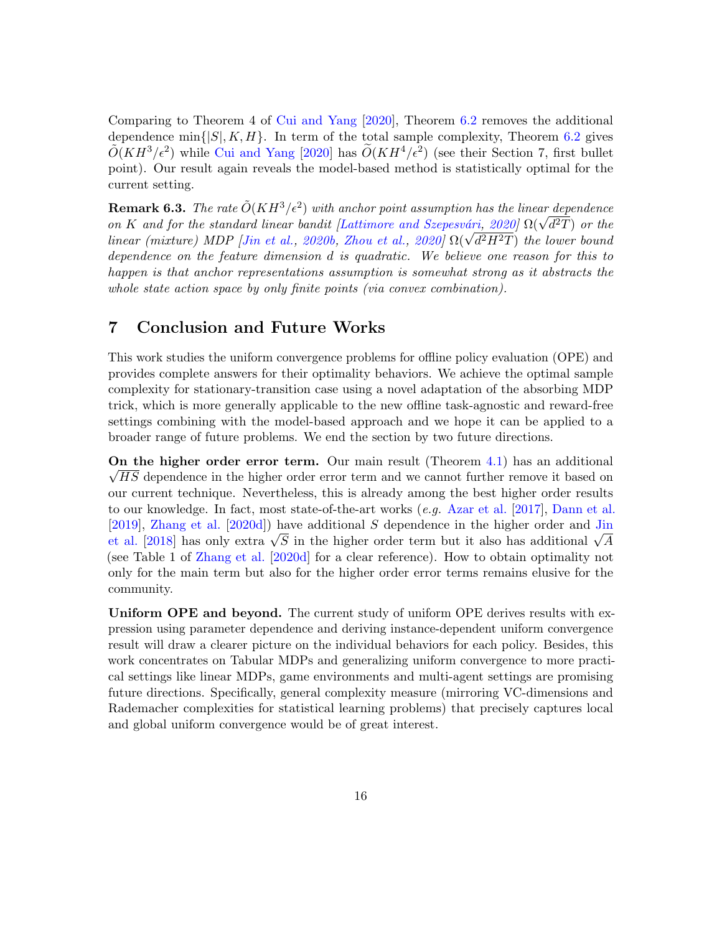Comparing to Theorem 4 of [Cui and Yang](#page-16-6) [\[2020\]](#page-16-6), Theorem [6.2](#page-14-2) removes the additional dependence min $\{|S|, K, H\}$ . In term of the total sample complexity, Theorem [6.2](#page-14-2) gives  $\tilde{O}(KH^3/\epsilon^2)$  while [Cui and Yang](#page-16-6) [\[2020\]](#page-16-6) has  $\tilde{O}(KH^4/\epsilon^2)$  (see their Section 7, first bullet point). Our result again reveals the model-based method is statistically optimal for the current setting.

**Remark 6.3.** The rate  $\tilde{O}(KH^3/\epsilon^2)$  with anchor point assumption has the linear dependence **Remark 6.3.** The rate  $O(K H^{\sigma}/\epsilon^2)$  with anchor point assumption has the linear dependence<br>on K and for the standard linear bandit [Lattimore and Szepesvári, [2020\]](#page-18-12)  $\Omega(\sqrt{d^2T})$  or the on K and for the standard tinear bandit [Lattimore and Szepesvari, [2020\]](#page-21-2)  $\Omega(\sqrt{d^2H^2T})$  or the linear (mixture) MDP [\[Jin et al.,](#page-17-8) [2020b,](#page-17-8) [Zhou et al.,](#page-21-2) 2020]  $\Omega(\sqrt{d^2H^2T})$  the lower bound dependence on the feature dimension d is quadratic. We believe one reason for this to happen is that anchor representations assumption is somewhat strong as it abstracts the whole state action space by only finite points (via convex combination).

## 7 Conclusion and Future Works

This work studies the uniform convergence problems for offline policy evaluation (OPE) and provides complete answers for their optimality behaviors. We achieve the optimal sample complexity for stationary-transition case using a novel adaptation of the absorbing MDP trick, which is more generally applicable to the new offline task-agnostic and reward-free settings combining with the model-based approach and we hope it can be applied to a broader range of future problems. We end the section by two future directions.

On the higher order error term. Our main result (Theorem [4.1\)](#page-9-0) has an additional  $\sqrt{HS}$  dependence in the higher order error term and we cannot further remove it based on our current technique. Nevertheless, this is already among the best higher order results to our knowledge. In fact, most state-of-the-art works (e.g. [Azar et al.](#page-16-4) [\[2017\]](#page-16-4), [Dann et al.](#page-16-8) [\[2019\]](#page-16-8), [Zhang et al.](#page-21-3) [\[2020d\]](#page-21-3)) have additional S dependence in the higher order and [Jin](#page-17-9) [2019], Znang [et al.](#page-17-9) [2020d]) have additional S dependence in the higher order and Jin<br>et al. [\[2018\]](#page-17-9) has only extra  $\sqrt{S}$  in the higher order term but it also has additional  $\sqrt{A}$ (see Table 1 of [Zhang et al.](#page-21-3) [\[2020d\]](#page-21-3) for a clear reference). How to obtain optimality not only for the main term but also for the higher order error terms remains elusive for the community.

Uniform OPE and beyond. The current study of uniform OPE derives results with expression using parameter dependence and deriving instance-dependent uniform convergence result will draw a clearer picture on the individual behaviors for each policy. Besides, this work concentrates on Tabular MDPs and generalizing uniform convergence to more practical settings like linear MDPs, game environments and multi-agent settings are promising future directions. Specifically, general complexity measure (mirroring VC-dimensions and Rademacher complexities for statistical learning problems) that precisely captures local and global uniform convergence would be of great interest.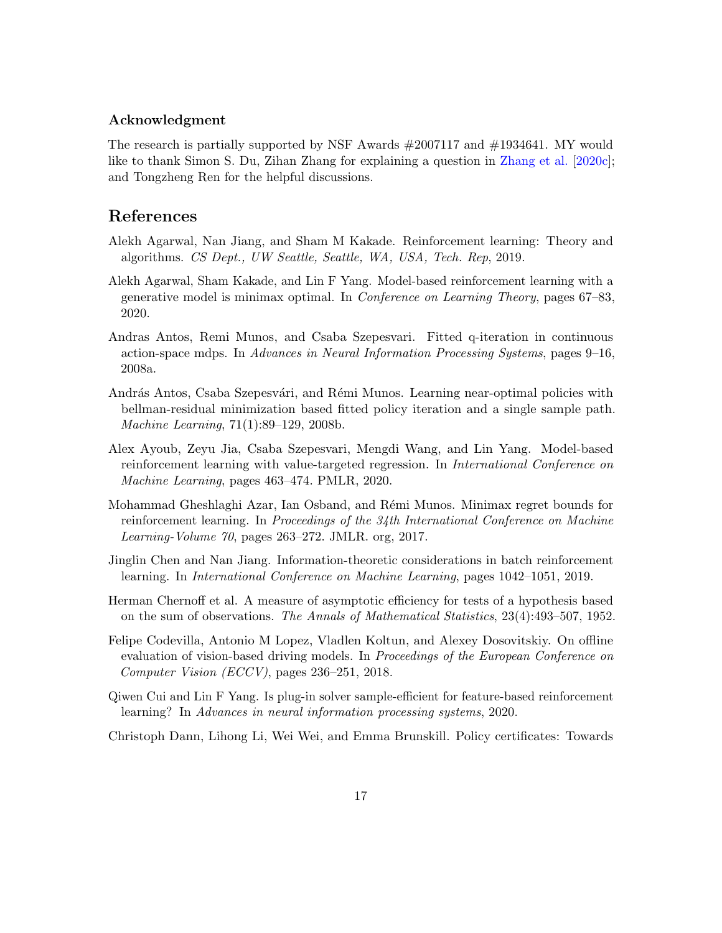### Acknowledgment

The research is partially supported by NSF Awards #2007117 and #1934641. MY would like to thank Simon S. Du, Zihan Zhang for explaining a question in [Zhang et al.](#page-21-0) [\[2020c\]](#page-21-0); and Tongzheng Ren for the helpful discussions.

## References

- <span id="page-16-9"></span>Alekh Agarwal, Nan Jiang, and Sham M Kakade. Reinforcement learning: Theory and algorithms. CS Dept., UW Seattle, Seattle, WA, USA, Tech. Rep, 2019.
- <span id="page-16-5"></span>Alekh Agarwal, Sham Kakade, and Lin F Yang. Model-based reinforcement learning with a generative model is minimax optimal. In Conference on Learning Theory, pages 67–83, 2020.
- <span id="page-16-2"></span>Andras Antos, Remi Munos, and Csaba Szepesvari. Fitted q-iteration in continuous action-space mdps. In Advances in Neural Information Processing Systems, pages 9–16, 2008a.
- <span id="page-16-3"></span>András Antos, Csaba Szepesvári, and Rémi Munos. Learning near-optimal policies with bellman-residual minimization based fitted policy iteration and a single sample path. Machine Learning, 71(1):89–129, 2008b.
- <span id="page-16-7"></span>Alex Ayoub, Zeyu Jia, Csaba Szepesvari, Mengdi Wang, and Lin Yang. Model-based reinforcement learning with value-targeted regression. In International Conference on Machine Learning, pages 463–474. PMLR, 2020.
- <span id="page-16-4"></span>Mohammad Gheshlaghi Azar, Ian Osband, and Rémi Munos. Minimax regret bounds for reinforcement learning. In Proceedings of the 34th International Conference on Machine Learning-Volume 70, pages 263–272. JMLR. org, 2017.
- <span id="page-16-1"></span>Jinglin Chen and Nan Jiang. Information-theoretic considerations in batch reinforcement learning. In International Conference on Machine Learning, pages 1042–1051, 2019.
- <span id="page-16-10"></span>Herman Chernoff et al. A measure of asymptotic efficiency for tests of a hypothesis based on the sum of observations. The Annals of Mathematical Statistics, 23(4):493–507, 1952.
- <span id="page-16-0"></span>Felipe Codevilla, Antonio M Lopez, Vladlen Koltun, and Alexey Dosovitskiy. On offline evaluation of vision-based driving models. In *Proceedings of the European Conference on* Computer Vision (ECCV), pages 236–251, 2018.
- <span id="page-16-6"></span>Qiwen Cui and Lin F Yang. Is plug-in solver sample-efficient for feature-based reinforcement learning? In Advances in neural information processing systems, 2020.

<span id="page-16-8"></span>Christoph Dann, Lihong Li, Wei Wei, and Emma Brunskill. Policy certificates: Towards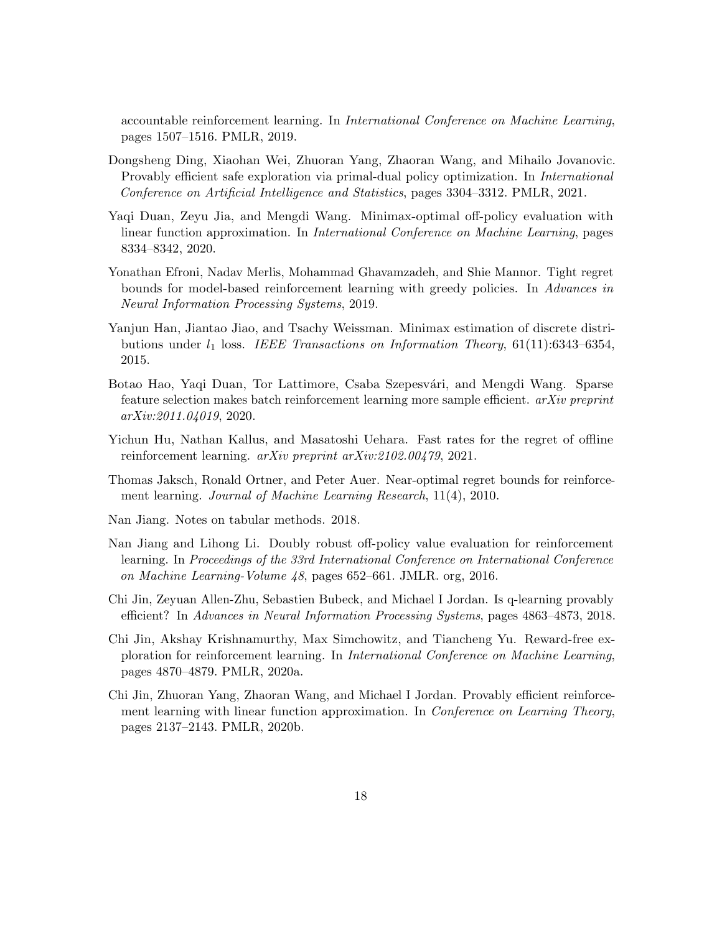accountable reinforcement learning. In International Conference on Machine Learning, pages 1507–1516. PMLR, 2019.

- <span id="page-17-10"></span>Dongsheng Ding, Xiaohan Wei, Zhuoran Yang, Zhaoran Wang, and Mihailo Jovanovic. Provably efficient safe exploration via primal-dual policy optimization. In International Conference on Artificial Intelligence and Statistics, pages 3304–3312. PMLR, 2021.
- <span id="page-17-1"></span>Yaqi Duan, Zeyu Jia, and Mengdi Wang. Minimax-optimal off-policy evaluation with linear function approximation. In International Conference on Machine Learning, pages 8334–8342, 2020.
- <span id="page-17-4"></span>Yonathan Efroni, Nadav Merlis, Mohammad Ghavamzadeh, and Shie Mannor. Tight regret bounds for model-based reinforcement learning with greedy policies. In Advances in Neural Information Processing Systems, 2019.
- <span id="page-17-7"></span>Yanjun Han, Jiantao Jiao, and Tsachy Weissman. Minimax estimation of discrete distributions under  $l_1$  loss. IEEE Transactions on Information Theory, 61(11):6343–6354, 2015.
- <span id="page-17-2"></span>Botao Hao, Yaqi Duan, Tor Lattimore, Csaba Szepesvári, and Mengdi Wang. Sparse feature selection makes batch reinforcement learning more sample efficient. arXiv preprint arXiv:2011.04019, 2020.
- <span id="page-17-3"></span>Yichun Hu, Nathan Kallus, and Masatoshi Uehara. Fast rates for the regret of offline reinforcement learning.  $a rXiv$  preprint  $a rXiv:2102.00479, 2021$ .
- <span id="page-17-6"></span>Thomas Jaksch, Ronald Ortner, and Peter Auer. Near-optimal regret bounds for reinforcement learning. Journal of Machine Learning Research, 11(4), 2010.
- <span id="page-17-11"></span>Nan Jiang. Notes on tabular methods. 2018.
- <span id="page-17-0"></span>Nan Jiang and Lihong Li. Doubly robust off-policy value evaluation for reinforcement learning. In Proceedings of the 33rd International Conference on International Conference on Machine Learning-Volume 48, pages 652–661. JMLR. org, 2016.
- <span id="page-17-9"></span>Chi Jin, Zeyuan Allen-Zhu, Sebastien Bubeck, and Michael I Jordan. Is q-learning provably efficient? In Advances in Neural Information Processing Systems, pages 4863–4873, 2018.
- <span id="page-17-5"></span>Chi Jin, Akshay Krishnamurthy, Max Simchowitz, and Tiancheng Yu. Reward-free exploration for reinforcement learning. In International Conference on Machine Learning, pages 4870–4879. PMLR, 2020a.
- <span id="page-17-8"></span>Chi Jin, Zhuoran Yang, Zhaoran Wang, and Michael I Jordan. Provably efficient reinforcement learning with linear function approximation. In *Conference on Learning Theory*, pages 2137–2143. PMLR, 2020b.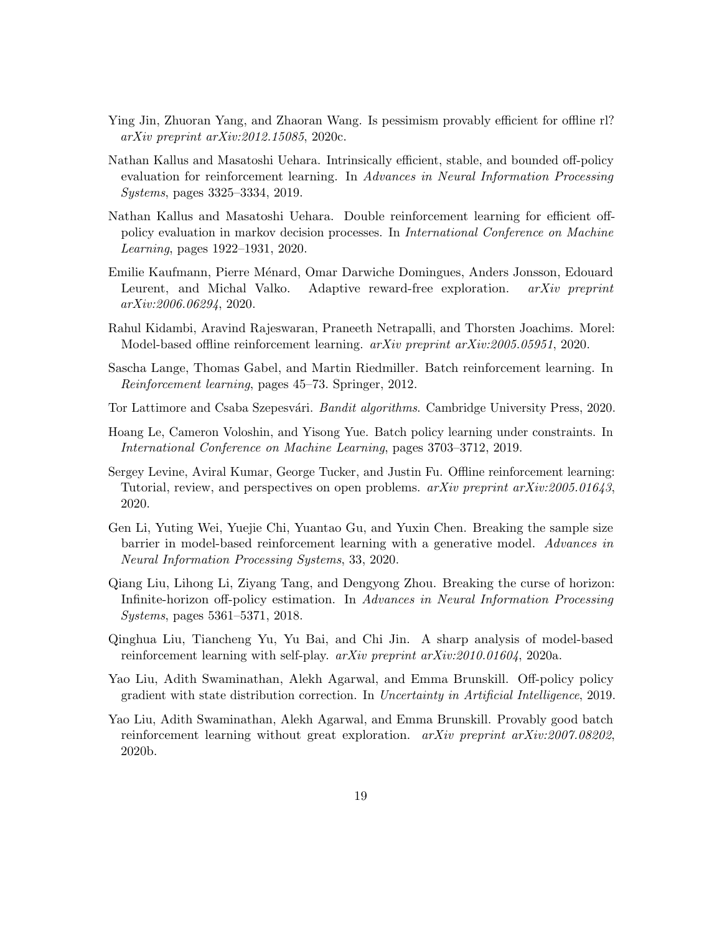- <span id="page-18-7"></span>Ying Jin, Zhuoran Yang, and Zhaoran Wang. Is pessimism provably efficient for offline rl? arXiv preprint arXiv:2012.15085, 2020c.
- <span id="page-18-4"></span>Nathan Kallus and Masatoshi Uehara. Intrinsically efficient, stable, and bounded off-policy evaluation for reinforcement learning. In Advances in Neural Information Processing Systems, pages 3325–3334, 2019.
- <span id="page-18-3"></span>Nathan Kallus and Masatoshi Uehara. Double reinforcement learning for efficient offpolicy evaluation in markov decision processes. In International Conference on Machine Learning, pages 1922–1931, 2020.
- <span id="page-18-9"></span>Emilie Kaufmann, Pierre Ménard, Omar Darwiche Domingues, Anders Jonsson, Edouard Leurent, and Michal Valko. Adaptive reward-free exploration. *arXiv preprint* arXiv:2006.06294, 2020.
- <span id="page-18-10"></span>Rahul Kidambi, Aravind Rajeswaran, Praneeth Netrapalli, and Thorsten Joachims. Morel: Model-based offline reinforcement learning. arXiv preprint arXiv:2005.05951, 2020.
- <span id="page-18-0"></span>Sascha Lange, Thomas Gabel, and Martin Riedmiller. Batch reinforcement learning. In Reinforcement learning, pages 45–73. Springer, 2012.
- <span id="page-18-12"></span>Tor Lattimore and Csaba Szepesvári. Bandit algorithms. Cambridge University Press, 2020.
- <span id="page-18-5"></span>Hoang Le, Cameron Voloshin, and Yisong Yue. Batch policy learning under constraints. In International Conference on Machine Learning, pages 3703–3712, 2019.
- <span id="page-18-1"></span>Sergey Levine, Aviral Kumar, George Tucker, and Justin Fu. Offline reinforcement learning: Tutorial, review, and perspectives on open problems. arXiv preprint arXiv:2005.01643, 2020.
- <span id="page-18-8"></span>Gen Li, Yuting Wei, Yuejie Chi, Yuantao Gu, and Yuxin Chen. Breaking the sample size barrier in model-based reinforcement learning with a generative model. Advances in Neural Information Processing Systems, 33, 2020.
- <span id="page-18-2"></span>Qiang Liu, Lihong Li, Ziyang Tang, and Dengyong Zhou. Breaking the curse of horizon: Infinite-horizon off-policy estimation. In Advances in Neural Information Processing Systems, pages 5361–5371, 2018.
- <span id="page-18-13"></span>Qinghua Liu, Tiancheng Yu, Yu Bai, and Chi Jin. A sharp analysis of model-based reinforcement learning with self-play.  $arXiv$  preprint  $arXiv:2010.01604$ , 2020a.
- <span id="page-18-11"></span>Yao Liu, Adith Swaminathan, Alekh Agarwal, and Emma Brunskill. Off-policy policy gradient with state distribution correction. In Uncertainty in Artificial Intelligence, 2019.
- <span id="page-18-6"></span>Yao Liu, Adith Swaminathan, Alekh Agarwal, and Emma Brunskill. Provably good batch reinforcement learning without great exploration. arXiv preprint arXiv:2007.08202, 2020b.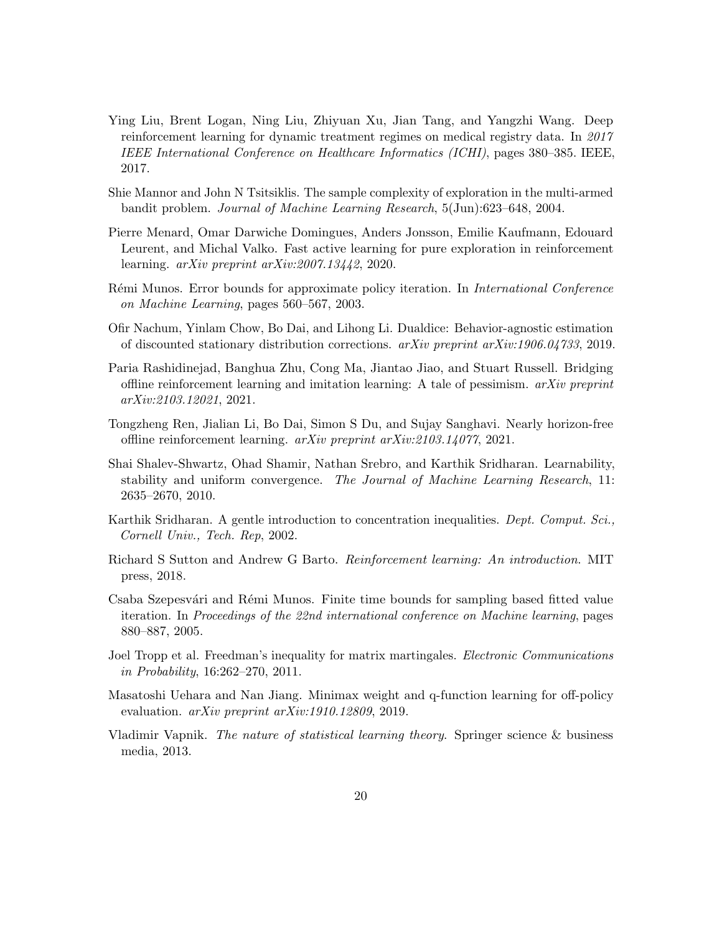- <span id="page-19-0"></span>Ying Liu, Brent Logan, Ning Liu, Zhiyuan Xu, Jian Tang, and Yangzhi Wang. Deep reinforcement learning for dynamic treatment regimes on medical registry data. In 2017 IEEE International Conference on Healthcare Informatics (ICHI), pages 380–385. IEEE, 2017.
- <span id="page-19-11"></span>Shie Mannor and John N Tsitsiklis. The sample complexity of exploration in the multi-armed bandit problem. Journal of Machine Learning Research, 5(Jun):623–648, 2004.
- <span id="page-19-9"></span>Pierre Menard, Omar Darwiche Domingues, Anders Jonsson, Emilie Kaufmann, Edouard Leurent, and Michal Valko. Fast active learning for pure exploration in reinforcement learning. arXiv preprint arXiv:2007.13442, 2020.
- <span id="page-19-6"></span>Rémi Munos. Error bounds for approximate policy iteration. In *International Conference* on Machine Learning, pages 560–567, 2003.
- <span id="page-19-2"></span>Ofir Nachum, Yinlam Chow, Bo Dai, and Lihong Li. Dualdice: Behavior-agnostic estimation of discounted stationary distribution corrections.  $arXiv$  preprint  $arXiv:1906.04733$ , 2019.
- <span id="page-19-3"></span>Paria Rashidinejad, Banghua Zhu, Cong Ma, Jiantao Jiao, and Stuart Russell. Bridging offline reinforcement learning and imitation learning: A tale of pessimism.  $arXiv$  preprint arXiv:2103.12021, 2021.
- <span id="page-19-8"></span>Tongzheng Ren, Jialian Li, Bo Dai, Simon S Du, and Sujay Sanghavi. Nearly horizon-free offline reinforcement learning. arXiv preprint arXiv:2103.14077, 2021.
- <span id="page-19-5"></span>Shai Shalev-Shwartz, Ohad Shamir, Nathan Srebro, and Karthik Sridharan. Learnability, stability and uniform convergence. The Journal of Machine Learning Research, 11: 2635–2670, 2010.
- <span id="page-19-12"></span>Karthik Sridharan. A gentle introduction to concentration inequalities. Dept. Comput. Sci., Cornell Univ., Tech. Rep, 2002.
- <span id="page-19-10"></span>Richard S Sutton and Andrew G Barto. Reinforcement learning: An introduction. MIT press, 2018.
- <span id="page-19-7"></span>Csaba Szepesvári and Rémi Munos. Finite time bounds for sampling based fitted value iteration. In Proceedings of the 22nd international conference on Machine learning, pages 880–887, 2005.
- <span id="page-19-13"></span>Joel Tropp et al. Freedman's inequality for matrix martingales. *Electronic Communications* in Probability, 16:262–270, 2011.
- <span id="page-19-1"></span>Masatoshi Uehara and Nan Jiang. Minimax weight and q-function learning for off-policy evaluation. *arXiv preprint arXiv:1910.12809*, 2019.
- <span id="page-19-4"></span>Vladimir Vapnik. The nature of statistical learning theory. Springer science & business media, 2013.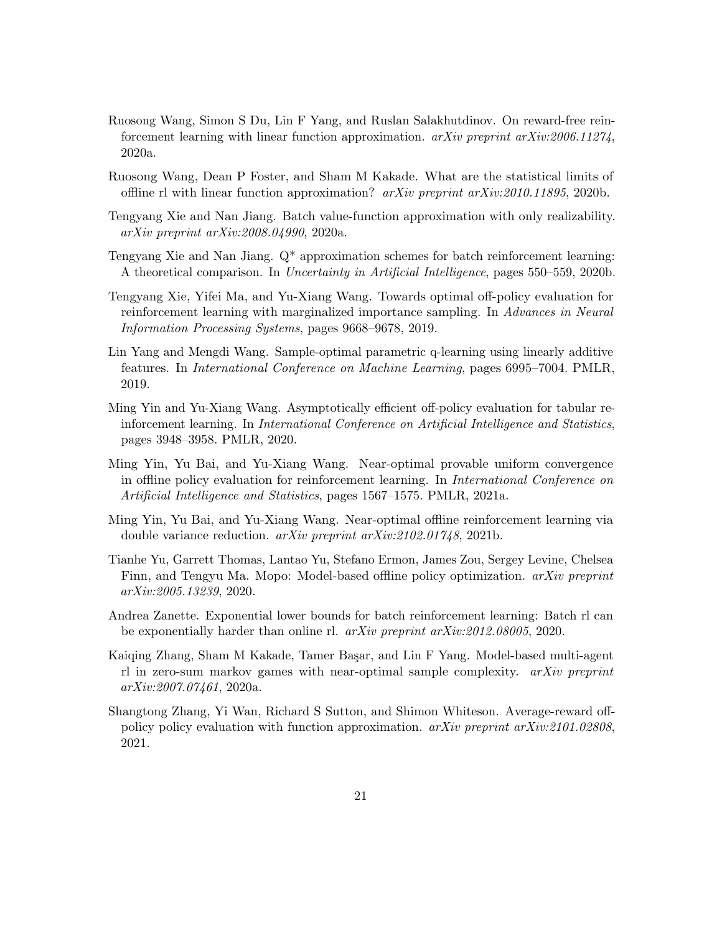- <span id="page-20-12"></span>Ruosong Wang, Simon S Du, Lin F Yang, and Ruslan Salakhutdinov. On reward-free reinforcement learning with linear function approximation.  $arXiv$  preprint  $arXiv:2006.11274$ , 2020a.
- <span id="page-20-2"></span>Ruosong Wang, Dean P Foster, and Sham M Kakade. What are the statistical limits of offline rl with linear function approximation?  $arXiv$  preprint  $arXiv:2010.11895$ , 2020b.
- <span id="page-20-4"></span>Tengyang Xie and Nan Jiang. Batch value-function approximation with only realizability. arXiv preprint arXiv:2008.04990, 2020a.
- <span id="page-20-5"></span>Tengyang Xie and Nan Jiang. Q\* approximation schemes for batch reinforcement learning: A theoretical comparison. In Uncertainty in Artificial Intelligence, pages 550–559, 2020b.
- <span id="page-20-0"></span>Tengyang Xie, Yifei Ma, and Yu-Xiang Wang. Towards optimal off-policy evaluation for reinforcement learning with marginalized importance sampling. In Advances in Neural Information Processing Systems, pages 9668–9678, 2019.
- <span id="page-20-10"></span>Lin Yang and Mengdi Wang. Sample-optimal parametric q-learning using linearly additive features. In International Conference on Machine Learning, pages 6995–7004. PMLR, 2019.
- <span id="page-20-1"></span>Ming Yin and Yu-Xiang Wang. Asymptotically efficient off-policy evaluation for tabular reinforcement learning. In International Conference on Artificial Intelligence and Statistics, pages 3948–3958. PMLR, 2020.
- <span id="page-20-8"></span>Ming Yin, Yu Bai, and Yu-Xiang Wang. Near-optimal provable uniform convergence in offline policy evaluation for reinforcement learning. In International Conference on Artificial Intelligence and Statistics, pages 1567–1575. PMLR, 2021a.
- <span id="page-20-7"></span>Ming Yin, Yu Bai, and Yu-Xiang Wang. Near-optimal offline reinforcement learning via double variance reduction. arXiv preprint arXiv:2102.01748, 2021b.
- <span id="page-20-11"></span>Tianhe Yu, Garrett Thomas, Lantao Yu, Stefano Ermon, James Zou, Sergey Levine, Chelsea Finn, and Tengyu Ma. Mopo: Model-based offline policy optimization. arXiv preprint arXiv:2005.13239, 2020.
- <span id="page-20-6"></span>Andrea Zanette. Exponential lower bounds for batch reinforcement learning: Batch rl can be exponentially harder than online rl. arXiv preprint arXiv:2012.08005, 2020.
- <span id="page-20-9"></span>Kaiqing Zhang, Sham M Kakade, Tamer Başar, and Lin F Yang. Model-based multi-agent rl in zero-sum markov games with near-optimal sample complexity. arXiv preprint arXiv:2007.07461, 2020a.
- <span id="page-20-3"></span>Shangtong Zhang, Yi Wan, Richard S Sutton, and Shimon Whiteson. Average-reward offpolicy policy evaluation with function approximation.  $arXiv$  preprint  $arXiv:2101.02808$ , 2021.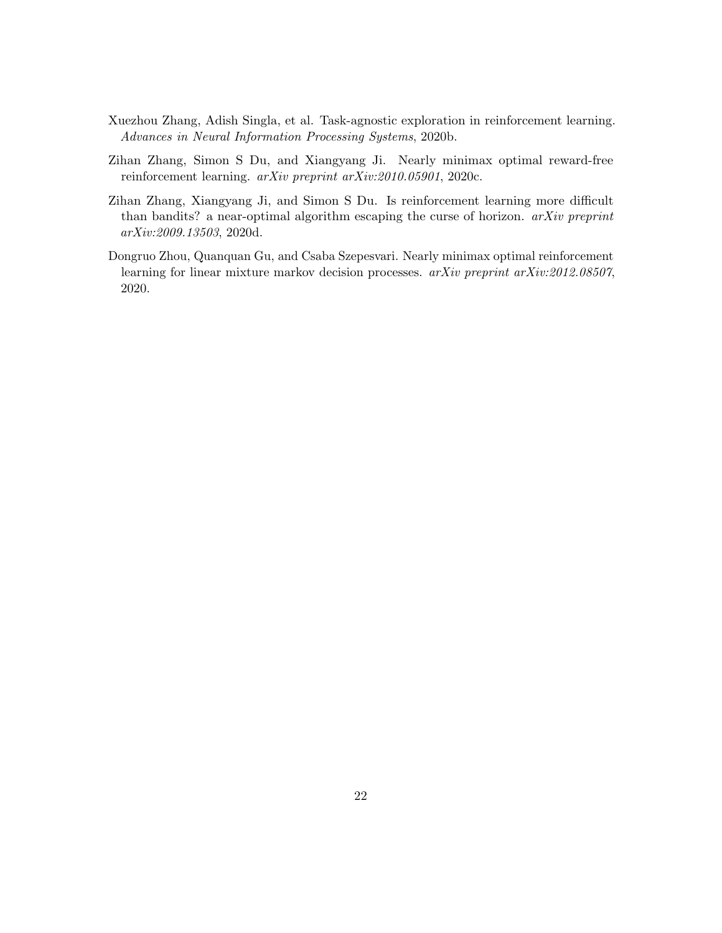- <span id="page-21-1"></span>Xuezhou Zhang, Adish Singla, et al. Task-agnostic exploration in reinforcement learning. Advances in Neural Information Processing Systems, 2020b.
- <span id="page-21-0"></span>Zihan Zhang, Simon S Du, and Xiangyang Ji. Nearly minimax optimal reward-free reinforcement learning. arXiv preprint arXiv:2010.05901, 2020c.
- <span id="page-21-3"></span>Zihan Zhang, Xiangyang Ji, and Simon S Du. Is reinforcement learning more difficult than bandits? a near-optimal algorithm escaping the curse of horizon.  $arXiv$  preprint arXiv:2009.13503, 2020d.
- <span id="page-21-2"></span>Dongruo Zhou, Quanquan Gu, and Csaba Szepesvari. Nearly minimax optimal reinforcement learning for linear mixture markov decision processes.  $arXiv$  preprint  $arXiv:2012.08507$ , 2020.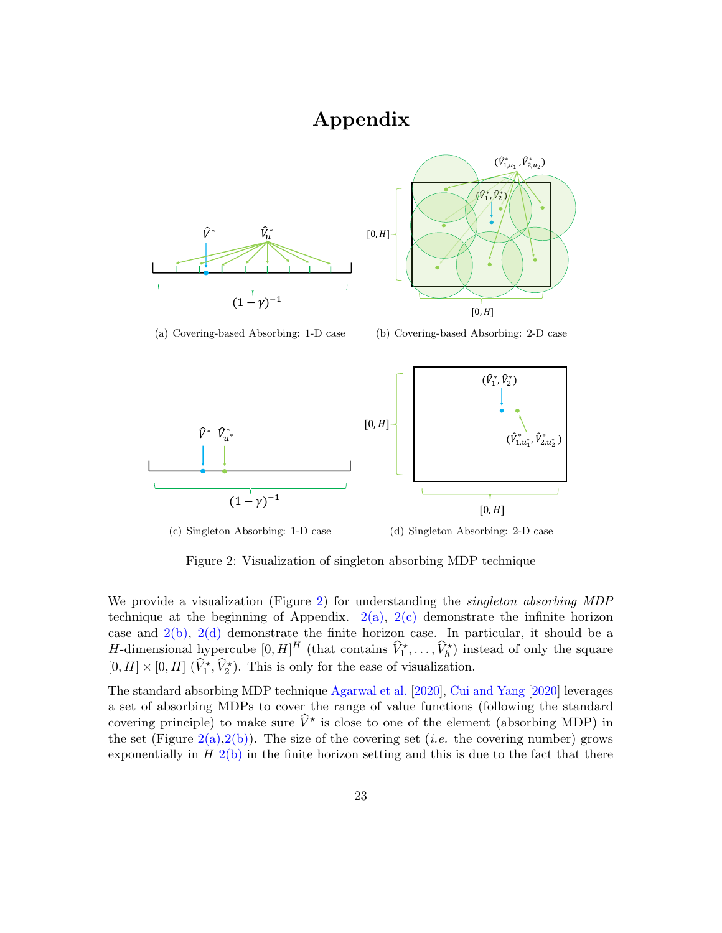# Appendix

<span id="page-22-1"></span>

 $[0, H]$  $[0, H]$  $(\hat{V}_1^*, \hat{V}_2^*)$  $(\hat{V}_{1,u_1}^*, \hat{V}_{2,u_2}^*)$ 

(a) Covering-based Absorbing: 1-D case

<span id="page-22-4"></span><span id="page-22-3"></span>(b) Covering-based Absorbing: 2-D case



<span id="page-22-2"></span><span id="page-22-0"></span>

Figure 2: Visualization of singleton absorbing MDP technique

We provide a visualization (Figure [2\)](#page-22-0) for understanding the *singleton absorbing MDP* technique at the beginning of Appendix.  $2(a)$ ,  $2(c)$  demonstrate the infinite horizon case and  $2(b)$ ,  $2(d)$  demonstrate the finite horizon case. In particular, it should be a *H*-dimensional hypercube  $[0, H]^H$  (that contains  $\widehat{V}_1^*, \ldots, \widehat{V}_h^*$ ) instead of only the square  $[0, H] \times [0, H]$   $(\widehat{V}_1^*, \widehat{V}_2^*)$ . This is only for the ease of visualization.

The standard absorbing MDP technique [Agarwal et al.](#page-16-5) [\[2020\]](#page-16-5), [Cui and Yang](#page-16-6) [\[2020\]](#page-16-6) leverages a set of absorbing MDPs to cover the range of value functions (following the standard covering principle) to make sure  $\hat{V}^*$  is close to one of the element (absorbing MDP) in the set (Figure  $2(a)$ ,  $2(b)$ ). The size of the covering set (*i.e.* the covering number) grows exponentially in  $H_2(b)$  $H_2(b)$  in the finite horizon setting and this is due to the fact that there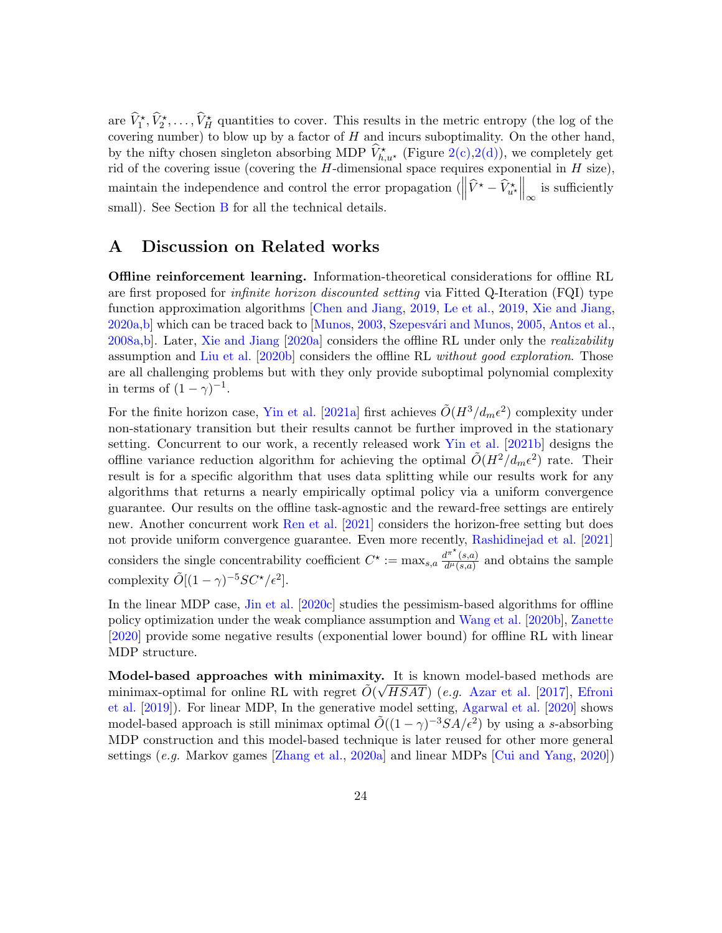are  $\hat{V}_1^*, \hat{V}_2^*, \ldots, \hat{V}_H^*$  quantities to cover. This results in the metric entropy (the log of the covering number) to blow up by a factor of  $H$  and incurs suboptimality. On the other hand, by the nifty chosen singleton absorbing MDP  $\hat{V}^{\star}_{h,u^{\star}}$  (Figure [2\(c\),](#page-22-2)[2\(d\)\)](#page-22-4), we completely get rid of the covering issue (covering the  $H$ -dimensional space requires exponential in  $H$  size), maintain the independence and control the error propagation  $\left( \left\| \widehat{V}^{\star} - \widehat{V}_{u^{\star}}^{\star} \right\|_{\infty}$  is sufficiently small). See Section [B](#page-24-0) for all the technical details.

## <span id="page-23-0"></span>A Discussion on Related works

Offline reinforcement learning. Information-theoretical considerations for offline RL are first proposed for infinite horizon discounted setting via Fitted Q-Iteration (FQI) type function approximation algorithms [\[Chen and Jiang,](#page-16-1) [2019,](#page-16-1) [Le et al.,](#page-18-5) [2019,](#page-18-5) [Xie and Jiang,](#page-20-4) [2020a](#page-20-4)[,b\]](#page-20-5) which can be traced back to [\[Munos,](#page-19-6) [2003,](#page-19-6) Szepesvári and Munos, [2005,](#page-19-7) [Antos et al.,](#page-16-2) [2008a,](#page-16-2)[b\]](#page-16-3). Later, [Xie and Jiang](#page-20-4) [\[2020a\]](#page-20-4) considers the offline RL under only the realizability assumption and [Liu et al.](#page-18-6) [\[2020b\]](#page-18-6) considers the offline RL without good exploration. Those are all challenging problems but with they only provide suboptimal polynomial complexity in terms of  $(1 - \gamma)^{-1}$ .

For the finite horizon case, [Yin et al.](#page-20-8) [\[2021a\]](#page-20-8) first achieves  $\tilde{O}(H^3/d_m\epsilon^2)$  complexity under non-stationary transition but their results cannot be further improved in the stationary setting. Concurrent to our work, a recently released work [Yin et al.](#page-20-7) [\[2021b\]](#page-20-7) designs the offline variance reduction algorithm for achieving the optimal  $\tilde{O}(H^2/d_m\epsilon^2)$  rate. Their result is for a specific algorithm that uses data splitting while our results work for any algorithms that returns a nearly empirically optimal policy via a uniform convergence guarantee. Our results on the offline task-agnostic and the reward-free settings are entirely new. Another concurrent work [Ren et al.](#page-19-8) [\[2021\]](#page-19-8) considers the horizon-free setting but does not provide uniform convergence guarantee. Even more recently, [Rashidinejad et al.](#page-19-3) [\[2021\]](#page-19-3) considers the single concentrability coefficient  $C^* := \max_{s,a} \frac{d^{\pi^*}(s,a)}{d^{\mu}(s,a)}$  $\frac{d^{n}(s,a)}{d^{n}(s,a)}$  and obtains the sample complexity  $\tilde{O}[(1-\gamma)^{-5}SC^{\star}/\epsilon^2]$ .

In the linear MDP case, [Jin et al.](#page-18-7) [\[2020c\]](#page-18-7) studies the pessimism-based algorithms for offline policy optimization under the weak compliance assumption and [Wang et al.](#page-20-2) [\[2020b\]](#page-20-2), [Zanette](#page-20-6) [\[2020\]](#page-20-6) provide some negative results (exponential lower bound) for offline RL with linear MDP structure.

Model-based approaches with minimaxity. It is known model-based methods are minimax-optimal for online RL with regret  $\tilde{O}(\sqrt{HSAT})$  (e.g. [Azar et al.](#page-16-4) [\[2017\]](#page-16-4), [Efroni](#page-17-4) [et al.](#page-17-4) [\[2019\]](#page-17-4)). For linear MDP, In the generative model setting, [Agarwal et al.](#page-16-5) [\[2020\]](#page-16-5) shows model-based approach is still minimax optimal  $\tilde{O}((1-\gamma)^{-3}SA/\epsilon^2)$  by using a s-absorbing MDP construction and this model-based technique is later reused for other more general settings (e.g. Markov games [\[Zhang et al.,](#page-20-9) [2020a\]](#page-20-9) and linear MDPs [\[Cui and Yang,](#page-16-6) [2020\]](#page-16-6))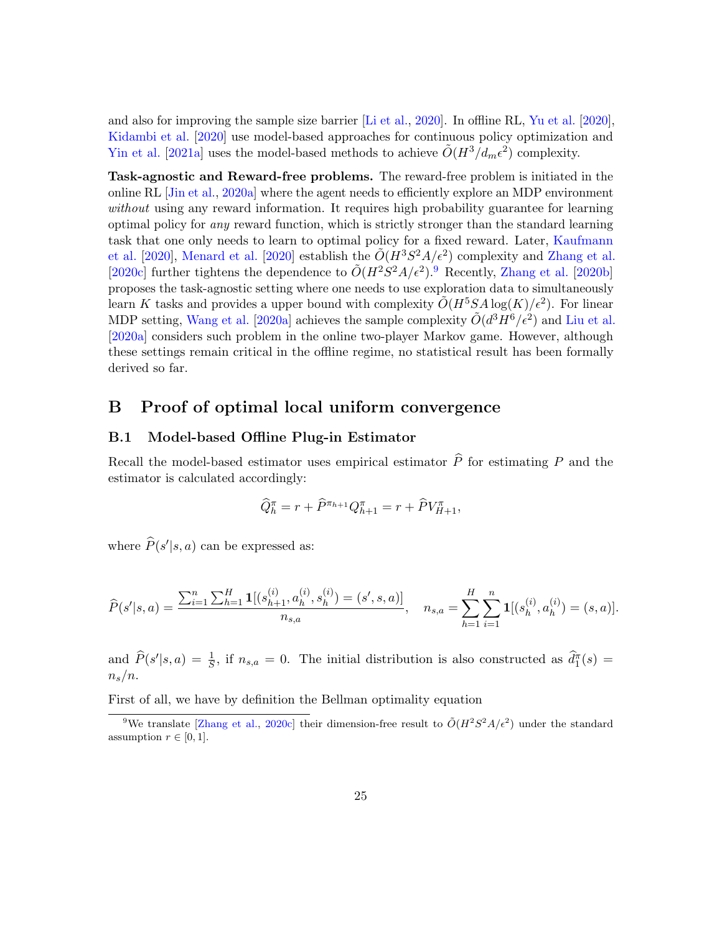and also for improving the sample size barrier [\[Li et al.,](#page-18-8) [2020\]](#page-18-8). In offline RL, [Yu et al.](#page-20-11) [\[2020\]](#page-20-11), [Kidambi et al.](#page-18-10) [\[2020\]](#page-18-10) use model-based approaches for continuous policy optimization and [Yin et al.](#page-20-8) [\[2021a\]](#page-20-8) uses the model-based methods to achieve  $\tilde{O}(H^3/d_m\epsilon^2)$  complexity.

Task-agnostic and Reward-free problems. The reward-free problem is initiated in the online RL [\[Jin et al.,](#page-17-5) [2020a\]](#page-17-5) where the agent needs to efficiently explore an MDP environment without using any reward information. It requires high probability guarantee for learning optimal policy for any reward function, which is strictly stronger than the standard learning task that one only needs to learn to optimal policy for a fixed reward. Later, [Kaufmann](#page-18-9) [et al.](#page-18-9) [\[2020\]](#page-19-9), [Menard et al.](#page-19-9) [2020] establish the  $O(H^3S^2A/\epsilon^2)$  complexity and [Zhang et al.](#page-21-0) [\[2020c\]](#page-21-0) further tightens the dependence to  $O(H^2S^2A/\epsilon^2)$ .<sup>[9](#page-24-1)</sup> Recently, [Zhang et al.](#page-21-1) [\[2020b\]](#page-21-1) proposes the task-agnostic setting where one needs to use exploration data to simultaneously learn K tasks and provides a upper bound with complexity  $\tilde{O}(H^5SA \log(K)/\epsilon^2)$ . For linear MDP setting, [Wang et al.](#page-20-12) [\[2020a\]](#page-20-12) achieves the sample complexity  $\tilde{O}(d^3H^6/\epsilon^2)$  and [Liu et al.](#page-18-13) [\[2020a\]](#page-18-13) considers such problem in the online two-player Markov game. However, although these settings remain critical in the offline regime, no statistical result has been formally derived so far.

## <span id="page-24-0"></span>B Proof of optimal local uniform convergence

## B.1 Model-based Offline Plug-in Estimator

Recall the model-based estimator uses empirical estimator  $\hat{P}$  for estimating P and the estimator is calculated accordingly:

$$
\widehat{Q}_{h}^{\pi} = r + \widehat{P}^{\pi_{h+1}} Q_{h+1}^{\pi} = r + \widehat{P} V_{H+1}^{\pi},
$$

where  $\widehat{P}(s'|s, a)$  can be expressed as:

$$
\widehat{P}(s'|s,a) = \frac{\sum_{i=1}^{n} \sum_{h=1}^{H} \mathbf{1}[(s_{h+1}^{(i)}, a_h^{(i)}, s_h^{(i)}) = (s', s, a)]}{n_{s,a}}, \quad n_{s,a} = \sum_{h=1}^{H} \sum_{i=1}^{n} \mathbf{1}[(s_h^{(i)}, a_h^{(i)}) = (s, a)].
$$

and  $\widehat{P}(s'|s,a) = \frac{1}{\overline{S}}$ , if  $n_{s,a} = 0$ . The initial distribution is also constructed as  $\widehat{d}_1^{\pi}(s) =$  $n_s/n$ .

First of all, we have by definition the Bellman optimality equation

<span id="page-24-1"></span><sup>&</sup>lt;sup>9</sup>We translate [\[Zhang et al.,](#page-21-0) [2020c\]](#page-21-0) their dimension-free result to  $O(H^2S^2A/\epsilon^2)$  under the standard assumption  $r \in [0, 1]$ .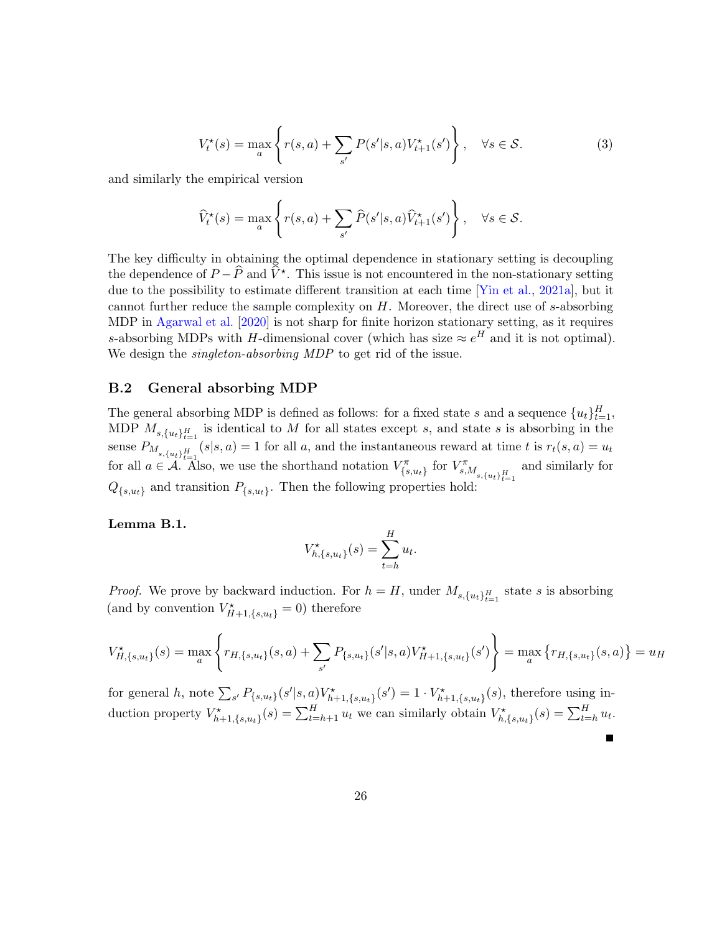$$
V_t^{\star}(s) = \max_{a} \left\{ r(s, a) + \sum_{s'} P(s'|s, a) V_{t+1}^{\star}(s') \right\}, \quad \forall s \in \mathcal{S}.
$$
 (3)

and similarly the empirical version

$$
\widehat{V}_t^{\star}(s) = \max_{a} \left\{ r(s, a) + \sum_{s'} \widehat{P}(s'|s, a) \widehat{V}_{t+1}^{\star}(s') \right\}, \quad \forall s \in \mathcal{S}.
$$

The key difficulty in obtaining the optimal dependence in stationary setting is decoupling the dependence of  $P - \widehat{P}$  and  $\widehat{V}^*$ . This issue is not encountered in the non-stationary setting due to the possibility to estimate different transition at each time [\[Yin et al.,](#page-20-8) [2021a\]](#page-20-8), but it cannot further reduce the sample complexity on  $H$ . Moreover, the direct use of s-absorbing MDP in [Agarwal et al.](#page-16-5) [\[2020\]](#page-16-5) is not sharp for finite horizon stationary setting, as it requires s-absorbing MDPs with H-dimensional cover (which has size  $\approx e^H$  and it is not optimal). We design the *singleton-absorbing MDP* to get rid of the issue.

#### B.2 General absorbing MDP

The general absorbing MDP is defined as follows: for a fixed state s and a sequence  $\{u_t\}_{t=1}^H$ , MDP  $M_{s,\lbrace u_t \rbrace_{t=1}^H}$  is identical to M for all states except s, and state s is absorbing in the sense  $P_{M_{s,\{u_t\}_{t=1}^H}}(s|s,a) = 1$  for all a, and the instantaneous reward at time t is  $r_t(s,a) = u_t$ for all  $a \in \mathcal{A}$ . Also, we use the shorthand notation  $V_{\{s,u_t\}}^{\pi}$  for  $V_{s,M_{s,\{u_t\}_{t=1}^H}}^{\pi}$ and similarly for  $Q_{\{s,u_t\}}$  and transition  $P_{\{s,u_t\}}$ . Then the following properties hold:

### <span id="page-25-1"></span>Lemma B.1.

$$
V_{h,\{s,u_t\}}^{\star}(s) = \sum_{t=h}^{H} u_t.
$$

*Proof.* We prove by backward induction. For  $h = H$ , under  $M_{s, \{u_t\}_{t=1}^H}$  state s is absorbing (and by convention  $V_{H+1,\{s,u_t\}}^{\star} = 0$ ) therefore

$$
V_{H,\{s,u_t\}}^{\star}(s) = \max_{a} \left\{ r_{H,\{s,u_t\}}(s,a) + \sum_{s'} P_{\{s,u_t\}}(s'|s,a) V_{H+1,\{s,u_t\}}^{\star}(s') \right\} = \max_{a} \left\{ r_{H,\{s,u_t\}}(s,a) \right\} = u_H
$$

Г

<span id="page-25-0"></span>for general h, note  $\sum_{s'} P_{\{s,u_t\}}(s'|s,a)V^{\star}_{h+1,\{s,u_t\}}(s') = 1 \cdot V^{\star}_{h+1,\{s,u_t\}}(s)$ , therefore using induction property  $V^{\star}_{h+1,\{s,u_t\}}(s) = \sum_{t=h+1}^{H} u_t$  we can similarly obtain  $V^{\star}_{h,\{s,u_t\}}(s) = \sum_{t=h}^{H} u_t$ .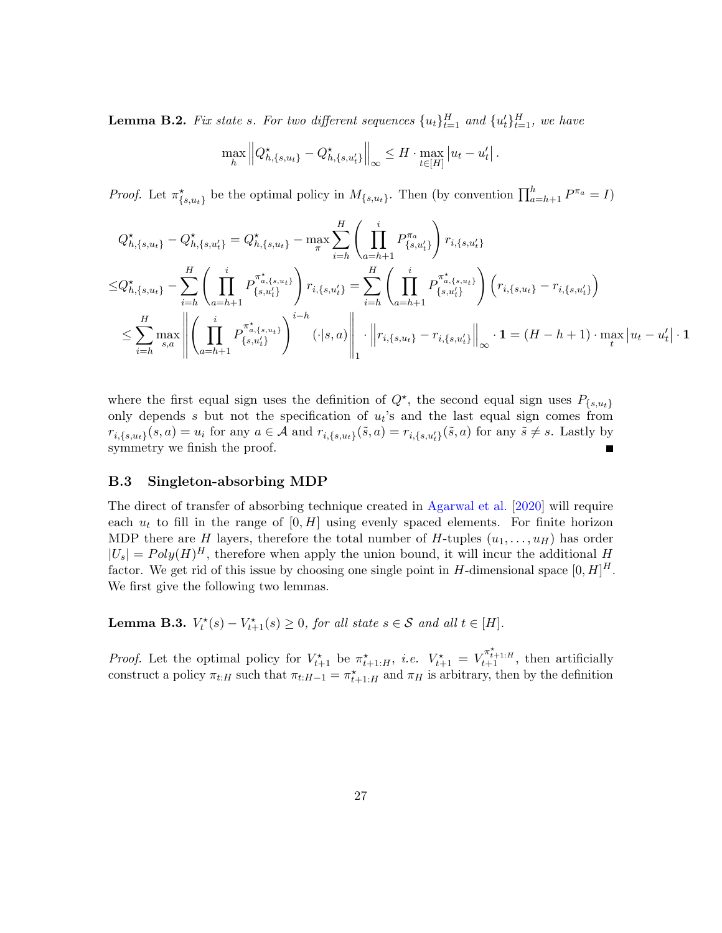**Lemma B.2.** Fix state s. For two different sequences  $\{u_t\}_{t=1}^H$  and  $\{u_t'\}_{t=1}^H$ , we have

$$
\max_{h} \left\| Q_{h,\{s,u_t\}}^\star - Q_{h,\{s,u_t'\}}^\star \right\|_{\infty} \leq H \cdot \max_{t \in [H]} |u_t - u_t'|.
$$

*Proof.* Let  $\pi^*_{\{s,u_t\}}$  be the optimal policy in  $M_{\{s,u_t\}}$ . Then (by convention  $\prod_{a=h+1}^h P^{\pi_a} = I$ )

$$
Q_{h,\{s,u_t\}}^{\star} - Q_{h,\{s,u_t\}}^{\star} = Q_{h,\{s,u_t\}}^{\star} - \max_{\pi} \sum_{i=h}^{H} \left( \prod_{a=h+1}^{i} P_{\{s,u_t'\}}^{\pi_a} \right) r_{i,\{s,u_t'\}}
$$
  
\n
$$
\leq Q_{h,\{s,u_t\}}^{\star} - \sum_{i=h}^{H} \left( \prod_{a=h+1}^{i} P_{\{s,u_t'\}}^{\pi_{a,\{s,u_t\}}^{\star}} \right) r_{i,\{s,u_t'\}} = \sum_{i=h}^{H} \left( \prod_{a=h+1}^{i} P_{\{s,u_t'\}}^{\pi_{a,\{s,u_t\}}^{\star}} \right) \left( r_{i,\{s,u_t\}} - r_{i,\{s,u_t'\}} \right)
$$
  
\n
$$
\leq \sum_{i=h}^{H} \max_{s,a} \left\| \left( \prod_{a=h+1}^{i} P_{\{s,u_t'\}}^{\pi_{a,\{s,u_t\}}^{\star}} \right)^{i-h} (\cdot|s,a) \right\|_1 \cdot \left\| r_{i,\{s,u_t\}} - r_{i,\{s,u_t'\}} \right\|_{\infty} \cdot \mathbf{1} = (H-h+1) \cdot \max_{t} |u_t - u_t'| \cdot \mathbf{1}
$$

where the first equal sign uses the definition of  $Q^*$ , the second equal sign uses  $P_{\{s,u_t\}}$ only depends  $s$  but not the specification of  $u_t$ 's and the last equal sign comes from  $r_{i,\{s,u_t\}}(s,a) = u_i$  for any  $a \in \mathcal{A}$  and  $r_{i,\{s,u_t\}}(\tilde{s},a) = r_{i,\{s,u'_t\}}(\tilde{s},a)$  for any  $\tilde{s} \neq s$ . Lastly by symmetry we finish the proof. Г

#### B.3 Singleton-absorbing MDP

The direct of transfer of absorbing technique created in [Agarwal et al.](#page-16-5) [\[2020\]](#page-16-5) will require each  $u_t$  to fill in the range of  $[0, H]$  using evenly spaced elements. For finite horizon MDP there are H layers, therefore the total number of H-tuples  $(u_1, \ldots, u_H)$  has order  $|U_s| = Poly(H)^H$ , therefore when apply the union bound, it will incur the additional H factor. We get rid of this issue by choosing one single point in H-dimensional space  $[0, H]^H$ . We first give the following two lemmas.

<span id="page-26-0"></span>**Lemma B.3.**  $V_t^*(s) - V_{t+1}^*(s) \ge 0$ , for all state  $s \in S$  and all  $t \in [H]$ .

*Proof.* Let the optimal policy for  $V_{t+1}^{\star}$  be  $\pi_{t+1:H}^{\star}$ , *i.e.*  $V_{t+1}^{\star} = V_{t+1}^{\pi_{t+1:H}^{\star}}$ , then artificially construct a policy  $\pi_{t:H}$  such that  $\pi_{t:H-1} = \pi_{t+1:H}^*$  and  $\pi_H$  is arbitrary, then by the definition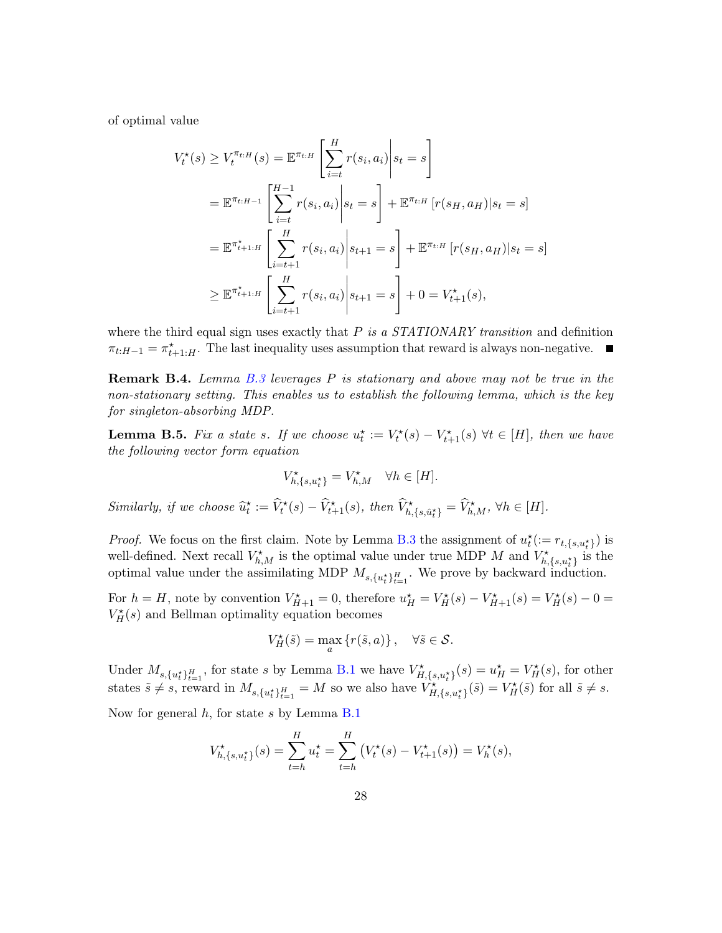of optimal value

$$
V_t^{\star}(s) \ge V_t^{\pi_{t:H}}(s) = \mathbb{E}^{\pi_{t:H}} \left[ \sum_{i=t}^{H} r(s_i, a_i) \middle| s_t = s \right]
$$
  
=  $\mathbb{E}^{\pi_{t:H-1}} \left[ \sum_{i=t}^{H-1} r(s_i, a_i) \middle| s_t = s \right] + \mathbb{E}^{\pi_{t:H}} \left[ r(s_H, a_H) \middle| s_t = s \right]$   
=  $\mathbb{E}^{\pi_{t+1:H}^{\star}} \left[ \sum_{i=t+1}^{H} r(s_i, a_i) \middle| s_{t+1} = s \right] + \mathbb{E}^{\pi_{t:H}} \left[ r(s_H, a_H) \middle| s_t = s \right]$   
 $\ge \mathbb{E}^{\pi_{t+1:H}^{\star}} \left[ \sum_{i=t+1}^{H} r(s_i, a_i) \middle| s_{t+1} = s \right] + 0 = V_{t+1}^{\star}(s),$ 

where the third equal sign uses exactly that  $P$  is a STATIONARY transition and definition  $\pi_{t:H-1} = \pi_{t+1:H}^{\star}$ . The last inequality uses assumption that reward is always non-negative.

Remark B.4. Lemma [B.3](#page-26-0) leverages P is stationary and above may not be true in the non-stationary setting. This enables us to establish the following lemma, which is the key for singleton-absorbing MDP.

<span id="page-27-0"></span>**Lemma B.5.** Fix a state s. If we choose  $u_t^* := V_t^*(s) - V_{t+1}^*(s) \ \forall t \in [H]$ , then we have the following vector form equation

$$
V_{h,\{s,u_t^{\star}\}}^{\star} = V_{h,M}^{\star} \quad \forall h \in [H].
$$

Similarly, if we choose  $\widehat{u}_t^* := \widehat{V}_t^*(s) - \widehat{V}_{t+1}^*(s)$ , then  $\widehat{V}_{h,\{s,\hat{u}_t^*\}}^* = \widehat{V}_{h,M}^*$ ,  $\forall h \in [H]$ .

*Proof.* We focus on the first claim. Note by Lemma [B.3](#page-26-0) the assignment of  $u_t^{\star} := r_{t,\{s,u_t^{\star}\}}$  is well-defined. Next recall  $V_{h,M}^{\star}$  is the optimal value under true MDP M and  $V_{h,\{s,u\}}^{\star}$  is the optimal value under the assimilating MDP  $M_{s,\{u_t^*\}_{t=1}^H}$ . We prove by backward induction.

For  $h = H$ , note by convention  $V_{H+1}^* = 0$ , therefore  $u_H^* = V_H^*(s) - V_{H+1}^*(s) = V_H^*(s) - 0 =$  $V_H^{\star}(s)$  and Bellman optimality equation becomes

$$
V_H^{\star}(\tilde{s}) = \max_{a} \{r(\tilde{s}, a)\}, \quad \forall \tilde{s} \in \mathcal{S}.
$$

Under  $M_{s,\{u_t^*\}_{t=1}^H}$ , for state s by Lemma [B.1](#page-25-1) we have  $V_{H,\{s,u_t^*\}}^{\star}(s) = u_H^{\star} = V_H^{\star}(s)$ , for other states  $\tilde{s} \neq s$ , reward in  $M_{s,\{u^*_t\}_{t=1}^H} = M$  so we also have  $V^*_{H,\{s,u^*_t\}}(\tilde{s}) = V^*_{H}(\tilde{s})$  for all  $\tilde{s} \neq s$ .

Now for general  $h$ , for state s by Lemma [B.1](#page-25-1)

$$
V_{h,\{s,u_t^{\star}\}}^{\star}(s) = \sum_{t=h}^{H} u_t^{\star} = \sum_{t=h}^{H} (V_t^{\star}(s) - V_{t+1}^{\star}(s)) = V_h^{\star}(s),
$$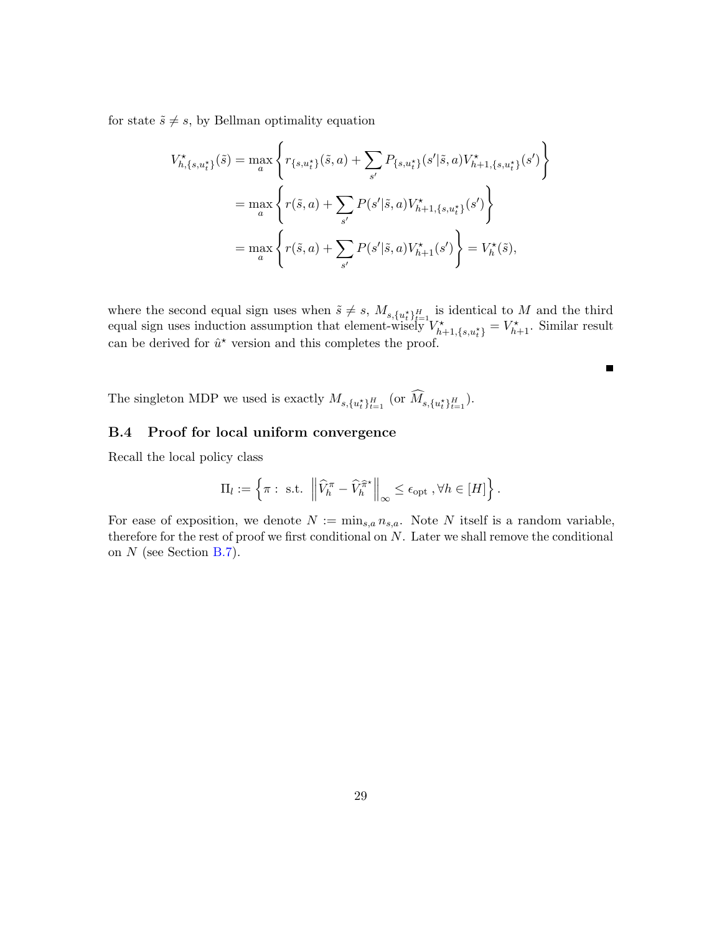for state  $\tilde{s} \neq s$ , by Bellman optimality equation

$$
V_{h,\{s,u_t^{\star}\}}^{\star}(\tilde{s}) = \max_{a} \left\{ r_{\{s,u_t^{\star}\}}(\tilde{s},a) + \sum_{s'} P_{\{s,u_t^{\star}\}}(s'|\tilde{s},a) V_{h+1,\{s,u_t^{\star}\}}^{\star}(s') \right\}
$$
  

$$
= \max_{a} \left\{ r(\tilde{s},a) + \sum_{s'} P(s'|\tilde{s},a) V_{h+1,\{s,u_t^{\star}\}}^{\star}(s') \right\}
$$
  

$$
= \max_{a} \left\{ r(\tilde{s},a) + \sum_{s'} P(s'|\tilde{s},a) V_{h+1}^{\star}(s') \right\} = V_h^{\star}(\tilde{s}),
$$

where the second equal sign uses when  $\tilde{s} \neq s$ ,  $M_{s,\{u_t^*\}_{t=1}^H}$  is identical to M and the third equal sign uses induction assumption that element-wisely  $V^*_{h+1,\{s,u^*_t\}} = V^*_{h+1}$ . Similar result can be derived for  $\hat{u}^*$  version and this completes the proof.

 $\blacksquare$ 

The singleton MDP we used is exactly  $M_{s,\{u_t^*\}_{t=1}^H}$  (or  $M_{s,\{u_t^*\}_{t=1}^H}$ ).

## <span id="page-28-0"></span>B.4 Proof for local uniform convergence

Recall the local policy class

$$
\Pi_l := \left\{ \pi : \text{ s.t. } \left\| \widehat{V}_h^{\pi} - \widehat{V}_h^{\widehat{\pi}^*} \right\|_{\infty} \leq \epsilon_{\text{opt}} , \forall h \in [H] \right\}.
$$

For ease of exposition, we denote  $N := \min_{s,a} n_{s,a}$ . Note N itself is a random variable, therefore for the rest of proof we first conditional on  $N$ . Later we shall remove the conditional on N (see Section [B.7\)](#page-35-0).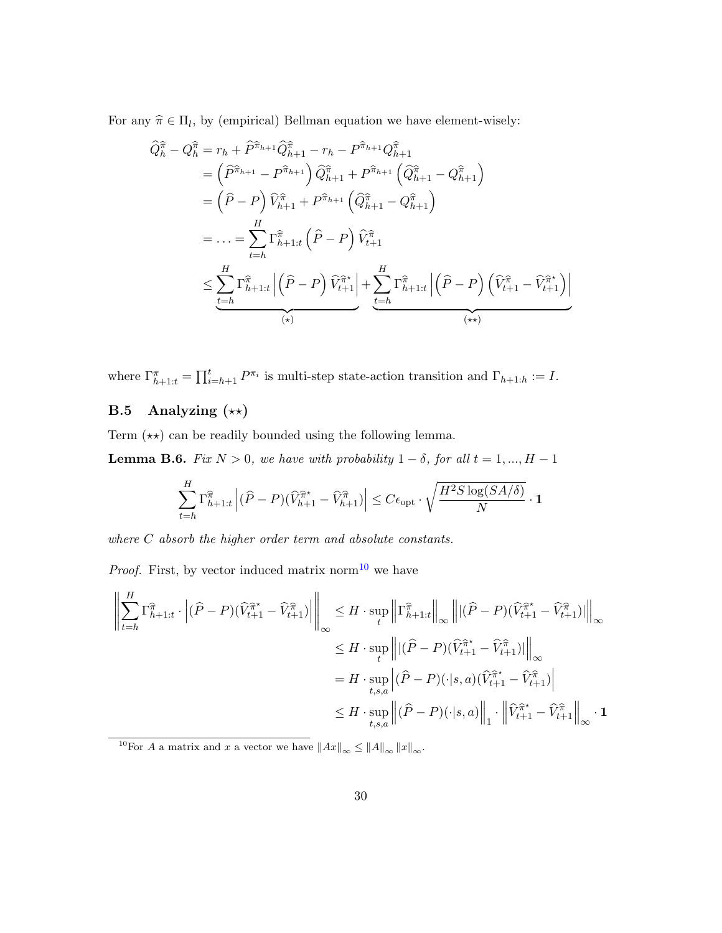For any  $\hat{\pi} \in \Pi_l$ , by (empirical) Bellman equation we have element-wisely:

$$
\begin{split}\n\widehat{Q}_{h}^{\widehat{\pi}} - Q_{h}^{\widehat{\pi}} &= r_{h} + \widehat{P}^{\widehat{\pi}_{h+1}} \widehat{Q}_{h+1}^{\widehat{\pi}} - r_{h} - P^{\widehat{\pi}_{h+1}} Q_{h+1}^{\widehat{\pi}} \\
&= \left( \widehat{P}^{\widehat{\pi}_{h+1}} - P^{\widehat{\pi}_{h+1}} \right) \widehat{Q}_{h+1}^{\widehat{\pi}} + P^{\widehat{\pi}_{h+1}} \left( \widehat{Q}_{h+1}^{\widehat{\pi}} - Q_{h+1}^{\widehat{\pi}} \right) \\
&= \left( \widehat{P} - P \right) \widehat{V}_{h+1}^{\widehat{\pi}} + P^{\widehat{\pi}_{h+1}} \left( \widehat{Q}_{h+1}^{\widehat{\pi}} - Q_{h+1}^{\widehat{\pi}} \right) \\
&= \ldots = \sum_{t=h}^{H} \Gamma_{h+1:t}^{\widehat{\pi}} \left( \widehat{P} - P \right) \widehat{V}_{t+1}^{\widehat{\pi}} \\
&\leq \sum_{t=h}^{H} \Gamma_{h+1:t}^{\widehat{\pi}} \left| \left( \widehat{P} - P \right) \widehat{V}_{t+1}^{\widehat{\pi}} \right| + \sum_{t=h}^{H} \Gamma_{h+1:t}^{\widehat{\pi}} \left| \left( \widehat{P} - P \right) \left( \widehat{V}_{t+1}^{\widehat{\pi}} - \widehat{V}_{t+1}^{\widehat{\pi}} \right) \right| \\
&\xrightarrow{\text{(*)}} \n\end{split}
$$

where  $\Gamma_{h+1:t}^{\pi} = \prod_{i=h+1}^{t} P^{\pi_i}$  is multi-step state-action transition and  $\Gamma_{h+1:h} := I$ .

## **B.5** Analyzing  $(\star \star)$

Term  $(\star\star)$  can be readily bounded using the following lemma.

<span id="page-29-1"></span>**Lemma B.6.** Fix  $N > 0$ , we have with probability  $1 - \delta$ , for all  $t = 1, ..., H - 1$ 

$$
\sum_{t=h}^{H} \Gamma_{h+1:t}^{\hat{\pi}} \left| (\widehat{P} - P)(\widehat{V}_{h+1}^{\hat{\pi}^{\star}} - \widehat{V}_{h+1}^{\hat{\pi}}) \right| \leq C \epsilon_{\text{opt}} \cdot \sqrt{\frac{H^2 S \log(SA/\delta)}{N}} \cdot \mathbf{1}
$$

where C absorb the higher order term and absolute constants.

*Proof.* First, by vector induced matrix norm<sup>[10](#page-29-0)</sup> we have

$$
\left\| \sum_{t=h}^{H} \Gamma_{h+1:t}^{\hat{\pi}} \cdot \left| (\hat{P} - P)(\hat{V}_{t+1}^{\hat{\pi}^*} - \hat{V}_{t+1}^{\hat{\pi}}) \right| \right\|_{\infty} \leq H \cdot \sup_{t} \left\| \Gamma_{h+1:t}^{\hat{\pi}} \right\|_{\infty} \left\| |(\hat{P} - P)(\hat{V}_{t+1}^{\hat{\pi}^*} - \hat{V}_{t+1}^{\hat{\pi}}) | \right\|_{\infty}
$$
  

$$
\leq H \cdot \sup_{t} \left\| |(\hat{P} - P)(\hat{V}_{t+1}^{\hat{\pi}^*} - \hat{V}_{t+1}^{\hat{\pi}}) | \right\|_{\infty}
$$
  

$$
= H \cdot \sup_{t,s,a} \left| (\hat{P} - P)(\cdot|s,a)(\hat{V}_{t+1}^{\hat{\pi}^*} - \hat{V}_{t+1}^{\hat{\pi}}) \right|
$$
  

$$
\leq H \cdot \sup_{t,s,a} \left\| (\hat{P} - P)(\cdot|s,a) \|_{1} \cdot \left\| \hat{V}_{t+1}^{\hat{\pi}^*} - \hat{V}_{t+1}^{\hat{\pi}} \right\|_{\infty} \cdot \mathbf{1}
$$

<span id="page-29-0"></span><sup>10</sup>For A a matrix and x a vector we have  $||Ax||_{\infty} \leq ||A||_{\infty} ||x||_{\infty}$ .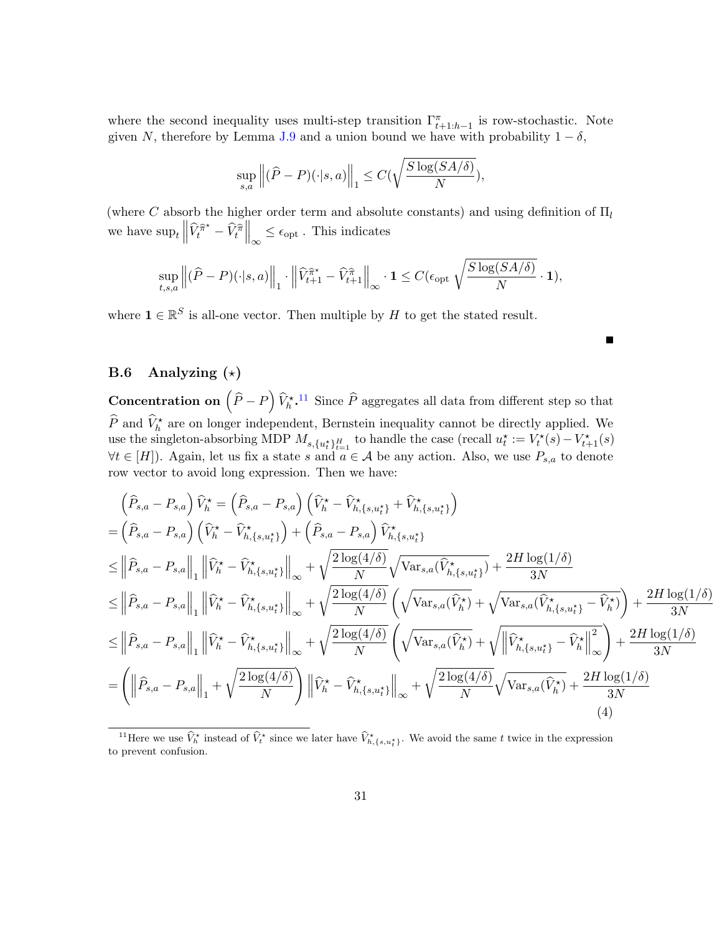where the second inequality uses multi-step transition  $\Gamma^{\pi}_{t+1:h-1}$  is row-stochastic. Note given N, therefore by Lemma [J.9](#page-58-0) and a union bound we have with probability  $1 - \delta$ ,

$$
\sup_{s,a} \left\| (\widehat{P} - P)(\cdot | s, a) \right\|_1 \le C(\sqrt{\frac{S \log(SA/\delta)}{N}}),
$$

(where C absorb the higher order term and absolute constants) and using definition of  $\Pi_l$ we have  $\sup_t \left\| \widehat{V}_t^{\widehat{\pi}^*} - \widehat{V}_t^{\widehat{\pi}} \right\|_{\infty} \le \epsilon_{\text{opt}}$ . This indicates

$$
\sup_{t,s,a}\left\|(\widehat{P}-P)(\cdot|s,a)\right\|_1\cdot\left\|\widehat{V}^{\widehat{\pi}^\star}_{t+1}-\widehat{V}^{\widehat{\pi}}_{t+1}\right\|_{\infty}\cdot\mathbf{1}\leq C(\epsilon_{\mathrm{opt}}\sqrt{\frac{S\log(SA/\delta)}{N}}\cdot\mathbf{1}),
$$

where  $\mathbf{1} \in \mathbb{R}^S$  is all-one vector. Then multiple by H to get the stated result.

## B.6 Analyzing  $(\star)$

**Concentration on**  $(\hat{P} - P) \hat{V}_h^*$ <sup>[11](#page-30-0)</sup> Since  $\hat{P}$  aggregates all data from different step so that  $\widehat{P}$  and  $\widehat{V}_h^*$  are on longer independent, Bernstein inequality cannot be directly applied. We use the singleton-absorbing MDP  $M_{s,\{u_t^*\}_{t=1}^H}$  to handle the case (recall  $u_t^* := V_t^*(s) - V_{t+1}^*(s)$ )  $\forall t \in [H]$ ). Again, let us fix a state s and  $a \in \mathcal{A}$  be any action. Also, we use  $P_{s,a}$  to denote row vector to avoid long expression. Then we have:

<span id="page-30-1"></span>
$$
\begin{split}\n&\left(\widehat{P}_{s,a}-P_{s,a}\right)\widehat{V}_{h}^{\star}=\left(\widehat{P}_{s,a}-P_{s,a}\right)\left(\widehat{V}_{h}^{\star}-\widehat{V}_{h,\{s,u_{t}^{*}\}}^{\star}+\widehat{V}_{h,\{s,u_{t}^{*}\}}^{\star}\right) \\
&=\left(\widehat{P}_{s,a}-P_{s,a}\right)\left(\widehat{V}_{h}^{\star}-\widehat{V}_{h,\{s,u_{t}^{*}\}}^{\star}\right)+\left(\widehat{P}_{s,a}-P_{s,a}\right)\widehat{V}_{h,\{s,u_{t}^{*}\}}^{\star} \\
&\leq\left\|\widehat{P}_{s,a}-P_{s,a}\right\|_{1}\left\|\widehat{V}_{h}^{\star}-\widehat{V}_{h,\{s,u_{t}^{*}\}}^{\star}\right\|_{\infty}+\sqrt{\frac{2\log(4/\delta)}{N}}\sqrt{\text{Var}_{s,a}(\widehat{V}_{h,\{s,u_{t}^{*}\}}^{\star})}+\frac{2H\log(1/\delta)}{3N} \\
&\leq\left\|\widehat{P}_{s,a}-P_{s,a}\right\|_{1}\left\|\widehat{V}_{h}^{\star}-\widehat{V}_{h,\{s,u_{t}^{*}\}}^{\star}\right\|_{\infty}+\sqrt{\frac{2\log(4/\delta)}{N}}\left(\sqrt{\text{Var}_{s,a}(\widehat{V}_{h}^{\star})}+\sqrt{\text{Var}_{s,a}(\widehat{V}_{h,\{s,u_{t}^{*}\}}^{\star}-\widehat{V}_{h}^{\star})}\right)+\frac{2H\log(1/\delta)}{3N} \\
&\leq\left\|\widehat{P}_{s,a}-P_{s,a}\right\|_{1}\left\|\widehat{V}_{h}^{\star}-\widehat{V}_{h,\{s,u_{t}^{*}\}}^{\star}\right\|_{\infty}+\sqrt{\frac{2\log(4/\delta)}{N}}\left(\sqrt{\text{Var}_{s,a}(\widehat{V}_{h}^{\star})}+\sqrt{\left\|\widehat{V}_{h,\{s,u_{t}^{*}\}}^{\star}-\widehat{V}_{h}^{\star}\}\right\|_{\infty}^{2}\right)+\frac{2H\log(1/\delta)}{3N} \\
&=\left(\left\|\widehat{P}_{s,a}-P_{s,a}\right\|_{1}+\sqrt{\frac{2\log(4/\delta)}{N}}\right)\left\|\widehat{V}_{
$$

П

<span id="page-30-0"></span><sup>&</sup>lt;sup>11</sup>Here we use  $\hat{V}_h^*$  instead of  $\hat{V}_t^*$  since we later have  $\hat{V}_h^*$ ,  $\{s, u_t^*\}$ . We avoid the same t twice in the expression to prevent confusion.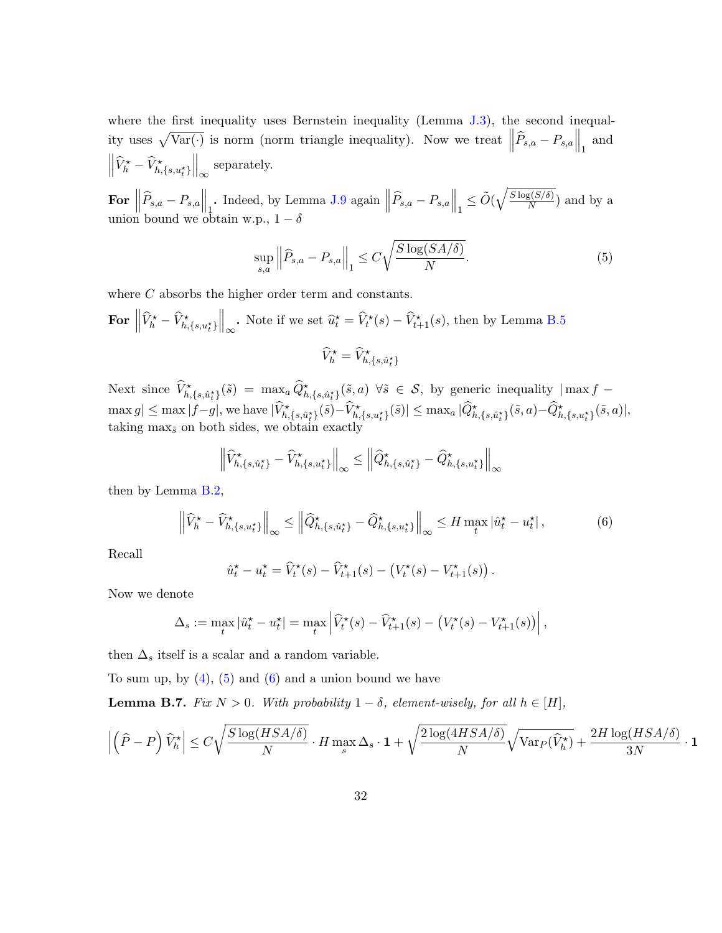where the first inequality uses Bernstein inequality (Lemma [J.3\)](#page-56-0), the second inequality uses  $\sqrt{\text{Var}(\cdot)}$  is norm (norm triangle inequality). Now we treat  $\left\|\widehat{P}_{s,a} - P_{s,a}\right\|_1$  and  $\left\|\widehat{V}_h^{\star} - \widehat{V}_{h,\{s,u_t^{\star}\}}^{\star}\right\|_{\infty}$  separately.

For  $\left\|\widehat{P}_{s,a} - P_{s,a}\right\|_1$ . Indeed, by Lemma [J.9](#page-58-0) again  $\left\|\widehat{P}_{s,a} - P_{s,a}\right\|_1 \le \tilde{O}(\sqrt{\frac{S\log(S/\delta)}{N}})$  $\frac{S(S/O)}{N}$  and by a union bound we obtain w.p.,  $1 - \delta$ 

<span id="page-31-0"></span>
$$
\sup_{s,a} \left\| \widehat{P}_{s,a} - P_{s,a} \right\|_1 \le C \sqrt{\frac{S \log(SA/\delta)}{N}}.
$$
\n
$$
(5)
$$

where C absorbs the higher order term and constants.

For 
$$
\left\| \widehat{V}_h^{\star} - \widehat{V}_{h,\{s,u_t^{\star}\}}^{\star} \right\|_{\infty}
$$
. Note if we set  $\widehat{u}_t^{\star} = \widehat{V}_t^{\star}(s) - \widehat{V}_{t+1}^{\star}(s)$ , then by Lemma B.5

$$
\widehat{V}^\star_h = \widehat{V}^\star_{h,\{s,\hat{u}^\star_t\}}
$$

Next since  $\widehat{V}^{\star}_{h,\{s,\hat{u}^{\star}_{t}\}}(\tilde{s}) = \max_{a} \widehat{Q}^{\star}_{h,\{s,\hat{u}^{\star}_{t}\}}(\tilde{s},a) \ \forall \tilde{s} \in \mathcal{S},$  by generic inequality  $|\max f - \hat{Q}|\$  $\max g|\leq \max|f-g|,$  we have  $|\widehat{V}^\star_{h,\{s,\hat{u}^\star_t\}}(\tilde{s})-\widehat{V}^\star_{h,\{s,u^\star_t\}}(\tilde{s})|\leq \max_{a}|\widehat{Q}^\star_{h,\{s,\hat{u}^\star_t\}}(\tilde{s},a)-\widehat{Q}^\star_{h,\{s,u^\star_t\}}(\tilde{s},a)|,$ taking  $\max_{\tilde{s}}$  on both sides, we obtain exactly

$$
\left\|\widehat{V}_{h,\{s,\hat{u}_t^{\star}\}}^{\star}-\widehat{V}_{h,\{s,u_t^{\star}\}}^{\star}\right\|_{\infty} \leq \left\|\widehat{Q}_{h,\{s,\hat{u}_t^{\star}\}}^{\star}-\widehat{Q}_{h,\{s,u_t^{\star}\}}^{\star}\right\|_{\infty}
$$

then by Lemma [B.2,](#page-25-0)

<span id="page-31-1"></span>
$$
\left\| \widehat{V}_h^{\star} - \widehat{V}_{h,\{s,u_t^{\star}\}}^{\star} \right\|_{\infty} \le \left\| \widehat{Q}_{h,\{s,\hat{u}_t^{\star}\}}^{\star} - \widehat{Q}_{h,\{s,u_t^{\star}\}}^{\star} \right\|_{\infty} \le H \max_{t} |\widehat{u}_t^{\star} - u_t^{\star}|,
$$
(6)

Recall

$$
\hat{u}_t^\star - u_t^\star = \widehat{V}_t^\star(s) - \widehat{V}_{t+1}^\star(s) - \left(V_t^\star(s) - V_{t+1}^\star(s)\right).
$$

Now we denote

$$
\Delta_s := \max_t |\hat{u}_t^\star - u_t^\star| = \max_t \left| \widehat{V}_t^\star(s) - \widehat{V}_{t+1}^\star(s) - (V_t^\star(s) - V_{t+1}^\star(s)) \right|,
$$

then  $\Delta_s$  itself is a scalar and a random variable.

To sum up, by  $(4)$ ,  $(5)$  and  $(6)$  and a union bound we have

<span id="page-31-2"></span>**Lemma B.7.** Fix  $N > 0$ . With probability  $1 - \delta$ , element-wisely, for all  $h \in [H]$ ,

$$
\left|\left(\widehat{P} - P\right)\widehat{V}_h^\star\right| \le C\sqrt{\frac{S\log(HSA/\delta)}{N}}\cdot H\max_s\Delta_s\cdot \mathbf{1} + \sqrt{\frac{2\log(4HSA/\delta)}{N}}\sqrt{\text{Var}_P(\widehat{V}_h^\star)} + \frac{2H\log(HSA/\delta)}{3N}\cdot \mathbf{1}
$$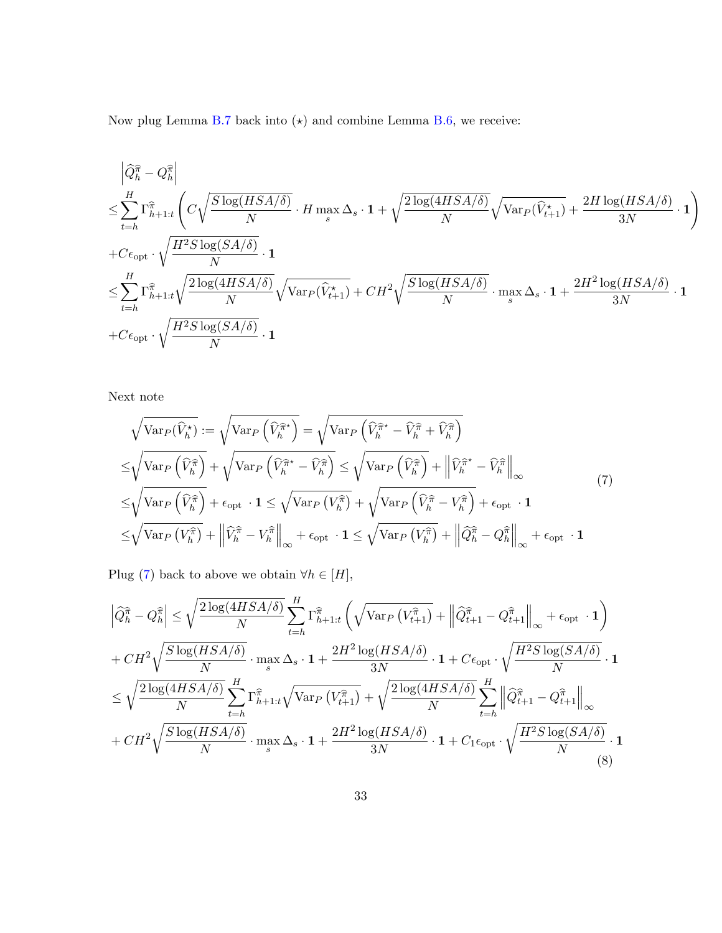Now plug Lemma [B.7](#page-31-2) back into  $(\star)$  and combine Lemma [B.6,](#page-29-1) we receive:

$$
\begin{aligned} &\left|\widehat{Q}_{h}^{\widehat{\pi}}-Q_{h}^{\widehat{\pi}}\right|\\ \leq&\sum_{t=h}^{H}\Gamma_{h+1:t}^{\widehat{\pi}}\left(C\sqrt{\frac{S\log(HSA/\delta)}{N}}\cdot H\max\limits_{s} \Delta_{s}\cdot\mathbf{1}+\sqrt{\frac{2\log(4HSA/\delta)}{N}}\sqrt{\text{Var}_{P}(\widehat{V}_{t+1}^{\star})}+\frac{2H\log(HSA/\delta)}{3N}\cdot\mathbf{1}\right)\\ +&C\epsilon_{\text{opt}}\cdot\sqrt{\frac{H^{2}S\log(SA/\delta)}{N}}\cdot\mathbf{1}\\ \leq&\sum_{t=h}^{H}\Gamma_{h+1:t}^{\widehat{\pi}}\sqrt{\frac{2\log(4HSA/\delta)}{N}}\sqrt{\text{Var}_{P}(\widehat{V}_{t+1}^{\star})}+CH^{2}\sqrt{\frac{S\log(HSA/\delta)}{N}}\cdot\max\limits_{s}\Delta_{s}\cdot\mathbf{1}+\frac{2H^{2}\log(HSA/\delta)}{3N}\cdot\mathbf{1}\\ +&C\epsilon_{\text{opt}}\cdot\sqrt{\frac{H^{2}S\log(SA/\delta)}{N}}\cdot\mathbf{1}\end{aligned}.
$$

Next note

<span id="page-32-0"></span>
$$
\sqrt{\text{Var}_{P}(\widehat{V}_{h}^{\star})} := \sqrt{\text{Var}_{P}\left(\widehat{V}_{h}^{\widehat{\pi}^{\star}}\right)} = \sqrt{\text{Var}_{P}\left(\widehat{V}_{h}^{\widehat{\pi}^{\star}} - \widehat{V}_{h}^{\widehat{\pi}} + \widehat{V}_{h}^{\widehat{\pi}}\right)}
$$
\n
$$
\leq \sqrt{\text{Var}_{P}\left(\widehat{V}_{h}^{\widehat{\pi}}\right)} + \sqrt{\text{Var}_{P}\left(\widehat{V}_{h}^{\widehat{\pi}^{\star}} - \widehat{V}_{h}^{\widehat{\pi}}\right)} \leq \sqrt{\text{Var}_{P}\left(\widehat{V}_{h}^{\widehat{\pi}}\right)} + \left\|\widehat{V}_{h}^{\widehat{\pi}^{\star}} - \widehat{V}_{h}^{\widehat{\pi}}\right\|_{\infty}}
$$
\n
$$
\leq \sqrt{\text{Var}_{P}\left(\widehat{V}_{h}^{\widehat{\pi}}\right)} + \epsilon_{\text{opt}} \cdot \mathbf{1} \leq \sqrt{\text{Var}_{P}\left(V_{h}^{\widehat{\pi}}\right)} + \sqrt{\text{Var}_{P}\left(\widehat{V}_{h}^{\widehat{\pi}} - V_{h}^{\widehat{\pi}}\right)} + \epsilon_{\text{opt}} \cdot \mathbf{1}
$$
\n
$$
\leq \sqrt{\text{Var}_{P}\left(V_{h}^{\widehat{\pi}}\right)} + \left\|\widehat{V}_{h}^{\widehat{\pi}} - V_{h}^{\widehat{\pi}}\right\|_{\infty} + \epsilon_{\text{opt}} \cdot \mathbf{1} \leq \sqrt{\text{Var}_{P}\left(V_{h}^{\widehat{\pi}}\right)} + \left\|\widehat{Q}_{h}^{\widehat{\pi}} - Q_{h}^{\widehat{\pi}}\right\|_{\infty} + \epsilon_{\text{opt}} \cdot \mathbf{1}
$$
\n(7)

Plug [\(7\)](#page-32-0) back to above we obtain  $\forall h \in [H]$ ,

<span id="page-32-1"></span>
$$
\left| \hat{Q}_{h}^{\hat{\pi}} - Q_{h}^{\hat{\pi}} \right| \leq \sqrt{\frac{2 \log(4HSA/\delta)}{N}} \sum_{t=h}^{H} \Gamma_{h+1:t}^{\hat{\pi}} \left( \sqrt{\text{Var}_{P} \left( V_{t+1}^{\hat{\pi}} \right)} + \left\| \hat{Q}_{t+1}^{\hat{\pi}} - Q_{t+1}^{\hat{\pi}} \right\|_{\infty} + \epsilon_{\text{opt}} \cdot \mathbf{1} \right)
$$
  
+ 
$$
CH^{2} \sqrt{\frac{S \log(HSA/\delta)}{N}} \cdot \max_{s} \Delta_{s} \cdot \mathbf{1} + \frac{2H^{2} \log(HSA/\delta)}{3N} \cdot \mathbf{1} + C \epsilon_{\text{opt}} \cdot \sqrt{\frac{H^{2} S \log(SA/\delta)}{N}} \cdot \mathbf{1}
$$
  

$$
\leq \sqrt{\frac{2 \log(4HSA/\delta)}{N}} \sum_{t=h}^{H} \Gamma_{h+1:t}^{\hat{\pi}} \sqrt{\text{Var}_{P} \left( V_{t+1}^{\hat{\pi}} \right)} + \sqrt{\frac{2 \log(4HSA/\delta)}{N}} \sum_{t=h}^{H} \left\| \hat{Q}_{t+1}^{\hat{\pi}} - Q_{t+1}^{\hat{\pi}} \right\|_{\infty}
$$
  
+ 
$$
CH^{2} \sqrt{\frac{S \log(HSA/\delta)}{N}} \cdot \max_{s} \Delta_{s} \cdot \mathbf{1} + \frac{2H^{2} \log(HSA/\delta)}{3N} \cdot \mathbf{1} + C_{1} \epsilon_{\text{opt}} \cdot \sqrt{\frac{H^{2} S \log(SA/\delta)}{N}} \cdot \mathbf{1}
$$
(8)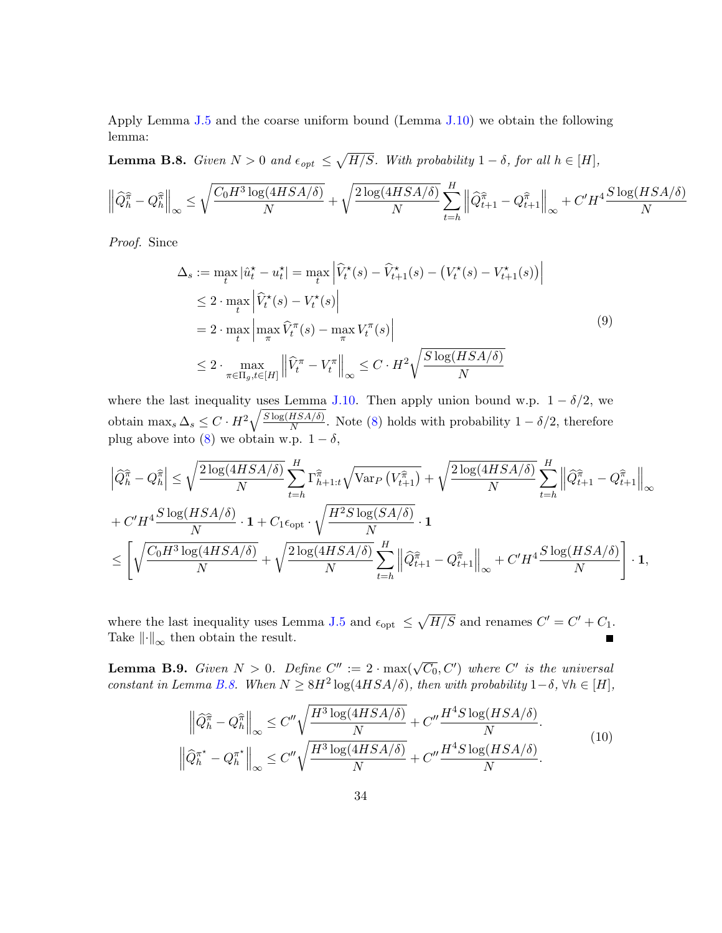Apply Lemma [J.5](#page-56-1) and the coarse uniform bound (Lemma [J.10\)](#page-59-0) we obtain the following lemma:

<span id="page-33-0"></span>**Lemma B.8.** Given  $N > 0$  and  $\epsilon_{opt} \leq \sqrt{H/S}$ . With probability  $1 - \delta$ , for all  $h \in [H]$ ,

$$
\left\|\widehat{Q}_{h}^{\widehat{\pi}} - Q_{h}^{\widehat{\pi}}\right\|_{\infty} \leq \sqrt{\frac{C_0 H^3 \log(4HSA/\delta)}{N}} + \sqrt{\frac{2\log(4HSA/\delta)}{N}} \sum_{t=h}^{H} \left\|\widehat{Q}_{t+1}^{\widehat{\pi}} - Q_{t+1}^{\widehat{\pi}}\right\|_{\infty} + C'H^4 \frac{S\log(HSA/\delta)}{N}
$$

Proof. Since

<span id="page-33-2"></span>
$$
\Delta_s := \max_t |\hat{u}_t^\star - u_t^\star| = \max_t \left| \widehat{V}_t^\star(s) - \widehat{V}_{t+1}^\star(s) - (V_t^\star(s) - V_{t+1}^\star(s)) \right|
$$
  
\n
$$
\leq 2 \cdot \max_t \left| \widehat{V}_t^\star(s) - V_t^\star(s) \right|
$$
  
\n
$$
= 2 \cdot \max_t \left| \max_{\pi} \widehat{V}_t^\pi(s) - \max_{\pi} V_t^\pi(s) \right|
$$
  
\n
$$
\leq 2 \cdot \max_{\pi \in \Pi_g, t \in [H]} \left\| \widehat{V}_t^\pi - V_t^\pi \right\|_{\infty} \leq C \cdot H^2 \sqrt{\frac{S \log(HSA/\delta)}{N}}
$$
 (9)

where the last inequality uses Lemma [J.10.](#page-59-0) Then apply union bound w.p.  $1 - \delta/2$ , we obtain  $\max_{s} \Delta_s \leq C \cdot H^2 \sqrt{\frac{S \log(HSA/\delta)}{N}}$  $\frac{HSA(\delta)}{N}$ . Note [\(8\)](#page-32-1) holds with probability  $1 - \delta/2$ , therefore plug above into [\(8\)](#page-32-1) we obtain w.p.  $1 - \delta$ ,

$$
\left| \widehat{Q}_{h}^{\widehat{\pi}} - Q_{h}^{\widehat{\pi}} \right| \leq \sqrt{\frac{2 \log(4HSA/\delta)}{N}} \sum_{t=h}^{H} \Gamma_{h+1:t}^{\widehat{\pi}} \sqrt{\text{Var}_{P} \left( V_{t+1}^{\widehat{\pi}} \right)} + \sqrt{\frac{2 \log(4HSA/\delta)}{N}} \sum_{t=h}^{H} \left\| \widehat{Q}_{t+1}^{\widehat{\pi}} - Q_{t+1}^{\widehat{\pi}} \right\|_{\infty} + C'H^4 \frac{S \log(HSA/\delta)}{N} \cdot 1 + C_1 \epsilon_{\text{opt}} \cdot \sqrt{\frac{H^2S \log(SA/\delta)}{N}} \cdot 1
$$
  

$$
\leq \left[ \sqrt{\frac{C_0 H^3 \log(4HSA/\delta)}{N}} + \sqrt{\frac{2 \log(4HSA/\delta)}{N}} \sum_{t=h}^{H} \left\| \widehat{Q}_{t+1}^{\widehat{\pi}} - Q_{t+1}^{\widehat{\pi}} \right\|_{\infty} + C'H^4 \frac{S \log(HSA/\delta)}{N} \right] \cdot 1,
$$

where the last inequality uses Lemma [J.5](#page-56-1) and  $\epsilon_{opt} \leq \sqrt{H/S}$  and renames  $C' = C' + C_1$ . Take  $\lVert \cdot \rVert_{\infty}$  then obtain the result.

<span id="page-33-1"></span>**Lemma B.9.** Given  $N > 0$ . Define  $C'' := 2 \cdot \max(\sqrt{C_0}, C')$  where  $C'$  is the universal constant in Lemma [B.8.](#page-33-0) When  $N \geq 8H^2 \log(4HSA/\delta)$ , then with probability  $1-\delta$ ,  $\forall h \in [H]$ ,

$$
\left\| \widehat{Q}_{h}^{\widehat{\pi}} - Q_{h}^{\widehat{\pi}} \right\|_{\infty} \leq C'' \sqrt{\frac{H^3 \log(4HSA/\delta)}{N}} + C'' \frac{H^4 S \log(HSA/\delta)}{N}.
$$
  

$$
\left\| \widehat{Q}_{h}^{\pi^{\star}} - Q_{h}^{\pi^{\star}} \right\|_{\infty} \leq C'' \sqrt{\frac{H^3 \log(4HSA/\delta)}{N}} + C'' \frac{H^4 S \log(HSA/\delta)}{N}.
$$
  
(10)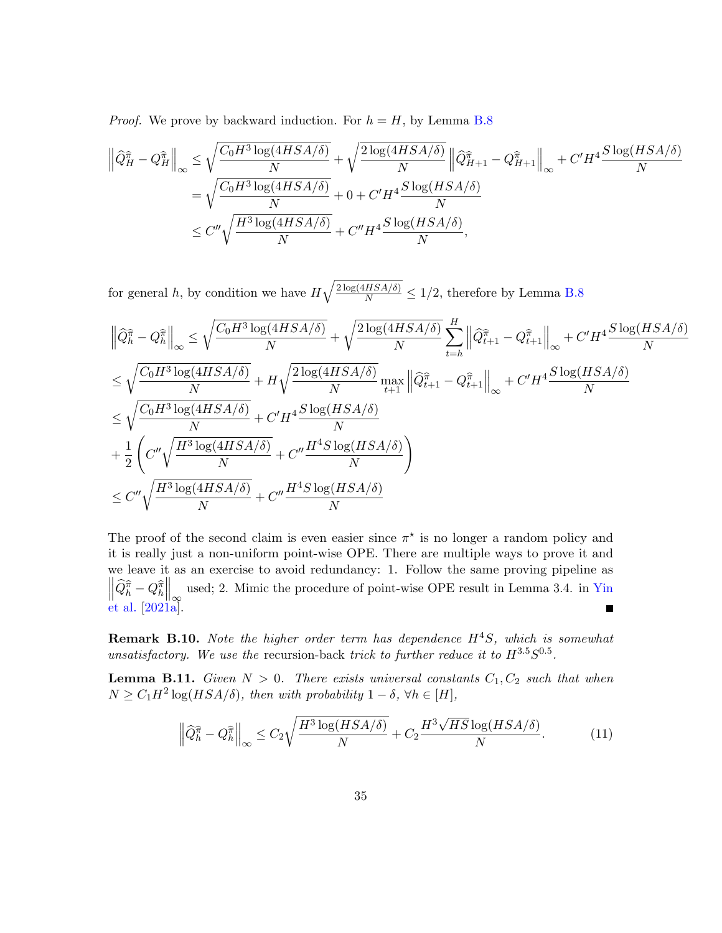*Proof.* We prove by backward induction. For  $h = H$ , by Lemma [B.8](#page-33-0)

$$
\left\|\widehat{Q}_{H}^{\widehat{\pi}} - Q_{H}^{\widehat{\pi}}\right\|_{\infty} \leq \sqrt{\frac{C_{0}H^{3}\log(4HSA/\delta)}{N}} + \sqrt{\frac{2\log(4HSA/\delta)}{N}} \left\|\widehat{Q}_{H+1}^{\widehat{\pi}} - Q_{H+1}^{\widehat{\pi}}\right\|_{\infty} + C'H^{4}\frac{S\log(HSA/\delta)}{N}
$$

$$
= \sqrt{\frac{C_{0}H^{3}\log(4HSA/\delta)}{N}} + 0 + C'H^{4}\frac{S\log(HSA/\delta)}{N}
$$

$$
\leq C''\sqrt{\frac{H^{3}\log(4HSA/\delta)}{N}} + C''H^{4}\frac{S\log(HSA/\delta)}{N},
$$

for general h, by condition we have  $H\sqrt{\frac{2\log(4HSA/\delta)}{N}} \leq 1/2$ , therefore by Lemma [B.8](#page-33-0)

$$
\begin{split} &\left\|\widehat{Q}_{h}^{\widehat{\pi}}-Q_{h}^{\widehat{\pi}}\right\|_{\infty}\leq \sqrt{\frac{C_{0}H^{3}\log(4HSA/\delta)}{N}}+\sqrt{\frac{2\log(4HSA/\delta)}{N}}\sum_{t=h}^{H}\left\|\widehat{Q}_{t+1}^{\widehat{\pi}}-Q_{t+1}^{\widehat{\pi}}\right\|_{\infty}+C'H^{4}\frac{S\log(HSA/\delta)}{N}\\ &\leq \sqrt{\frac{C_{0}H^{3}\log(4HSA/\delta)}{N}}+H\sqrt{\frac{2\log(4HSA/\delta)}{N}}\max_{t+1}\left\|\widehat{Q}_{t+1}^{\widehat{\pi}}-Q_{t+1}^{\widehat{\pi}}\right\|_{\infty}+C'H^{4}\frac{S\log(HSA/\delta)}{N}\\ &\leq \sqrt{\frac{C_{0}H^{3}\log(4HSA/\delta)}{N}}+C'H^{4}\frac{S\log(HSA/\delta)}{N}\\ &+\frac{1}{2}\left(C''\sqrt{\frac{H^{3}\log(4HSA/\delta)}{N}}+C''\frac{H^{4}S\log(HSA/\delta)}{N}\right)\\ &\leq C''\sqrt{\frac{H^{3}\log(4HSA/\delta)}{N}}+C''\frac{H^{4}S\log(HSA/\delta)}{N} \end{split}
$$

The proof of the second claim is even easier since  $\pi^*$  is no longer a random policy and it is really just a non-uniform point-wise OPE. There are multiple ways to prove it and we leave it as an exercise to avoid redundancy: 1. Follow the same proving pipeline as  $\left\|\widehat{Q}_{h}^{\widehat{\pi}}-Q_{h}^{\widehat{\pi}}\right\|_{\infty}$  used; 2. Mimic the procedure of point-wise OPE result in Lemma 3.4. in [Yin](#page-20-8) [et al.](#page-20-8) [\[2021a\]](#page-20-8). ■

**Remark B.10.** Note the higher order term has dependence  $H^4S$ , which is somewhat unsatisfactory. We use the recursion-back trick to further reduce it to  $H^{3.5}S^{0.5}$ .

<span id="page-34-1"></span>**Lemma B.11.** Given  $N > 0$ . There exists universal constants  $C_1, C_2$  such that when  $N \geq C_1 H^2 \log(HSA/\delta)$ , then with probability  $1 - \delta$ ,  $\forall h \in [H]$ ,

<span id="page-34-0"></span>
$$
\left\| \widehat{Q}_{h}^{\widehat{\pi}} - Q_{h}^{\widehat{\pi}} \right\|_{\infty} \le C_{2} \sqrt{\frac{H^{3} \log(HSA/\delta)}{N}} + C_{2} \frac{H^{3} \sqrt{HS} \log(HSA/\delta)}{N}.
$$
 (11)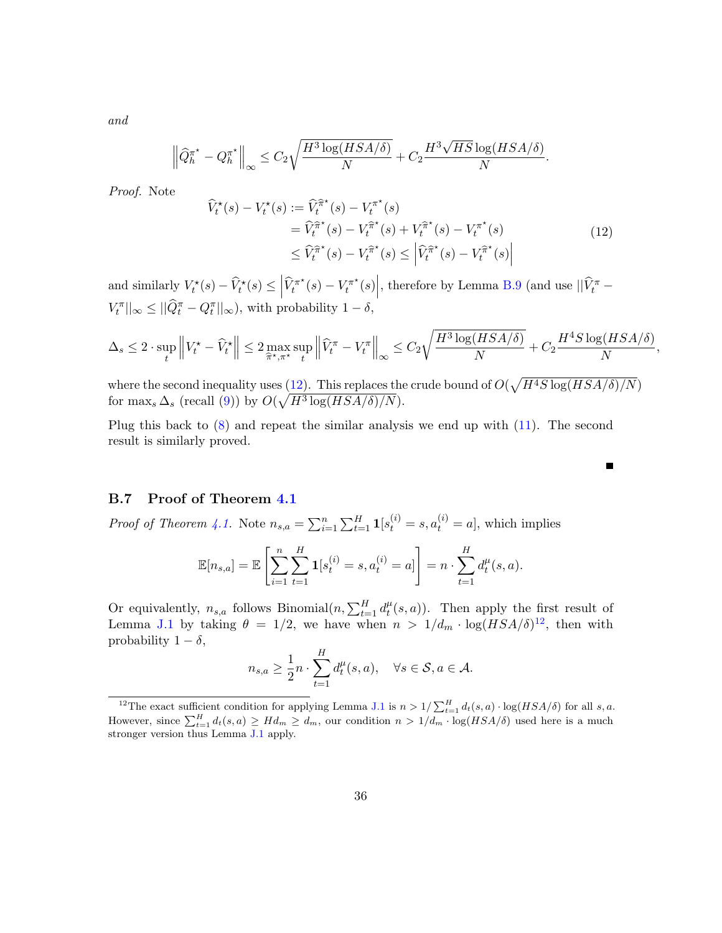and

$$
\left\|\widehat{Q}_{h}^{\pi^\star} - Q_h^{\pi^\star}\right\|_\infty \leq C_2 \sqrt{\frac{H^3\log(HSA/\delta)}{N}} + C_2 \frac{H^3\sqrt{HS}\log(HSA/\delta)}{N}.
$$

Proof. Note

<span id="page-35-1"></span>
$$
\begin{split} \widehat{V}_t^{\star}(s) - V_t^{\star}(s) &:= \widehat{V}_t^{\widehat{\pi}^{\star}}(s) - V_t^{\pi^{\star}}(s) \\ &= \widehat{V}_t^{\widehat{\pi}^{\star}}(s) - V_t^{\widehat{\pi}^{\star}}(s) + V_t^{\widehat{\pi}^{\star}}(s) - V_t^{\pi^{\star}}(s) \\ &\le \widehat{V}_t^{\widehat{\pi}^{\star}}(s) - V_t^{\widehat{\pi}^{\star}}(s) \le \left| \widehat{V}_t^{\widehat{\pi}^{\star}}(s) - V_t^{\widehat{\pi}^{\star}}(s) \right| \end{split} \tag{12}
$$

П

and similarly  $V_t^*(s) - \widehat{V}_t^*(s) \leq \left| \widehat{V}_t^{\pi^*}(s) - V_t^{\pi^*}(s) \right|$ , therefore by Lemma [B.9](#page-33-1) (and use  $||\widehat{V}_t^{\pi} |V_t^{\pi}|_{\infty} \leq ||\widehat{Q}_t^{\pi} - Q_t^{\pi}||_{\infty}),$  with probability  $1 - \delta$ ,

$$
\Delta_s \le 2 \cdot \sup_t \left\| V_t^\star - \widehat{V}_t^\star \right\| \le 2 \max_{\widehat{\pi}^\star, \pi^\star} \sup_t \left\| \widehat{V}_t^\pi - V_t^\pi \right\|_\infty \le C_2 \sqrt{\frac{H^3 \log(HSA/\delta)}{N}} + C_2 \frac{H^4 S \log(HSA/\delta)}{N},
$$

where the second inequality uses [\(12\)](#page-35-1). This replaces the crude bound of  $O(\sqrt{H^4S \log(HSA/\delta)/N})$ for max<sub>s</sub>  $\Delta_s$  (recall [\(9\)](#page-33-2)) by  $O(\sqrt{H^3 \log(HSA/\delta)/N})$ .

Plug this back to [\(8\)](#page-32-1) and repeat the similar analysis we end up with [\(11\)](#page-34-0). The second result is similarly proved.

### <span id="page-35-0"></span>B.7 Proof of Theorem [4.1](#page-9-0)

*Proof of Theorem [4.1.](#page-9-0)* Note  $n_{s,a} = \sum_{i=1}^{n} \sum_{t=1}^{H} \mathbf{1}[s_t^{(i)} = s, a_t^{(i)} = a]$ , which implies

$$
\mathbb{E}[n_{s,a}] = \mathbb{E}\left[\sum_{i=1}^n \sum_{t=1}^H \mathbf{1}[s_t^{(i)} = s, a_t^{(i)} = a]\right] = n \cdot \sum_{t=1}^H d_t^{\mu}(s, a).
$$

Or equivalently,  $n_{s,a}$  follows Binomial $(n, \sum_{t=1}^{H} d_t^{\mu})$  $t(t, a)$ . Then apply the first result of Lemma [J.1](#page-56-2) by taking  $\theta = 1/2$ , we have when  $n > 1/d_m \cdot \log(HSA/\delta)^{12}$  $n > 1/d_m \cdot \log(HSA/\delta)^{12}$  $n > 1/d_m \cdot \log(HSA/\delta)^{12}$ , then with probability  $1 - \delta$ ,

$$
n_{s,a} \ge \frac{1}{2}n \cdot \sum_{t=1}^{H} d_t^{\mu}(s,a), \quad \forall s \in \mathcal{S}, a \in \mathcal{A}.
$$

<span id="page-35-2"></span><sup>&</sup>lt;sup>12</sup>The exact sufficient condition for applying Lemma [J.1](#page-56-2) is  $n > 1/\sum_{t=1}^{H} d_t(s, a) \cdot \log(HSA/\delta)$  for all s, a. However, since  $\sum_{t=1}^{H} d_t(s, a) \geq H d_m \geq d_m$ , our condition  $n > 1/d_m \cdot \log(HSA/\delta)$  used here is a much stronger version thus Lemma [J.1](#page-56-2) apply.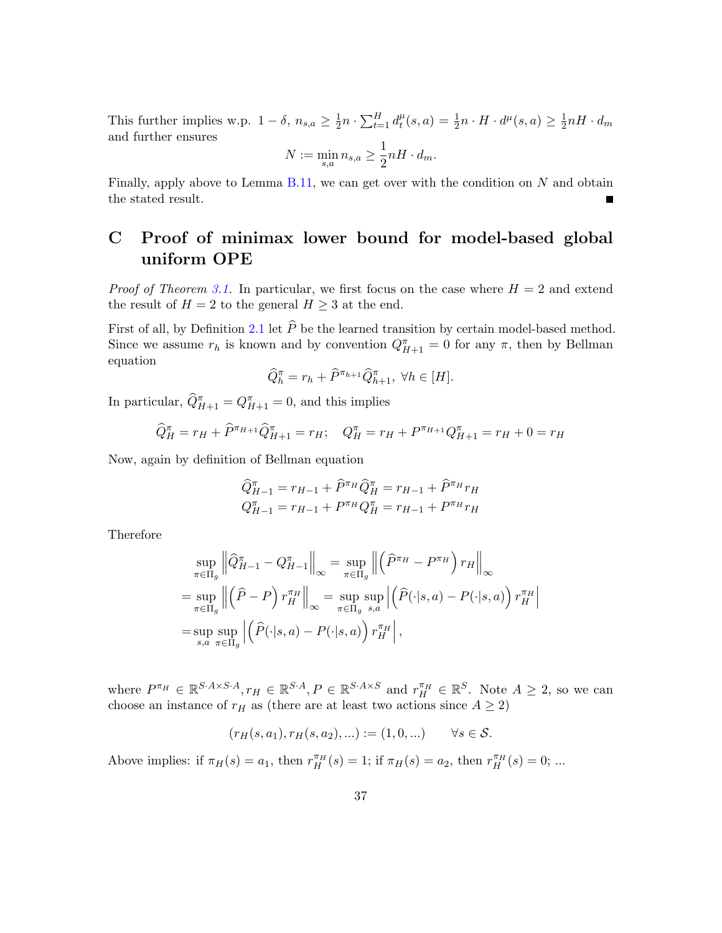This further implies w.p.  $1 - \delta$ ,  $n_{s,a} \geq \frac{1}{2}$  $\frac{1}{2}n \cdot \sum_{t=1}^H d_t^{\mu}$  $t^{\mu}(s, a) = \frac{1}{2}n \cdot H \cdot d^{\mu}(s, a) \geq \frac{1}{2}$  $\frac{1}{2}nH\cdot d_m$ and further ensures

$$
N := \min_{s,a} n_{s,a} \ge \frac{1}{2} nH \cdot d_m.
$$

Finally, apply above to Lemma  $B.11$ , we can get over with the condition on N and obtain the stated result.  $\blacksquare$ 

## <span id="page-36-0"></span>C Proof of minimax lower bound for model-based global uniform OPE

*Proof of Theorem [3.1.](#page-6-1)* In particular, we first focus on the case where  $H = 2$  and extend the result of  $H = 2$  to the general  $H \geq 3$  at the end.

First of all, by Definition [2.1](#page-4-0) let  $\hat{P}$  be the learned transition by certain model-based method. Since we assume  $r_h$  is known and by convention  $Q_{H+1}^{\pi} = 0$  for any  $\pi$ , then by Bellman equation

$$
\widehat{Q}_{h}^{\pi} = r_{h} + \widehat{P}^{\pi_{h+1}} \widehat{Q}_{h+1}^{\pi}, \ \forall h \in [H].
$$

In particular,  $\widehat{Q}_{H+1}^{\pi} = Q_{H+1}^{\pi} = 0$ , and this implies

$$
\widehat{Q}_{H}^{\pi} = r_{H} + \widehat{P}^{\pi_{H+1}} \widehat{Q}_{H+1}^{\pi} = r_{H}; \quad Q_{H}^{\pi} = r_{H} + P^{\pi_{H+1}} Q_{H+1}^{\pi} = r_{H} + 0 = r_{H}
$$

Now, again by definition of Bellman equation

$$
\widehat{Q}_{H-1}^{\pi} = r_{H-1} + \widehat{P}^{\pi_H} \widehat{Q}_H^{\pi} = r_{H-1} + \widehat{P}^{\pi_H} r_H
$$
  

$$
Q_{H-1}^{\pi} = r_{H-1} + P^{\pi_H} Q_H^{\pi} = r_{H-1} + P^{\pi_H} r_H
$$

Therefore

$$
\sup_{\pi \in \Pi_g} \left\| \widehat{Q}_{H-1}^{\pi} - Q_{H-1}^{\pi} \right\|_{\infty} = \sup_{\pi \in \Pi_g} \left\| \left( \widehat{P}^{\pi_H} - P^{\pi_H} \right) r_H \right\|_{\infty}
$$
  
\n
$$
= \sup_{\pi \in \Pi_g} \left\| \left( \widehat{P} - P \right) r_H^{\pi_H} \right\|_{\infty} = \sup_{\pi \in \Pi_g} \sup_{s,a} \left| \left( \widehat{P}(\cdot|s,a) - P(\cdot|s,a) \right) r_H^{\pi_H} \right|
$$
  
\n
$$
= \sup_{s,a} \sup_{\pi \in \Pi_g} \left| \left( \widehat{P}(\cdot|s,a) - P(\cdot|s,a) \right) r_H^{\pi_H} \right|,
$$

where  $P^{\pi_H} \in \mathbb{R}^{S.A \times S.A}$ ,  $r_H \in \mathbb{R}^{S.A}$ ,  $P \in \mathbb{R}^{S.A \times S}$  and  $r_H^{\pi_H} \in \mathbb{R}^{S}$ . Note  $A \geq 2$ , so we can choose an instance of  $r_H$  as (there are at least two actions since  $A \geq 2$ )

$$
(r_H(s, a_1), r_H(s, a_2), \ldots) := (1, 0, \ldots) \qquad \forall s \in \mathcal{S}.
$$

Above implies: if  $\pi_H(s) = a_1$ , then  $r_H^{\pi_H}(s) = 1$ ; if  $\pi_H(s) = a_2$ , then  $r_H^{\pi_H}(s) = 0$ ; ...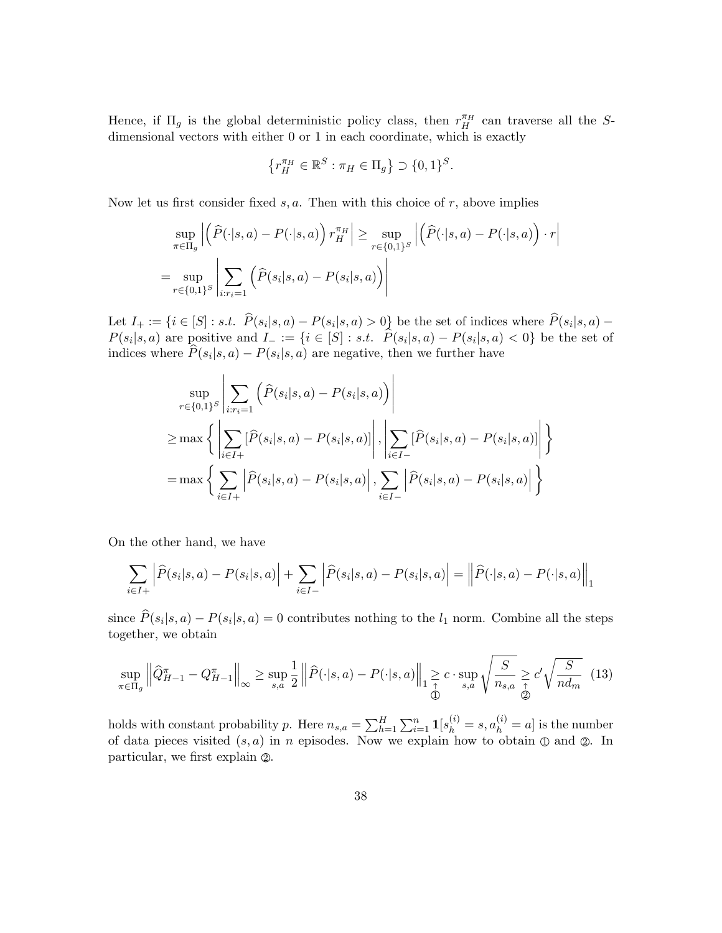Hence, if  $\Pi_g$  is the global deterministic policy class, then  $r_H^{\pi_H}$  can traverse all the Sdimensional vectors with either 0 or 1 in each coordinate, which is exactly

$$
\left\{r_H^{\pi_H}\in\mathbb{R}^S:\pi_H\in\Pi_g\right\}\supset\{0,1\}^S.
$$

Now let us first consider fixed  $s, a$ . Then with this choice of  $r$ , above implies

$$
\sup_{\pi \in \Pi_g} \left| \left( \widehat{P}(\cdot | s, a) - P(\cdot | s, a) \right) r_H^{\pi_H} \right| \ge \sup_{r \in \{0, 1\}^S} \left| \left( \widehat{P}(\cdot | s, a) - P(\cdot | s, a) \right) \cdot r \right|
$$
  
= 
$$
\sup_{r \in \{0, 1\}^S} \left| \sum_{i: r_i = 1} \left( \widehat{P}(s_i | s, a) - P(s_i | s, a) \right) \right|
$$

Let  $I_+ := \{i \in [S] : s.t. \ P(s_i|s, a) - P(s_i|s, a) > 0\}$  be the set of indices where  $P(s_i|s, a) P(s_i|s, a)$  are positive and  $I_- := \{i \in [S] : s.t. \ P(s_i|s, a) - P(s_i|s, a) < 0\}$  be the set of indices where  $P(s_i|s, a) - P(s_i|s, a)$  are negative, then we further have

$$
\sup_{r \in \{0,1\}^S} \left| \sum_{i:r_i=1} \left( \hat{P}(s_i|s,a) - P(s_i|s,a) \right) \right|
$$
\n
$$
\geq \max \left\{ \left| \sum_{i \in I+} [\hat{P}(s_i|s,a) - P(s_i|s,a)] \right|, \left| \sum_{i \in I-} [\hat{P}(s_i|s,a) - P(s_i|s,a)] \right| \right\}
$$
\n
$$
= \max \left\{ \sum_{i \in I+} |\hat{P}(s_i|s,a) - P(s_i|s,a)|, \sum_{i \in I-} |\hat{P}(s_i|s,a) - P(s_i|s,a)| \right\}
$$

On the other hand, we have

$$
\sum_{i \in I+} \left| \widehat{P}(s_i|s, a) - P(s_i|s, a) \right| + \sum_{i \in I-} \left| \widehat{P}(s_i|s, a) - P(s_i|s, a) \right| = \left\| \widehat{P}(\cdot|s, a) - P(\cdot|s, a) \right\|_1
$$

since  $P(s_i|s, a) - P(s_i|s, a) = 0$  contributes nothing to the  $l_1$  norm. Combine all the steps together, we obtain

<span id="page-37-0"></span>
$$
\sup_{\pi \in \Pi_g} \left\| \widehat{Q}_{H-1}^{\pi} - Q_{H-1}^{\pi} \right\|_{\infty} \ge \sup_{s,a} \frac{1}{2} \left\| \widehat{P}(\cdot|s,a) - P(\cdot|s,a) \right\|_{1} \ge c \cdot \sup_{s,a} \sqrt{\frac{S}{n_{s,a}}} \ge c' \sqrt{\frac{S}{nd_m}} \tag{13}
$$

holds with constant probability p. Here  $n_{s,a} = \sum_{h=1}^{H} \sum_{i=1}^{n} \mathbf{1}[s_h^{(i)} = s, a_h^{(i)} = a]$  is the number of data pieces visited  $(s, a)$  in n episodes. Now we explain how to obtain  $\mathbb D$  and  $\mathbb Q$ . In particular, we first explain  $\mathcal{D}$ .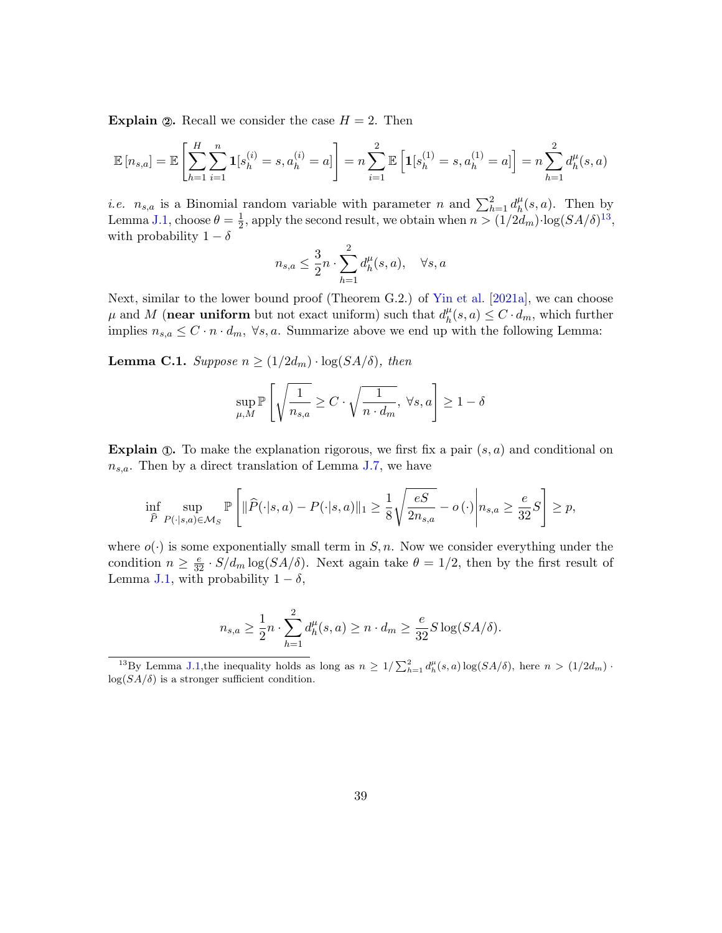**Explain 2.** Recall we consider the case  $H = 2$ . Then

$$
\mathbb{E}[n_{s,a}] = \mathbb{E}\left[\sum_{h=1}^{H} \sum_{i=1}^{n} \mathbf{1}[s_h^{(i)} = s, a_h^{(i)} = a]\right] = n \sum_{i=1}^{2} \mathbb{E}\left[\mathbf{1}[s_h^{(1)} = s, a_h^{(1)} = a]\right] = n \sum_{h=1}^{2} d_h^{\mu}(s, a)
$$

*i.e.*  $n_{s,a}$  is a Binomial random variable with parameter n and  $\sum_{h=1}^{2} d_h^{\mu}$  $_{h}^{\mu}(s,a)$ . Then by Lemma [J.1,](#page-56-2) choose  $\theta = \frac{1}{2}$  $\frac{1}{2}$ , apply the second result, we obtain when  $n > (1/2d_m) \cdot \log(SA/\delta)^{13}$  $n > (1/2d_m) \cdot \log(SA/\delta)^{13}$  $n > (1/2d_m) \cdot \log(SA/\delta)^{13}$ , with probability  $1 - \delta$ 

$$
n_{s,a} \le \frac{3}{2}n \cdot \sum_{h=1}^{2} d_h^{\mu}(s,a), \quad \forall s, a
$$

Next, similar to the lower bound proof (Theorem G.2.) of [Yin et al.](#page-20-8) [\[2021a\]](#page-20-8), we can choose  $\mu$  and M (near uniform but not exact uniform) such that  $d_h^{\mu}$  $_{h}^{\mu}(s, a) \leq C \cdot d_m$ , which further implies  $n_{s,a} \leq C \cdot n \cdot d_m$ ,  $\forall s,a$ . Summarize above we end up with the following Lemma:

<span id="page-38-1"></span>**Lemma C.1.** Suppose  $n \geq (1/2d_m) \cdot \log(SA/\delta)$ , then

$$
\sup_{\mu,M} \mathbb{P}\left[\sqrt{\frac{1}{n_{s,a}}} \ge C \cdot \sqrt{\frac{1}{n \cdot d_m}}, \ \forall s,a\right] \ge 1-\delta
$$

**Explain**  $\mathbb{D}$ . To make the explanation rigorous, we first fix a pair  $(s, a)$  and conditional on  $n_{s,a}$ . Then by a direct translation of Lemma [J.7,](#page-57-0) we have

$$
\inf_{\widehat{P}} \sup_{P(\cdot|s,a)\in\mathcal{M}_S} \mathbb{P}\left[\|\widehat{P}(\cdot|s,a)-P(\cdot|s,a)\|_1 \ge \frac{1}{8}\sqrt{\frac{eS}{2n_{s,a}}} - o(\cdot)\middle| n_{s,a} \ge \frac{e}{32}S\right] \ge p,
$$

where  $o(\cdot)$  is some exponentially small term in  $S, n$ . Now we consider everything under the condition  $n \geq \frac{e}{32} \cdot S/d_m \log(SA/\delta)$ . Next again take  $\theta = 1/2$ , then by the first result of Lemma [J.1,](#page-56-2) with probability  $1 - \delta$ ,

$$
n_{s,a} \ge \frac{1}{2}n \cdot \sum_{h=1}^{2} d_h^{\mu}(s,a) \ge n \cdot d_m \ge \frac{e}{32} S \log(SA/\delta).
$$

<span id="page-38-0"></span><sup>13</sup>By Lemma [J.1,](#page-56-2) the inequality holds as long as  $n \geq 1/\sum_{h=1}^2 d_h^{\mu}(s, a) \log(SA/\delta)$ , here  $n > (1/2d_m)$ .  $log(SA/\delta)$  is a stronger sufficient condition.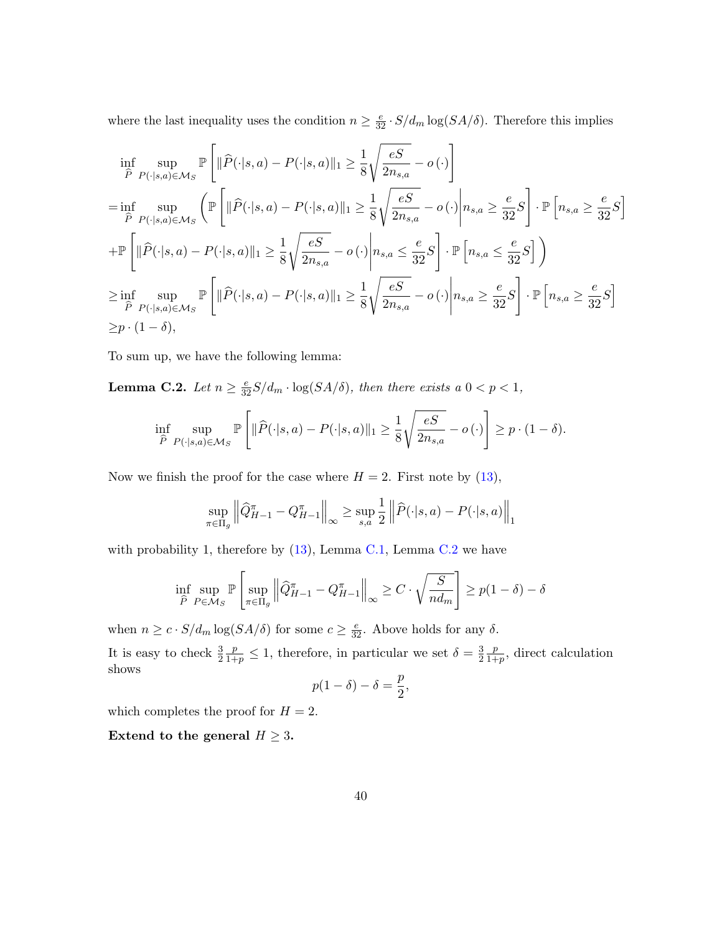where the last inequality uses the condition  $n \ge \frac{e}{32} \cdot S/d_m \log(SA/\delta)$ . Therefore this implies

$$
\inf_{\widehat{P}} \sup_{P(\cdot|s,a)\in\mathcal{M}_{S}} \mathbb{P}\left[\|\widehat{P}(\cdot|s,a) - P(\cdot|s,a)\|_{1} \geq \frac{1}{8} \sqrt{\frac{eS}{2n_{s,a}}} - o(\cdot)\right]
$$
\n
$$
= \inf_{\widehat{P}} \sup_{P(\cdot|s,a)\in\mathcal{M}_{S}} \left(\mathbb{P}\left[\|\widehat{P}(\cdot|s,a) - P(\cdot|s,a)\|_{1} \geq \frac{1}{8} \sqrt{\frac{eS}{2n_{s,a}}} - o(\cdot)\middle| n_{s,a} \geq \frac{e}{32}S\right] \cdot \mathbb{P}\left[n_{s,a} \geq \frac{e}{32}S\right]
$$
\n
$$
+ \mathbb{P}\left[\|\widehat{P}(\cdot|s,a) - P(\cdot|s,a)\|_{1} \geq \frac{1}{8} \sqrt{\frac{eS}{2n_{s,a}}} - o(\cdot)\middle| n_{s,a} \leq \frac{e}{32}S\right] \cdot \mathbb{P}\left[n_{s,a} \leq \frac{e}{32}S\right]\right)
$$
\n
$$
\geq \inf_{\widehat{P}} \sup_{P(\cdot|s,a)\in\mathcal{M}_{S}} \mathbb{P}\left[\|\widehat{P}(\cdot|s,a) - P(\cdot|s,a)\|_{1} \geq \frac{1}{8} \sqrt{\frac{eS}{2n_{s,a}}} - o(\cdot)\middle| n_{s,a} \geq \frac{e}{32}S\right] \cdot \mathbb{P}\left[n_{s,a} \geq \frac{e}{32}S\right]
$$
\n
$$
\geq p \cdot (1 - \delta),
$$

<span id="page-39-0"></span>To sum up, we have the following lemma:

**Lemma C.2.** Let  $n \geq \frac{e}{32}S/d_m \cdot \log(SA/\delta)$ , then there exists a  $0 < p < 1$ ,

$$
\inf_{\widehat{P}} \sup_{P(\cdot|s,a)\in\mathcal{M}_S} \mathbb{P}\left[\|\widehat{P}(\cdot|s,a) - P(\cdot|s,a)\|_1 \ge \frac{1}{8}\sqrt{\frac{eS}{2n_{s,a}}} - o(\cdot)\right] \ge p \cdot (1-\delta).
$$

Now we finish the proof for the case where  $H = 2$ . First note by [\(13\)](#page-37-0),

$$
\sup_{\pi \in \Pi_g} \left\| \widehat{Q}_{H-1}^{\pi} - Q_{H-1}^{\pi} \right\|_{\infty} \ge \sup_{s,a} \frac{1}{2} \left\| \widehat{P}(\cdot|s,a) - P(\cdot|s,a) \right\|_{1}
$$

with probability 1, therefore by  $(13)$ , Lemma [C.1,](#page-38-1) Lemma [C.2](#page-39-0) we have

$$
\inf_{\widehat{P}} \sup_{P \in \mathcal{M}_S} \mathbb{P}\left[\sup_{\pi \in \Pi_g} \left\|\widehat{Q}_{H-1}^{\pi} - Q_{H-1}^{\pi}\right\|_{\infty} \ge C \cdot \sqrt{\frac{S}{nd_m}}\right] \ge p(1-\delta) - \delta
$$

when  $n \geq c \cdot S/d_m \log(SA/\delta)$  for some  $c \geq \frac{e}{32}$ . Above holds for any  $\delta$ .

It is easy to check  $\frac{3}{2}$  $\frac{p}{1+p} \leq 1$ , therefore, in particular we set  $\delta = \frac{3}{2}$ 2 p  $\frac{p}{1+p}$ , direct calculation shows

$$
p(1-\delta)-\delta=\frac{p}{2},
$$

which completes the proof for  $H = 2$ .

Extend to the general  $H \geq 3$ .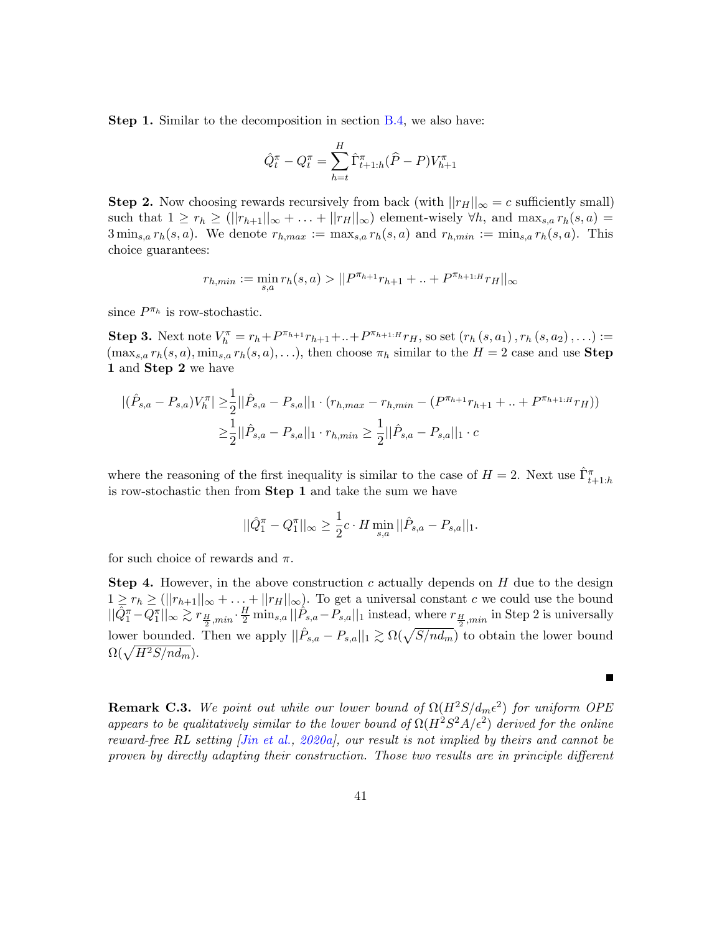Step 1. Similar to the decomposition in section [B.4,](#page-28-0) we also have:

$$
\hat{Q}_t^{\pi} - Q_t^{\pi} = \sum_{h=t}^{H} \hat{\Gamma}_{t+1:h}^{\pi} (\hat{P} - P) V_{h+1}^{\pi}
$$

Step 2. Now choosing rewards recursively from back (with  $||r_H||_{\infty} = c$  sufficiently small) such that  $1 \ge r_h \ge (||r_{h+1}||_{\infty} + ... + ||r_H||_{\infty})$  element-wisely  $\forall h$ , and  $\max_{s,a} r_h(s,a)$  $3 \min_{s,a} r_h(s,a)$ . We denote  $r_{h,max} := \max_{s,a} r_h(s,a)$  and  $r_{h,min} := \min_{s,a} r_h(s,a)$ . This choice guarantees:

$$
r_{h,min} := \min_{s,a} r_h(s,a) > ||P^{\pi_{h+1}}r_{h+1} + ... + P^{\pi_{h+1:H}}r_H||_{\infty}
$$

since  $P^{\pi_h}$  is row-stochastic.

**Step 3.** Next note  $V_h^{\pi} = r_h + P^{\pi_{h+1}}r_{h+1} + ... + P^{\pi_{h+1:H}}r_H$ , so set  $(r_h(s, a_1), r_h(s, a_2), ...)$  :=  $(\max_{s,a} r_h(s,a), \min_{s,a} r_h(s,a), \ldots)$ , then choose  $\pi_h$  similar to the  $H = 2$  case and use **Step** 1 and Step 2 we have

$$
\begin{aligned} |(\hat{P}_{s,a} - P_{s,a})V_h^{\pi}| \geq & \frac{1}{2} ||\hat{P}_{s,a} - P_{s,a}||_1 \cdot (r_{h,max} - r_{h,min} - (P^{\pi_{h+1}}r_{h+1} + \dots + P^{\pi_{h+1:H}}r_H)) \\ \geq & \frac{1}{2} ||\hat{P}_{s,a} - P_{s,a}||_1 \cdot r_{h,min} \geq \frac{1}{2} ||\hat{P}_{s,a} - P_{s,a}||_1 \cdot c \end{aligned}
$$

where the reasoning of the first inequality is similar to the case of  $H = 2$ . Next use  $\hat{\Gamma}_{t+1:h}^{\pi}$ is row-stochastic then from Step 1 and take the sum we have

$$
||\hat{Q}_1^{\pi} - Q_1^{\pi}||_{\infty} \ge \frac{1}{2}c \cdot H \min_{s,a} ||\hat{P}_{s,a} - P_{s,a}||_1.
$$

for such choice of rewards and  $\pi$ .

**Step 4.** However, in the above construction c actually depends on  $H$  due to the design  $1 \geq r_h \geq (||r_{h+1}||_{\infty} + ... + ||r_H||_{\infty}).$  To get a universal constant c we could use the bound  $||\hat{Q}_{1}^{\pi} - Q_{1}^{\pi}||_{\infty} \gtrsim r_{\frac{H}{2},min} \cdot \frac{H}{2} \min_{s,a} ||\hat{P}_{s,a} - P_{s,a}||_{1}$  instead, where  $r_{\frac{H}{2},min}$  in Step 2 is universally lower bounded. Then we apply  $||\hat{P}_{s,a} - P_{s,a}||_1 \gtrsim \Omega(\sqrt{S/nd_m})$  to obtain the lower bound  $\Omega(\sqrt{H^2S/nd_m}).$ 

**Remark C.3.** We point out while our lower bound of  $\Omega(H^2S/d_m\epsilon^2)$  for uniform OPE appears to be qualitatively similar to the lower bound of  $\Omega(H^2S^2A/\epsilon^2)$  derived for the online reward-free RL setting [\[Jin et al.,](#page-17-5) [2020a\]](#page-17-5), our result is not implied by theirs and cannot be proven by directly adapting their construction. Those two results are in principle different

 $\blacksquare$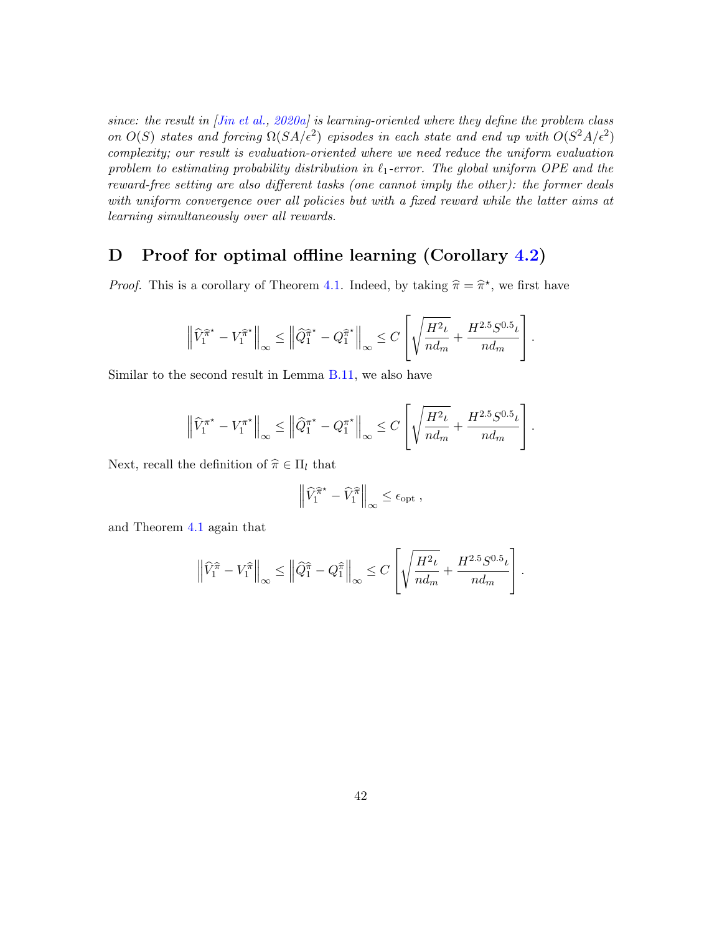since: the result in [\[Jin et al.,](#page-17-5) [2020a\]](#page-17-5) is learning-oriented where they define the problem class on  $O(S)$  states and forcing  $\Omega(SA/\epsilon^2)$  episodes in each state and end up with  $O(S^2A/\epsilon^2)$ complexity; our result is evaluation-oriented where we need reduce the uniform evaluation problem to estimating probability distribution in  $\ell_1$ -error. The global uniform OPE and the reward-free setting are also different tasks (one cannot imply the other): the former deals with uniform convergence over all policies but with a fixed reward while the latter aims at learning simultaneously over all rewards.

## <span id="page-41-0"></span>D Proof for optimal offline learning (Corollary [4.2\)](#page-9-1)

*Proof.* This is a corollary of Theorem [4.1.](#page-9-0) Indeed, by taking  $\hat{\pi} = \hat{\pi}^*$ , we first have

$$
\left\|\widehat{V}_1^{\widehat{\pi}^{\star}} - V_1^{\widehat{\pi}^{\star}}\right\|_{\infty} \le \left\|\widehat{Q}_1^{\widehat{\pi}^{\star}} - Q_1^{\widehat{\pi}^{\star}}\right\|_{\infty} \le C \left[\sqrt{\frac{H^2\iota}{nd_m}} + \frac{H^{2.5}S^{0.5}\iota}{nd_m}\right].
$$

Similar to the second result in Lemma [B.11,](#page-34-1) we also have

$$
\left\|\widehat{V}_1^{\pi^\star} - V_1^{\pi^\star}\right\|_{\infty} \le \left\|\widehat{Q}_1^{\pi^\star} - Q_1^{\pi^\star}\right\|_{\infty} \le C\left[\sqrt{\frac{H^2\iota}{nd_m}} + \frac{H^{2.5}S^{0.5}\iota}{nd_m}\right].
$$

Next, recall the definition of  $\hat{\pi} \in \Pi_l$  that

$$
\left\| \widehat{V}_1^{\widehat{\pi}^{\star}} - \widehat{V}_1^{\widehat{\pi}} \right\|_{\infty} \le \epsilon_{\mathrm{opt}} ,
$$

and Theorem [4.1](#page-9-0) again that

$$
\left\|\widehat{V}_1^{\widehat{\pi}} - V_1^{\widehat{\pi}}\right\|_{\infty} \le \left\|\widehat{Q}_1^{\widehat{\pi}} - Q_1^{\widehat{\pi}}\right\|_{\infty} \le C\left[\sqrt{\frac{H^2\iota}{nd_m}} + \frac{H^{2.5}S^{0.5}\iota}{nd_m}\right].
$$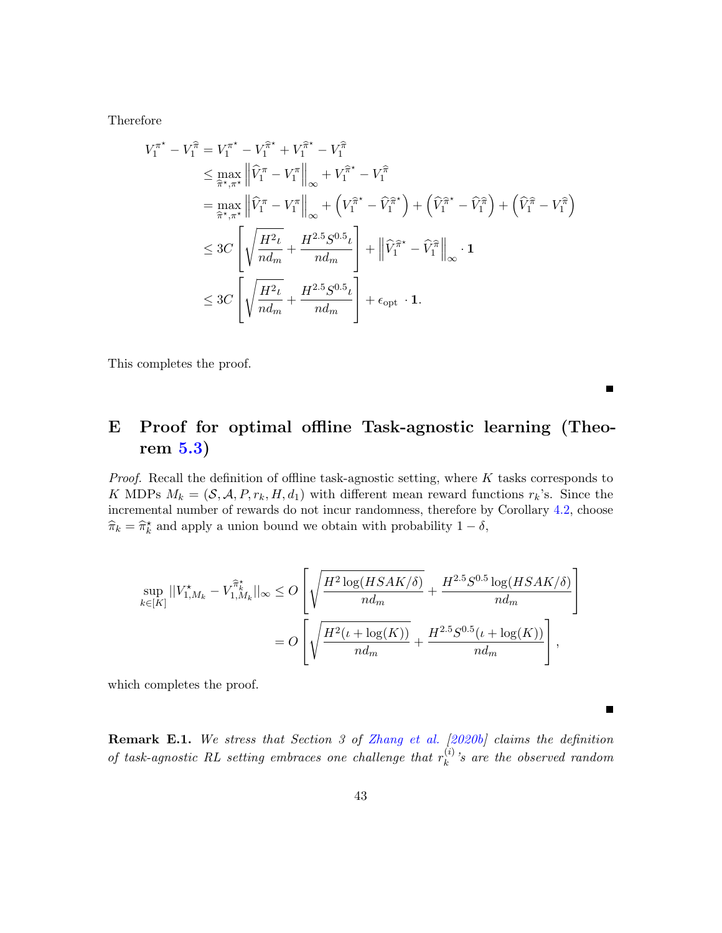Therefore

$$
V_{1}^{\pi^{*}} - V_{1}^{\hat{\pi}} = V_{1}^{\pi^{*}} - V_{1}^{\hat{\pi}^{*}} + V_{1}^{\hat{\pi}^{*}} - V_{1}^{\hat{\pi}}
$$
\n
$$
\leq \max_{\hat{\pi}^{*}, \pi^{*}} \left\| \hat{V}_{1}^{\pi} - V_{1}^{\pi} \right\|_{\infty} + V_{1}^{\hat{\pi}^{*}} - V_{1}^{\hat{\pi}}
$$
\n
$$
= \max_{\hat{\pi}^{*}, \pi^{*}} \left\| \hat{V}_{1}^{\pi} - V_{1}^{\pi} \right\|_{\infty} + \left( V_{1}^{\hat{\pi}^{*}} - \hat{V}_{1}^{\hat{\pi}^{*}} \right) + \left( \hat{V}_{1}^{\hat{\pi}^{*}} - \hat{V}_{1}^{\hat{\pi}} \right) + \left( \hat{V}_{1}^{\hat{\pi}} - V_{1}^{\hat{\pi}} \right)
$$
\n
$$
\leq 3C \left[ \sqrt{\frac{H^{2} \iota}{n d_{m}} + \frac{H^{2.5} S^{0.5} \iota}{n d_{m}}} \right] + \left\| \hat{V}_{1}^{\hat{\pi}^{*}} - \hat{V}_{1}^{\hat{\pi}} \right\|_{\infty} \cdot \mathbf{1}
$$
\n
$$
\leq 3C \left[ \sqrt{\frac{H^{2} \iota}{n d_{m}} + \frac{H^{2.5} S^{0.5} \iota}{n d_{m}}} \right] + \epsilon_{opt} \cdot \mathbf{1}.
$$

This completes the proof.

## <span id="page-42-0"></span>E Proof for optimal offline Task-agnostic learning (Theorem [5.3\)](#page-13-0)

*Proof.* Recall the definition of offline task-agnostic setting, where  $K$  tasks corresponds to K MDPs  $M_k = (\mathcal{S}, \mathcal{A}, P, r_k, H, d_1)$  with different mean reward functions  $r_k$ 's. Since the incremental number of rewards do not incur randomness, therefore by Corollary [4.2,](#page-9-1) choose  $\widehat{\pi}_k = \widehat{\pi}_k^*$  and apply a union bound we obtain with probability  $1 - \delta$ ,

$$
\sup_{k \in [K]} ||V_{1,M_k}^* - V_{1,M_k}^{\hat{\pi}_k^*}||_{\infty} \leq O\left[\sqrt{\frac{H^2 \log(HSAK/\delta)}{nd_m}} + \frac{H^{2.5}S^{0.5} \log(HSAK/\delta)}{nd_m}\right]
$$
  
= 
$$
O\left[\sqrt{\frac{H^2(\iota + \log(K))}{nd_m}} + \frac{H^{2.5}S^{0.5}(\iota + \log(K))}{nd_m}\right],
$$

which completes the proof.

**Remark E.1.** We stress that Section 3 of [Zhang et al.](#page-21-1) [\[2020b\]](#page-21-1) claims the definition of task-agnostic RL setting embraces one challenge that  $r_k^{(i)}$  $k^{(i)}$ 's are the observed random

 $\blacksquare$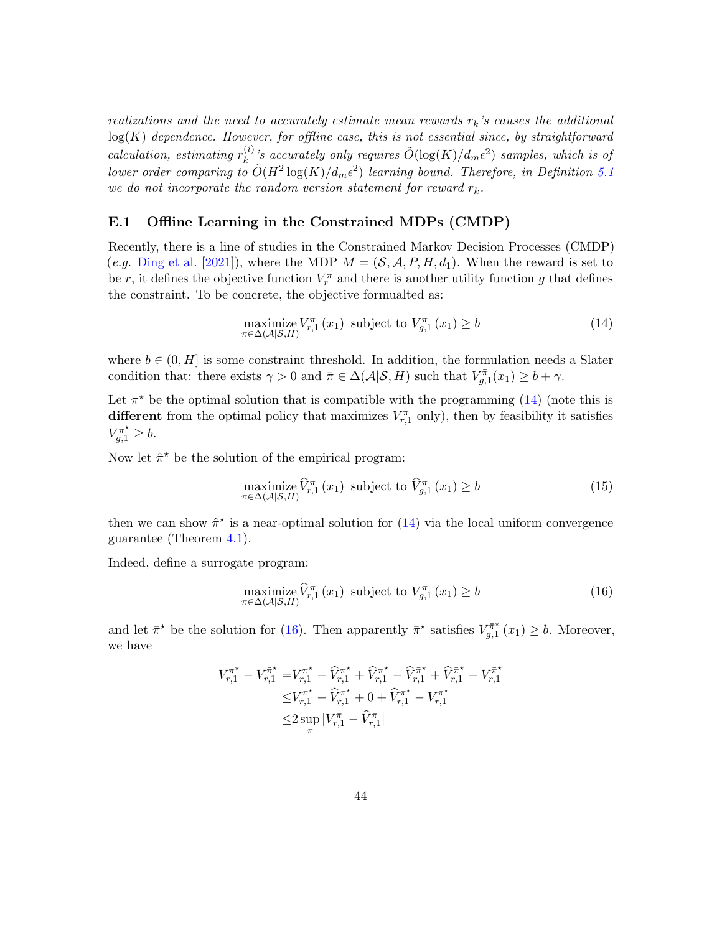realizations and the need to accurately estimate mean rewards  $r_k$ 's causes the additional  $log(K)$  dependence. However, for offline case, this is not essential since, by straightforward calculation, estimating  $r_k^{(i)}$  $\tilde{O}(k)$  is accurately only requires  $\tilde{O}(\log(K)/d_m\epsilon^2)$  samples, which is of lower order comparing to  $\tilde{O}(H^2\log(K)/d_m\epsilon^2)$  learning bound. Therefore, in Definition [5.1](#page-13-2) we do not incorporate the random version statement for reward  $r_k$ .

### E.1 Offline Learning in the Constrained MDPs (CMDP)

Recently, there is a line of studies in the Constrained Markov Decision Processes (CMDP) (e.g. [Ding et al.](#page-17-10) [\[2021\]](#page-17-10)), where the MDP  $M = (\mathcal{S}, \mathcal{A}, P, H, d_1)$ . When the reward is set to be r, it defines the objective function  $V_r^{\pi}$  and there is another utility function g that defines the constraint. To be concrete, the objective formualted as:

<span id="page-43-0"></span>
$$
\underset{\pi \in \Delta(\mathcal{A}|\mathcal{S}, H)}{\text{maximize}} V_{r,1}^{\pi}(x_1) \text{ subject to } V_{g,1}^{\pi}(x_1) \ge b \tag{14}
$$

where  $b \in (0, H]$  is some constraint threshold. In addition, the formulation needs a Slater condition that: there exists  $\gamma > 0$  and  $\bar{\pi} \in \Delta(\mathcal{A}|\mathcal{S}, H)$  such that  $V_{g,1}^{\bar{\pi}}(x_1) \geq b + \gamma$ .

Let  $\pi^*$  be the optimal solution that is compatible with the programming [\(14\)](#page-43-0) (note this is different from the optimal policy that maximizes  $V_{r,1}^{\pi}$  only), then by feasibility it satisfies  $V_{g,1}^{\pi^{\star}} \geq b.$ 

Now let  $\hat{\pi}^*$  be the solution of the empirical program:

<span id="page-43-2"></span>
$$
\underset{\pi \in \Delta(\mathcal{A}|\mathcal{S}, H)}{\text{maximize}} \widehat{V}_{r,1}^{\pi}(x_1) \text{ subject to } \widehat{V}_{g,1}^{\pi}(x_1) \ge b \tag{15}
$$

then we can show  $\hat{\pi}^*$  is a near-optimal solution for  $(14)$  via the local uniform convergence guarantee (Theorem [4.1\)](#page-9-0).

Indeed, define a surrogate program:

<span id="page-43-1"></span>
$$
\underset{\pi \in \Delta(\mathcal{A}|\mathcal{S}, H)}{\text{maximize}} \widehat{V}_{r,1}^{\pi}(x_1) \text{ subject to } V_{g,1}^{\pi}(x_1) \ge b \tag{16}
$$

and let  $\bar{\pi}^*$  be the solution for [\(16\)](#page-43-1). Then apparently  $\bar{\pi}^*$  satisfies  $V_{a}^{\bar{\pi}^*}$  $\chi_{g,1}^{\pi^*}(x_1) \geq b$ . Moreover, we have

$$
\begin{aligned} V_{r,1}^{\pi^\star} - V_{r,1}^{\bar{\pi}^\star} = & V_{r,1}^{\pi^\star} - \widehat{V}_{r,1}^{\pi^\star} + \widehat{V}_{r,1}^{\pi^\star} - \widehat{V}_{r,1}^{\bar{\pi}^\star} + \widehat{V}_{r,1}^{\bar{\pi}^\star} - V_{r,1}^{\bar{\pi}^\star} \\ \leq & V_{r,1}^{\pi^\star} - \widehat{V}_{r,1}^{\pi^\star} + 0 + \widehat{V}_{r,1}^{\bar{\pi}^\star} - V_{r,1}^{\bar{\pi}^\star} \\ \leq & 2 \sup_{\pi} |V_{r,1}^{\pi} - \widehat{V}_{r,1}^{\pi}| \end{aligned}
$$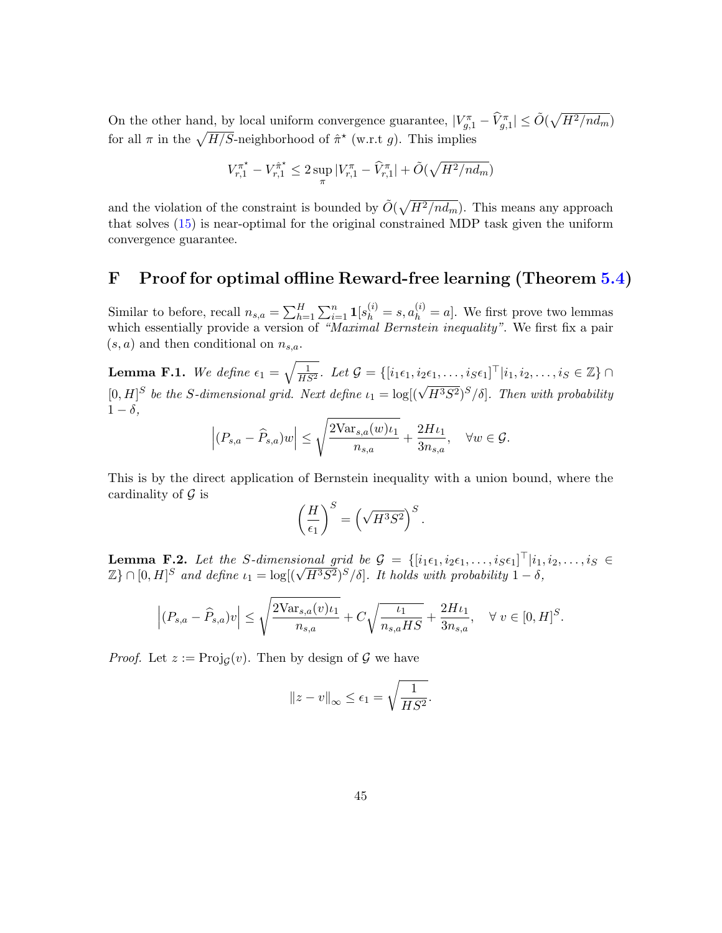On the other hand, by local uniform convergence guarantee,  $|V_{g,1}^{\pi} - \hat{V}_{g,1}^{\pi}| \le \tilde{O}(\sqrt{H^2/nd_m})$ for all  $\pi$  in the  $\sqrt{H/S}$ -neighborhood of  $\hat{\pi}^*$  (w.r.t g). This implies

$$
V_{r,1}^{\pi^\star} - V_{r,1}^{\hat{\pi}^\star} \le 2 \sup_{\pi} |V_{r,1}^{\pi} - \widehat{V}_{r,1}^{\pi}| + \tilde{O}(\sqrt{H^2 / nd_m})
$$

and the violation of the constraint is bounded by  $\tilde{O}(\sqrt{H^2/nd_m})$ . This means any approach that solves [\(15\)](#page-43-2) is near-optimal for the original constrained MDP task given the uniform convergence guarantee.

## <span id="page-44-0"></span>F Proof for optimal offline Reward-free learning (Theorem [5.4\)](#page-13-1)

Similar to before, recall  $n_{s,a} = \sum_{h=1}^{H} \sum_{i=1}^{n} \mathbf{1}[s_h^{(i)} = s, a_h^{(i)} = a]$ . We first prove two lemmas which essentially provide a version of "Maximal Bernstein inequality". We first fix a pair  $(s, a)$  and then conditional on  $n_{s,a}$ .

<span id="page-44-1"></span>**Lemma F.1.** We define  $\epsilon_1 = \sqrt{\frac{1}{HS^2}}$ . Let  $\mathcal{G} = \{ [i_1 \epsilon_1, i_2 \epsilon_1, \ldots, i_S \epsilon_1]^\top | i_1, i_2, \ldots, i_S \in \mathbb{Z} \} \cap$  $[0, H]^S$  be the S-dimensional grid. Next define  $\iota_1 = \log[(\sqrt{H^3S^2})^S/\delta]$ . Then with probability  $1 - \delta$ ,

$$
\left| (P_{s,a} - \widehat{P}_{s,a})w \right| \le \sqrt{\frac{2\text{Var}_{s,a}(w)\iota_1}{n_{s,a}}} + \frac{2H\iota_1}{3n_{s,a}}, \quad \forall w \in \mathcal{G}.
$$

This is by the direct application of Bernstein inequality with a union bound, where the cardinality of  $\mathcal G$  is

$$
\left(\frac{H}{\epsilon_1}\right)^S = \left(\sqrt{H^3 S^2}\right)^S.
$$

<span id="page-44-2"></span>**Lemma F.2.** Let the S-dimensional grid be  $\mathcal{G} = \{ [i_1 \epsilon_1, i_2 \epsilon_1, \ldots, i_S \epsilon_1]^\top | i_1, i_2, \ldots, i_S \in I \}$ **Lemma F.2.** Let the S-atmensional grid be  $\mathcal{G} = \{ [i_1 \epsilon_1, i_2 \epsilon_1, \dots, i_S \epsilon_1] \mid i_1, i_2 \in \mathbb{Z} \} \cap [0, H]^S$  and define  $i_1 = \log[(\sqrt{H^3 S^2})^S / \delta]$ . It holds with probability  $1 - \delta$ ,

$$
\left| (P_{s,a} - \widehat{P}_{s,a})v \right| \le \sqrt{\frac{2\text{Var}_{s,a}(v)\iota_1}{n_{s,a}}} + C\sqrt{\frac{\iota_1}{n_{s,a}HS}} + \frac{2H\iota_1}{3n_{s,a}}, \quad \forall \ v \in [0, H]^S.
$$

*Proof.* Let  $z := \text{Proj}_{\mathcal{G}}(v)$ . Then by design of  $\mathcal{G}$  we have

$$
||z - v||_{\infty} \le \epsilon_1 = \sqrt{\frac{1}{HS^2}}.
$$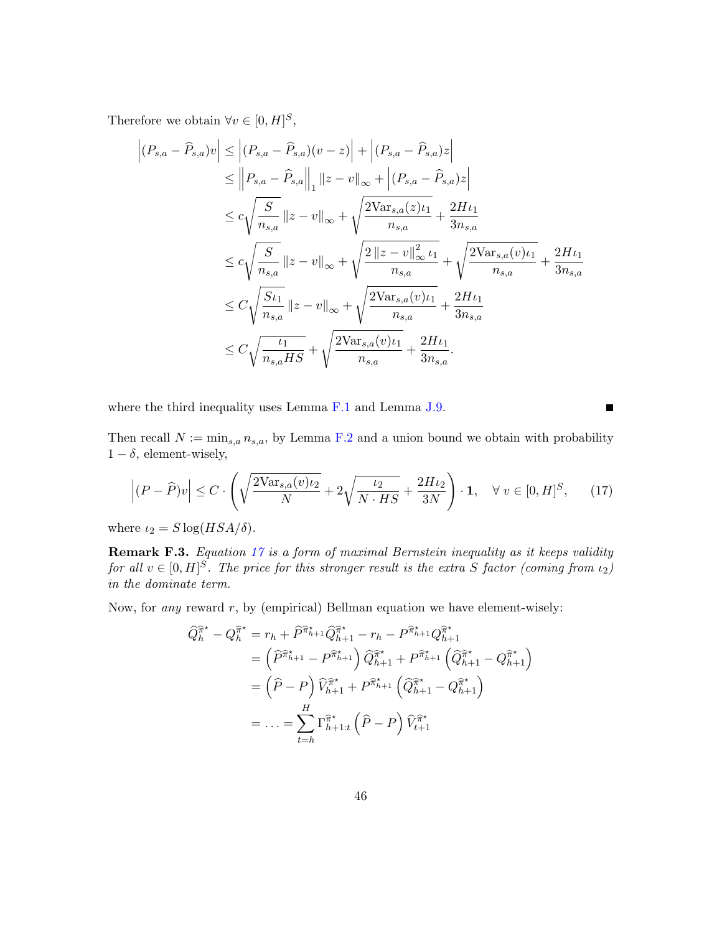Therefore we obtain  $\forall v \in [0, H]^S$ ,

$$
\left| (P_{s,a} - \hat{P}_{s,a})v \right| \leq \left| (P_{s,a} - \hat{P}_{s,a})(v-z) \right| + \left| (P_{s,a} - \hat{P}_{s,a})z \right|
$$
  
\n
$$
\leq \left\| P_{s,a} - \hat{P}_{s,a} \right\|_{1} \|z - v\|_{\infty} + \left| (P_{s,a} - \hat{P}_{s,a})z \right|
$$
  
\n
$$
\leq c \sqrt{\frac{S}{n_{s,a}}} \|z - v\|_{\infty} + \sqrt{\frac{2 \text{Var}_{s,a}(z)\iota_1}{n_{s,a}} + \frac{2H\iota_1}{3n_{s,a}}}
$$
  
\n
$$
\leq c \sqrt{\frac{S}{n_{s,a}}} \|z - v\|_{\infty} + \sqrt{\frac{2 \|z - v\|_{\infty}^2 \iota_1}{n_{s,a}}} + \sqrt{\frac{2 \text{Var}_{s,a}(v)\iota_1}{n_{s,a}} + \frac{2H\iota_1}{3n_{s,a}}}
$$
  
\n
$$
\leq C \sqrt{\frac{S\iota_1}{n_{s,a}} \|z - v\|_{\infty} + \sqrt{\frac{2 \text{Var}_{s,a}(v)\iota_1}{n_{s,a}} + \frac{2H\iota_1}{3n_{s,a}}}
$$
  
\n
$$
\leq C \sqrt{\frac{\iota_1}{n_{s,a}HS}} + \sqrt{\frac{2 \text{Var}_{s,a}(v)\iota_1}{n_{s,a}} + \frac{2H\iota_1}{3n_{s,a}}}.
$$

where the third inequality uses Lemma [F.1](#page-44-1) and Lemma [J.9.](#page-58-0)

Then recall  $N := \min_{s,a} n_{s,a}$ , by Lemma [F.2](#page-44-2) and a union bound we obtain with probability  $1 - \delta$ , element-wisely,

$$
\left| (P - \widehat{P})v \right| \le C \cdot \left( \sqrt{\frac{2\text{Var}_{s,a}(v)\iota_2}{N}} + 2\sqrt{\frac{\iota_2}{N \cdot HS}} + \frac{2H\iota_2}{3N} \right) \cdot \mathbf{1}, \quad \forall \ v \in [0, H]^S, \tag{17}
$$

<span id="page-45-0"></span> $\blacksquare$ 

where  $\iota_2 = S \log(HSA/\delta)$ .

Remark F.3. Equation [17](#page-45-0) is a form of maximal Bernstein inequality as it keeps validity for all  $v \in [0, H]^S$ . The price for this stronger result is the extra S factor (coming from  $\iota_2$ ) in the dominate term.

Now, for *any* reward  $r$ , by (empirical) Bellman equation we have element-wisely:

$$
\begin{split} \widehat{Q}_{h}^{\widehat{\pi}^*} - Q_{h}^{\widehat{\pi}^*} &= r_h + \widehat{P}^{\widehat{\pi}_{h+1}^*} \widehat{Q}_{h+1}^{\widehat{\pi}^*} - r_h - P^{\widehat{\pi}_{h+1}^*} Q_{h+1}^{\widehat{\pi}^*} \\ &= \left(\widehat{P}^{\widehat{\pi}_{h+1}^*} - P^{\widehat{\pi}_{h+1}^*}\right) \widehat{Q}_{h+1}^{\widehat{\pi}^*} + P^{\widehat{\pi}_{h+1}^*} \left(\widehat{Q}_{h+1}^{\widehat{\pi}^*} - Q_{h+1}^{\widehat{\pi}^*}\right) \\ &= \left(\widehat{P} - P\right) \widehat{V}_{h+1}^{\widehat{\pi}^*} + P^{\widehat{\pi}_{h+1}^*} \left(\widehat{Q}_{h+1}^{\widehat{\pi}^*} - Q_{h+1}^{\widehat{\pi}^*}\right) \\ &= \ldots = \sum_{t=h}^{H} \Gamma_{h+1:t}^{\widehat{\pi}^*} \left(\widehat{P} - P\right) \widehat{V}_{t+1}^{\widehat{\pi}^*} \end{split}
$$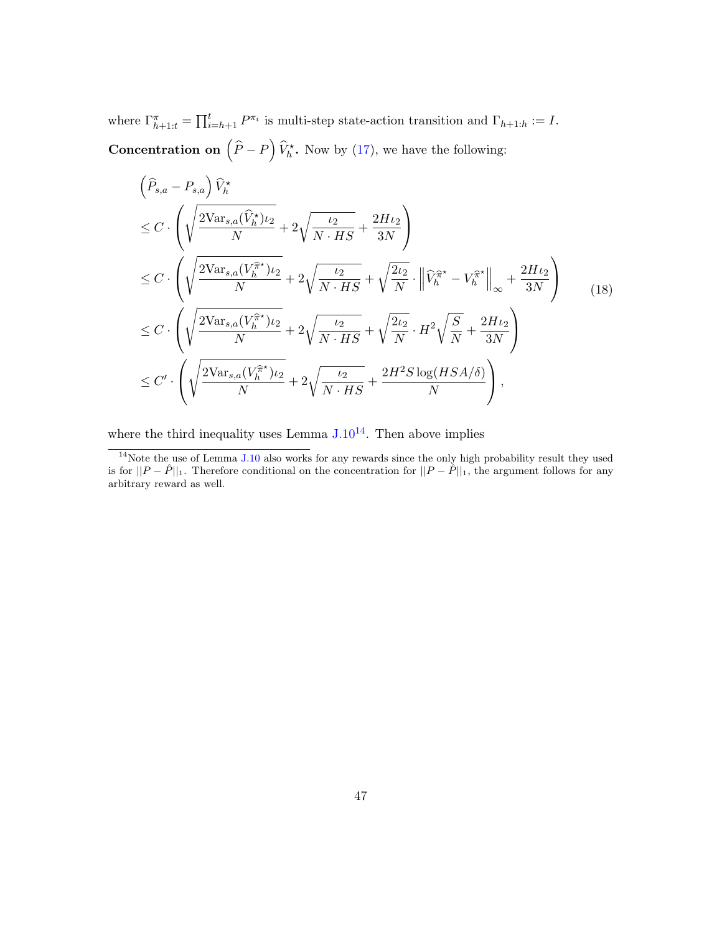where  $\Gamma_{h+1:t}^{\pi} = \prod_{i=h+1}^{t} P^{\pi_i}$  is multi-step state-action transition and  $\Gamma_{h+1:h} := I$ . **Concentration on**  $(\hat{P} - P) \hat{V}_h^*$ . Now by [\(17\)](#page-45-0), we have the following:

$$
\left(\widehat{P}_{s,a} - P_{s,a}\right)\widehat{V}_{h}^{\star}
$$
\n
$$
\leq C \cdot \left(\sqrt{\frac{2\text{Var}_{s,a}(\widehat{V}_{h}^{\star})\iota_{2}}{N}} + 2\sqrt{\frac{\iota_{2}}{N \cdot HS}} + \frac{2H\iota_{2}}{3N}\right)
$$
\n
$$
\leq C \cdot \left(\sqrt{\frac{2\text{Var}_{s,a}(V_{h}^{\widehat{\pi}^{\star})\iota_{2}}}{N}} + 2\sqrt{\frac{\iota_{2}}{N \cdot HS}} + \sqrt{\frac{2\iota_{2}}{N} \cdot \left\|\widehat{V}_{h}^{\widehat{\pi}^{\star}} - V_{h}^{\widehat{\pi}^{\star}}\right\|_{\infty}} + \frac{2H\iota_{2}}{3N}\right)
$$
\n
$$
\leq C \cdot \left(\sqrt{\frac{2\text{Var}_{s,a}(V_{h}^{\widehat{\pi}^{\star})\iota_{2}}}{N}} + 2\sqrt{\frac{\iota_{2}}{N \cdot HS}} + \sqrt{\frac{2\iota_{2}}{N} \cdot H^{2}\sqrt{\frac{S}{N}} + \frac{2H\iota_{2}}{3N}}\right)
$$
\n
$$
\leq C' \cdot \left(\sqrt{\frac{2\text{Var}_{s,a}(V_{h}^{\widehat{\pi}^{\star})\iota_{2}}}{N}} + 2\sqrt{\frac{\iota_{2}}{N \cdot HS}} + \frac{2H^{2}S\log(HSA/\delta)}{N}\right),
$$
\n(18)

where the third inequality uses Lemma  $J.10^{14}$  $J.10^{14}$  $J.10^{14}$  $J.10^{14}$ . Then above implies

<span id="page-46-0"></span> $\overline{14}$ Note the use of Lemma [J.10](#page-59-0) also works for any rewards since the only high probability result they used is for  $||P - \hat{P}||_1$ . Therefore conditional on the concentration for  $||P - \hat{P}||_1$ , the argument follows for any arbitrary reward as well.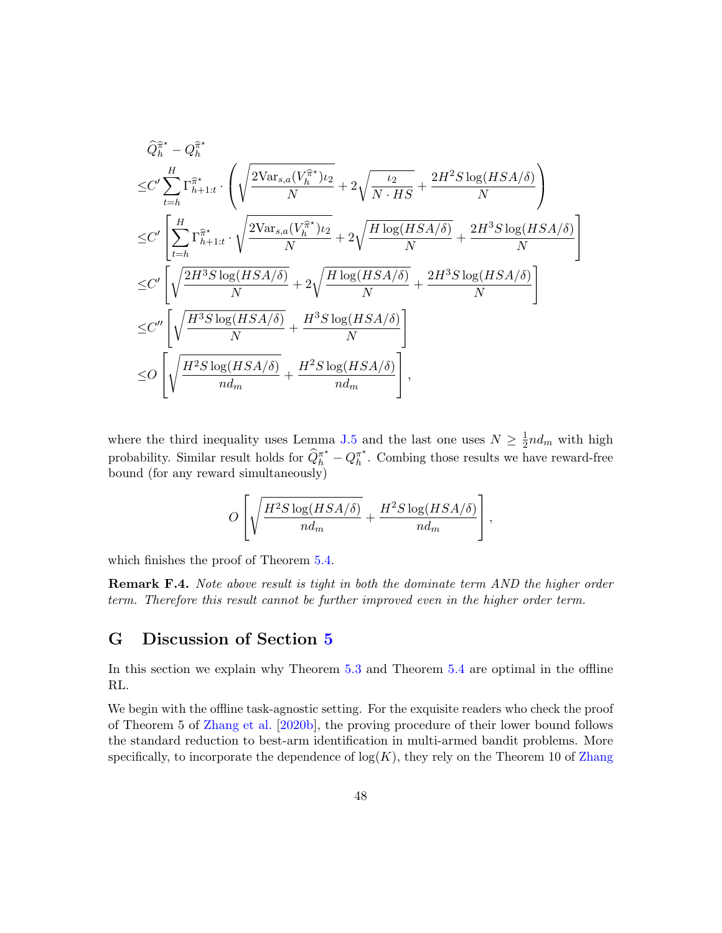$$
\begin{split} &\widehat{Q}_{h}^{\widehat{\pi}^{\star}} - Q_{h}^{\widehat{\pi}^{\star}} \\ \leq & C' \sum_{t=h}^{H} \Gamma_{h+1:t}^{\widehat{\pi}^{\star}} \cdot \left( \sqrt{\frac{2 \text{Var}_{s,a}(V_{h}^{\widehat{\pi}^{\star}}) \iota_{2}}{N}} + 2 \sqrt{\frac{\iota_{2}}{N \cdot HS}} + \frac{2 H^{2} S \log(HSA/\delta)}{N} \right) \\ \leq & C' \left[ \sum_{t=h}^{H} \Gamma_{h+1:t}^{\widehat{\pi}^{\star}} \cdot \sqrt{\frac{2 \text{Var}_{s,a}(V_{h}^{\widehat{\pi}^{\star}}) \iota_{2}}{N}} + 2 \sqrt{\frac{H \log(HSA/\delta)}{N}} + \frac{2 H^{3} S \log(HSA/\delta)}{N} \right] \\ \leq & C' \left[ \sqrt{\frac{2 H^{3} S \log(HSA/\delta)}{N}} + 2 \sqrt{\frac{H \log(HSA/\delta)}{N}} + \frac{2 H^{3} S \log(HSA/\delta)}{N} \right] \\ \leq & C'' \left[ \sqrt{\frac{H^{3} S \log(HSA/\delta)}{N}} + \frac{H^{3} S \log(HSA/\delta)}{N} \right] \\ \leq & O \left[ \sqrt{\frac{H^{2} S \log(HSA/\delta)}{n d_{m}}} + \frac{H^{2} S \log(HSA/\delta)}{n d_{m}} \right], \end{split}
$$

where the third inequality uses Lemma [J.5](#page-56-1) and the last one uses  $N \geq \frac{1}{2}$  $\frac{1}{2}nd_m$  with high probability. Similar result holds for  $\widehat{Q}_{h}^{\pi^{\star}} - Q_{h}^{\pi^{\star}}$  $\int_h^{\pi^*}$ . Combing those results we have reward-free bound (for any reward simultaneously)

$$
O\left[\sqrt{\frac{H^2S\log(HSA/\delta)}{nd_m}} + \frac{H^2S\log(HSA/\delta)}{nd_m}\right],
$$

which finishes the proof of Theorem [5.4.](#page-13-1)

**Remark F.4.** Note above result is tight in both the dominate term AND the higher order term. Therefore this result cannot be further improved even in the higher order term.

## <span id="page-47-0"></span>G Discussion of Section [5](#page-13-4)

In this section we explain why Theorem [5.3](#page-13-0) and Theorem [5.4](#page-13-1) are optimal in the offline RL.

We begin with the offline task-agnostic setting. For the exquisite readers who check the proof of Theorem 5 of [Zhang et al.](#page-21-1) [\[2020b\]](#page-21-1), the proving procedure of their lower bound follows the standard reduction to best-arm identification in multi-armed bandit problems. More specifically, to incorporate the dependence of  $log(K)$ , they rely on the Theorem 10 of [Zhang](#page-21-1)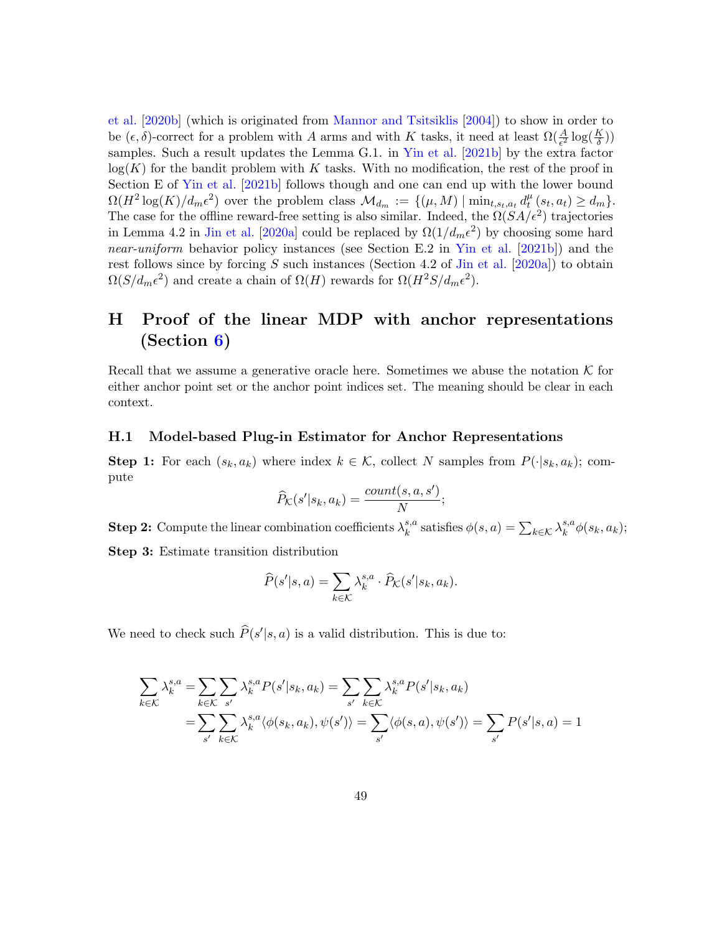[et al.](#page-21-1) [\[2020b\]](#page-21-1) (which is originated from [Mannor and Tsitsiklis](#page-19-11) [\[2004\]](#page-19-11)) to show in order to be  $(\epsilon, \delta)$ -correct for a problem with A arms and with K tasks, it need at least  $\Omega(\frac{A}{\epsilon^2} \log(\frac{K}{\delta}))$  $\frac{\kappa}{\delta})$ samples. Such a result updates the Lemma G.1. in [Yin et al.](#page-20-7) [\[2021b\]](#page-20-7) by the extra factor  $log(K)$  for the bandit problem with K tasks. With no modification, the rest of the proof in Section E of [Yin et al.](#page-20-7) [\[2021b\]](#page-20-7) follows though and one can end up with the lower bound  $\Omega(H^2 \log(K)/d_m \epsilon^2)$  over the problem class  $\mathcal{M}_{d_m} := \{(\mu, M) \mid \min_{t, s_t, a_t} d_t^{\mu}$  $_{t}^{\mu}(s_{t}, a_{t}) \geq d_{m}$  }. The case for the offline reward-free setting is also similar. Indeed, the  $\Omega(SA/\epsilon^2)$  trajectories in Lemma 4.2 in [Jin et al.](#page-17-5) [\[2020a\]](#page-17-5) could be replaced by  $\Omega(1/d_m\epsilon^2)$  by choosing some hard near-uniform behavior policy instances (see Section E.2 in [Yin et al.](#page-20-7) [\[2021b\]](#page-20-7)) and the rest follows since by forcing  $S$  such instances (Section 4.2 of [Jin et al.](#page-17-5) [\[2020a\]](#page-17-5)) to obtain  $\Omega(S/d_m\epsilon^2)$  and create a chain of  $\Omega(H)$  rewards for  $\Omega(H^2S/d_m\epsilon^2)$ .

## <span id="page-48-0"></span>H Proof of the linear MDP with anchor representations (Section [6\)](#page-14-3)

Recall that we assume a generative oracle here. Sometimes we abuse the notation  $K$  for either anchor point set or the anchor point indices set. The meaning should be clear in each context.

#### H.1 Model-based Plug-in Estimator for Anchor Representations

**Step 1:** For each  $(s_k, a_k)$  where index  $k \in \mathcal{K}$ , collect N samples from  $P(\cdot|s_k, a_k)$ ; compute

$$
\widehat{P}_{\mathcal{K}}(s'|s_k, a_k) = \frac{count(s, a, s')}{N};
$$

**Step 2:** Compute the linear combination coefficients  $\lambda_k^{s,a}$  $k_s^{s,a}$  satisfies  $\phi(s,a) = \sum_{k \in \mathcal{K}} \lambda_k^{s,a}$  $_{k}^{s,a}\phi(s_{k},a_{k});$ 

Step 3: Estimate transition distribution

$$
\widehat{P}(s'|s,a) = \sum_{k \in \mathcal{K}} \lambda_k^{s,a} \cdot \widehat{P}_{\mathcal{K}}(s'|s_k, a_k).
$$

We need to check such  $\widehat{P}(s'|s, a)$  is a valid distribution. This is due to:

$$
\sum_{k \in \mathcal{K}} \lambda_k^{s,a} = \sum_{k \in \mathcal{K}} \sum_{s'} \lambda_k^{s,a} P(s'|s_k, a_k) = \sum_{s'} \sum_{k \in \mathcal{K}} \lambda_k^{s,a} P(s'|s_k, a_k)
$$
  
= 
$$
\sum_{s'} \sum_{k \in \mathcal{K}} \lambda_k^{s,a} \langle \phi(s_k, a_k), \psi(s') \rangle = \sum_{s'} \langle \phi(s,a), \psi(s') \rangle = \sum_{s'} P(s'|s,a) = 1
$$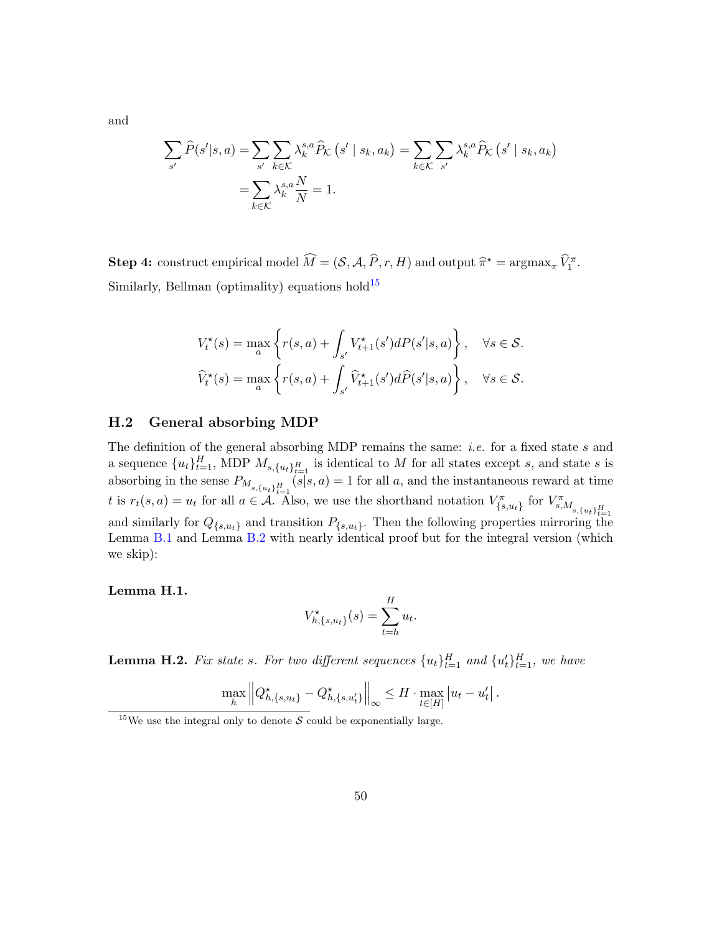$$
\sum_{s'} \widehat{P}(s'|s, a) = \sum_{s'} \sum_{k \in \mathcal{K}} \lambda_k^{s, a} \widehat{P}_{\mathcal{K}}(s' \mid s_k, a_k) = \sum_{k \in \mathcal{K}} \sum_{s'} \lambda_k^{s, a} \widehat{P}_{\mathcal{K}}(s' \mid s_k, a_k)
$$

$$
= \sum_{k \in \mathcal{K}} \lambda_k^{s, a} \frac{N}{N} = 1.
$$

**Step 4:** construct empirical model  $\widehat{M} = (\mathcal{S}, \mathcal{A}, \widehat{P}, r, H)$  and output  $\widehat{\pi}^* = \operatorname{argmax}_{\pi} \widehat{V}_1^{\pi}$ . Similarly, Bellman (optimality) equations hold<sup>[15](#page-49-0)</sup>

$$
V_t^{\star}(s) = \max_{a} \left\{ r(s, a) + \int_{s'} V_{t+1}^{\star}(s')dP(s'|s, a) \right\}, \quad \forall s \in \mathcal{S}.
$$

$$
\widehat{V}_t^{\star}(s) = \max_{a} \left\{ r(s, a) + \int_{s'} \widehat{V}_{t+1}^{\star}(s')d\widehat{P}(s'|s, a) \right\}, \quad \forall s \in \mathcal{S}.
$$

#### H.2 General absorbing MDP

The definition of the general absorbing MDP remains the same: *i.e.* for a fixed state  $s$  and a sequence  ${u_t}_{t=1}^H$ , MDP  $M_{s,\{u_t\}_{t=1}^H}$  is identical to M for all states except s, and state s is absorbing in the sense  $P_{M_{s,\{u_t\}_{t=1}^H}}(s|s,a) = 1$  for all a, and the instantaneous reward at time t is  $r_t(s, a) = u_t$  for all  $a \in \mathcal{A}$ . Also, we use the shorthand notation  $V_{\{s,u_t\}}^{\pi}$  for  $V_{s,M_{s,\{u_t\}_{t=1}}^H}^{\pi}$ and similarly for  $Q_{\{s,u_t\}}$  and transition  $P_{\{s,u_t\}}$ . Then the following properties mirroring the Lemma [B.1](#page-25-1) and Lemma [B.2](#page-25-0) with nearly identical proof but for the integral version (which we skip):

#### Lemma H.1.

$$
V_{h,\{s,u_t\}}^{\star}(s) = \sum_{t=h}^{H} u_t.
$$

<span id="page-49-1"></span>**Lemma H.2.** Fix state s. For two different sequences  $\{u_t\}_{t=1}^H$  and  $\{u_t'\}_{t=1}^H$ , we have

$$
\max_{h} \left\| Q_{h,\{s,u_t\}}^\star - Q_{h,\{s,u_t'\}}^\star \right\|_{\infty} \leq H \cdot \max_{t \in [H]} |u_t - u_t'|.
$$

and

<span id="page-49-0"></span><sup>&</sup>lt;sup>15</sup>We use the integral only to denote S could be exponentially large.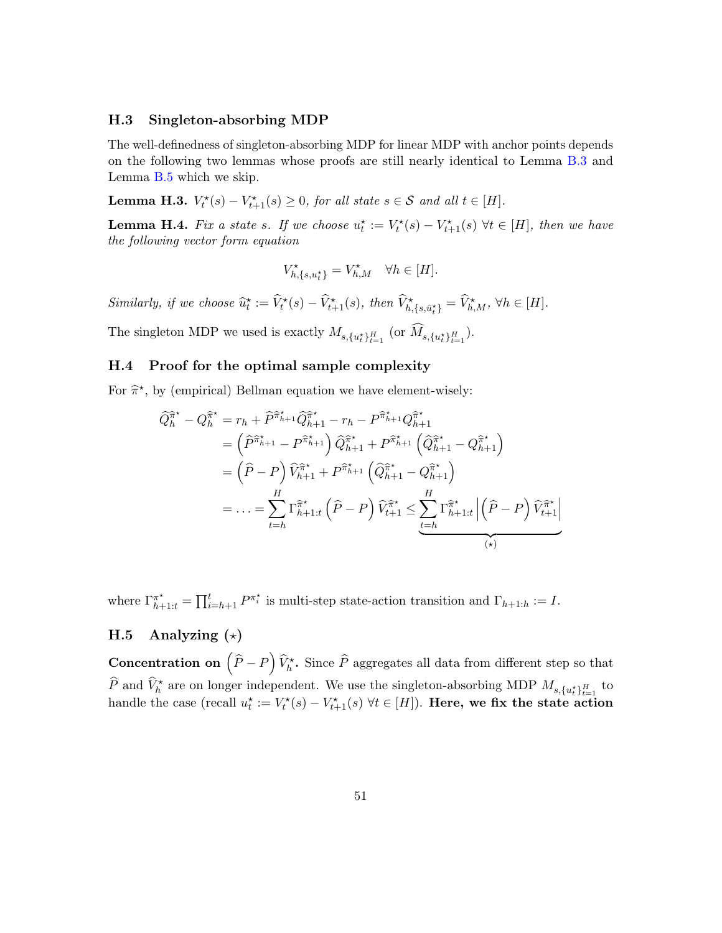#### H.3 Singleton-absorbing MDP

The well-definedness of singleton-absorbing MDP for linear MDP with anchor points depends on the following two lemmas whose proofs are still nearly identical to Lemma [B.3](#page-26-0) and Lemma [B.5](#page-27-0) which we skip.

**Lemma H.3.**  $V_t^*(s) - V_{t+1}^*(s) \ge 0$ , for all state  $s \in \mathcal{S}$  and all  $t \in [H]$ .

<span id="page-50-0"></span>**Lemma H.4.** Fix a state s. If we choose  $u_t^* := V_t^*(s) - V_{t+1}^*(s) \ \forall t \in [H]$ , then we have the following vector form equation

$$
V^\star_{h,\{s,u^\star_t\}}=V^\star_{h,M} \quad \forall h \in [H].
$$

Similarly, if we choose  $\widehat{u}_t^* := \widehat{V}_t^*(s) - \widehat{V}_{t+1}^*(s)$ , then  $\widehat{V}_{h,\{s,\hat{u}_t^*\}}^* = \widehat{V}_{h,M}^*$ ,  $\forall h \in [H]$ .

The singleton MDP we used is exactly  $M_{s,\{u_t^*\}_{t=1}^H}$  (or  $M_{s,\{u_t^*\}_{t=1}^H}$ ).

### H.4 Proof for the optimal sample complexity

For  $\hat{\pi}^*$ , by (empirical) Bellman equation we have element-wisely:

$$
\begin{split}\n\widehat{Q}_{h}^{\widehat{\pi}^{\star}} - Q_{h}^{\widehat{\pi}^{\star}} &= r_{h} + \widehat{P}^{\widehat{\pi}_{h+1}^{\star}} \widehat{Q}_{h+1}^{\widehat{\pi}^{\star}} - r_{h} - P^{\widehat{\pi}_{h+1}^{\star}} Q_{h+1}^{\widehat{\pi}^{\star}} \\
&= \left(\widehat{P}^{\widehat{\pi}_{h+1}^{\star}} - P^{\widehat{\pi}_{h+1}^{\star}}\right) \widehat{Q}_{h+1}^{\widehat{\pi}^{\star}} + P^{\widehat{\pi}_{h+1}^{\star}} \left(\widehat{Q}_{h+1}^{\widehat{\pi}^{\star}} - Q_{h+1}^{\widehat{\pi}^{\star}}\right) \\
&= \left(\widehat{P} - P\right) \widehat{V}_{h+1}^{\widehat{\pi}^{\star}} + P^{\widehat{\pi}_{h+1}^{\star}} \left(\widehat{Q}_{h+1}^{\widehat{\pi}^{\star}} - Q_{h+1}^{\widehat{\pi}^{\star}}\right) \\
&= \dots = \sum_{t=h}^{H} \Gamma^{\widehat{\pi}^{\star}}_{h+1:t} \left(\widehat{P} - P\right) \widehat{V}_{t+1}^{\widehat{\pi}^{\star}} \leq \underbrace{\sum_{t=h}^{H} \Gamma^{\widehat{\pi}^{\star}}_{h+1:t} \left|\left(\widehat{P} - P\right) \widehat{V}_{t+1}^{\widehat{\pi}^{\star}}\right|}_{(x)}\n\end{split}
$$

where  $\Gamma_{h+1:t}^{\pi^*} = \prod_{i=h+1}^t P^{\pi_i^*}$  is multi-step state-action transition and  $\Gamma_{h+1:h} := I$ .

## H.5 Analyzing  $(\star)$

**Concentration on**  $(\hat{P} - P) \hat{V}_h^*$ . Since  $\hat{P}$  aggregates all data from different step so that  $\widehat{P}$  and  $\widehat{V}_h^*$  are on longer independent. We use the singleton-absorbing MDP  $M_{s,\{u_t^*\}_{t=1}^H}$  to thandle the case (recall  $u_t^* := V_t^*(s) - V_{t+1}^*(s)$   $\forall t \in [H]$ ). Here, we fix the state action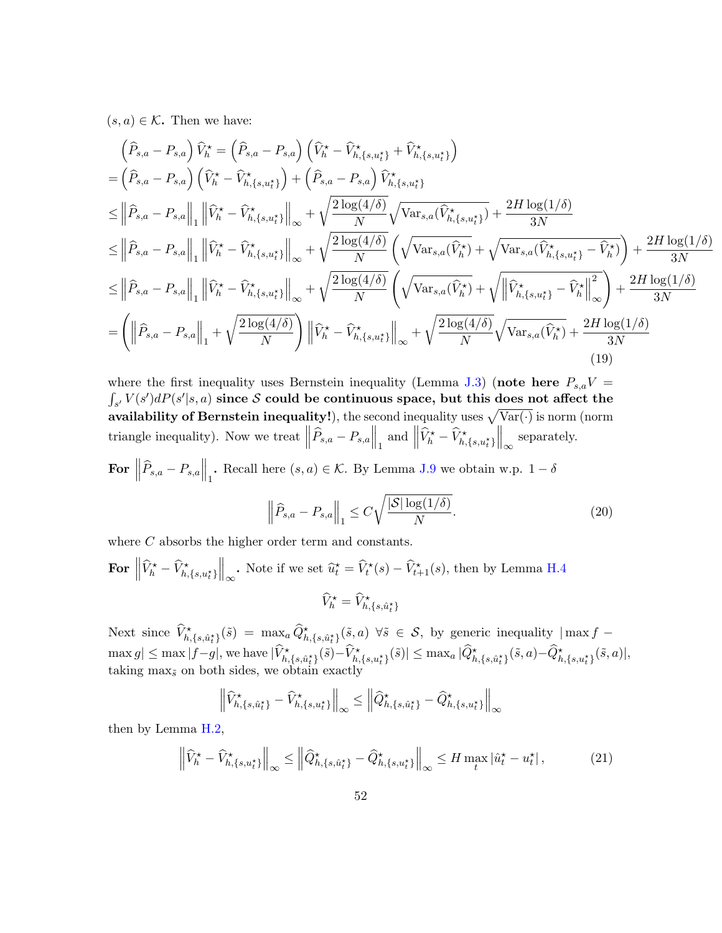$(s, a) \in \mathcal{K}$ . Then we have:

<span id="page-51-0"></span>
$$
\begin{split}\n&\left(\widehat{P}_{s,a}-P_{s,a}\right)\widehat{V}_{h}^{\star}=\left(\widehat{P}_{s,a}-P_{s,a}\right)\left(\widehat{V}_{h}^{\star}-\widehat{V}_{h,\{s,u_{t}^{\star}\}}^{\star}+\widehat{V}_{h,\{s,u_{t}^{\star}\}}^{\star}\right) \\
&=\left(\widehat{P}_{s,a}-P_{s,a}\right)\left(\widehat{V}_{h}^{\star}-\widehat{V}_{h,\{s,u_{t}^{\star}\}}^{\star}\right)+\left(\widehat{P}_{s,a}-P_{s,a}\right)\widehat{V}_{h,\{s,u_{t}^{\star}\}}^{\star} \\
&\leq\left\|\widehat{P}_{s,a}-P_{s,a}\right\|_{1}\left\|\widehat{V}_{h}^{\star}-\widehat{V}_{h,\{s,u_{t}^{\star}\}}^{\star}\right\|_{\infty}+\sqrt{\frac{2\log(4/\delta)}{N}}\sqrt{\text{Var}_{s,a}(\widehat{V}_{h,\{s,u_{t}^{\star}\}}^{\star})}+\frac{2H\log(1/\delta)}{3N} \\
&\leq\left\|\widehat{P}_{s,a}-P_{s,a}\right\|_{1}\left\|\widehat{V}_{h}^{\star}-\widehat{V}_{h,\{s,u_{t}^{\star}\}}^{\star}\right\|_{\infty}+\sqrt{\frac{2\log(4/\delta)}{N}}\left(\sqrt{\text{Var}_{s,a}(\widehat{V}_{h}^{\star})}+\sqrt{\text{Var}_{s,a}(\widehat{V}_{h,\{s,u_{t}^{\star}\}}^{\star}-\widehat{V}_{h}^{\star})}\right)+\frac{2H\log(1/\delta)}{3N} \\
&\leq\left\|\widehat{P}_{s,a}-P_{s,a}\right\|_{1}\left\|\widehat{V}_{h}^{\star}-\widehat{V}_{h,\{s,u_{t}^{\star}\}}^{\star}\right\|_{\infty}+\sqrt{\frac{2\log(4/\delta)}{N}}\left(\sqrt{\text{Var}_{s,a}(\widehat{V}_{h}^{\star})}+\sqrt{\left\|\widehat{V}_{h,\{s,u_{t}^{\star}\}}^{\star}-\widehat{V}_{h}^{\star}\}\right\|_{\infty}\right)+\frac{2H\log(1/\delta)}{3N} \\
&=\left(\left\|\widehat{P}_{s,a}-P_{s,a}\right\|_{1}+\sqrt{\frac{2\log(4/\delta)}{N}}\right)\left
$$

where the first inequality uses Bernstein inequality (Lemma [J.3\)](#page-56-0) (note here  $P_{s,a}V =$  $\int_{s'} V(s') dP(s'|s,a)$  since S could be continuous space, but this does not affect the availability of Bernstein inequality!), the second inequality uses  $\sqrt{\text{Var}(\cdot)}$  is norm (norm triangle inequality). Now we treat  $\left\|\widehat{P}_{s,a} - P_{s,a}\right\|_1$  and  $\left\|\widehat{V}_h^{\star} - \widehat{V}_{h,\{s,u_t^{\star}\}}^{\star}\right\|_{\infty}$  separately.

For  $\left\|\widehat{P}_{s,a} - P_{s,a}\right\|_1$ . Recall here  $(s,a) \in \mathcal{K}$ . By Lemma [J.9](#page-58-0) we obtain w.p.  $1-\delta$ 

$$
\left\|\widehat{P}_{s,a} - P_{s,a}\right\|_1 \le C\sqrt{\frac{|\mathcal{S}| \log(1/\delta)}{N}}.\tag{20}
$$

where C absorbs the higher order term and constants.

For 
$$
\left\|\widehat{V}_h^{\star} - \widehat{V}_{h,\{s,u_t^{\star}\}}^{\star}\right\|_{\infty}
$$
. Note if we set  $\widehat{u}_t^{\star} = \widehat{V}_t^{\star}(s) - \widehat{V}_{t+1}^{\star}(s)$ , then by Lemma H.4  

$$
\widehat{V}_h^{\star} = \widehat{V}_{h,\{s,\widehat{u}_t^{\star}\}}
$$

Next since  $\widehat{V}^{\star}_{h,\{s,\hat{u}^{\star}_{t}\}}(\tilde{s}) = \max_{a} \widehat{Q}^{\star}_{h,\{s,\hat{u}^{\star}_{t}\}}(\tilde{s},a) \ \forall \tilde{s} \in \mathcal{S},$  by generic inequality  $|\max f - \hat{Q}|\$  $\max g|\leq \max|f-g|,$  we have  $|\widehat{V}^\star_{h,\{s,\hat{u}^\star_t\}}(\tilde{s})-\widehat{V}^\star_{h,\{s,u^\star_t\}}(\tilde{s})|\leq \max_{a}|\widehat{Q}^\star_{h,\{s,\hat{u}^\star_t\}}(\tilde{s},a)-\widehat{Q}^\star_{h,\{s,u^\star_t\}}(\tilde{s},a)|,$ taking  $\max_{\tilde{s}}$  on both sides, we obtain exactly

$$
\left\| \widehat{V}_{h,\{s,\hat{u}_t^{\star}\}}^{\star} - \widehat{V}_{h,\{s,u_t^{\star}\}}^{\star} \right\|_{\infty} \leq \left\| \widehat{Q}_{h,\{s,\hat{u}_t^{\star}\}}^{\star} - \widehat{Q}_{h,\{s,u_t^{\star}\}}^{\star} \right\|_{\infty}
$$

then by Lemma [H.2,](#page-49-1)

<span id="page-51-1"></span>
$$
\left\| \widehat{V}_h^{\star} - \widehat{V}_{h,\{s,u_t^{\star}\}}^{\star} \right\|_{\infty} \le \left\| \widehat{Q}_{h,\{s,\hat{u}_t^{\star}\}}^{\star} - \widehat{Q}_{h,\{s,u_t^{\star}\}}^{\star} \right\|_{\infty} \le H \max_{t} |\widehat{u}_t^{\star} - u_t^{\star}|,
$$
(21)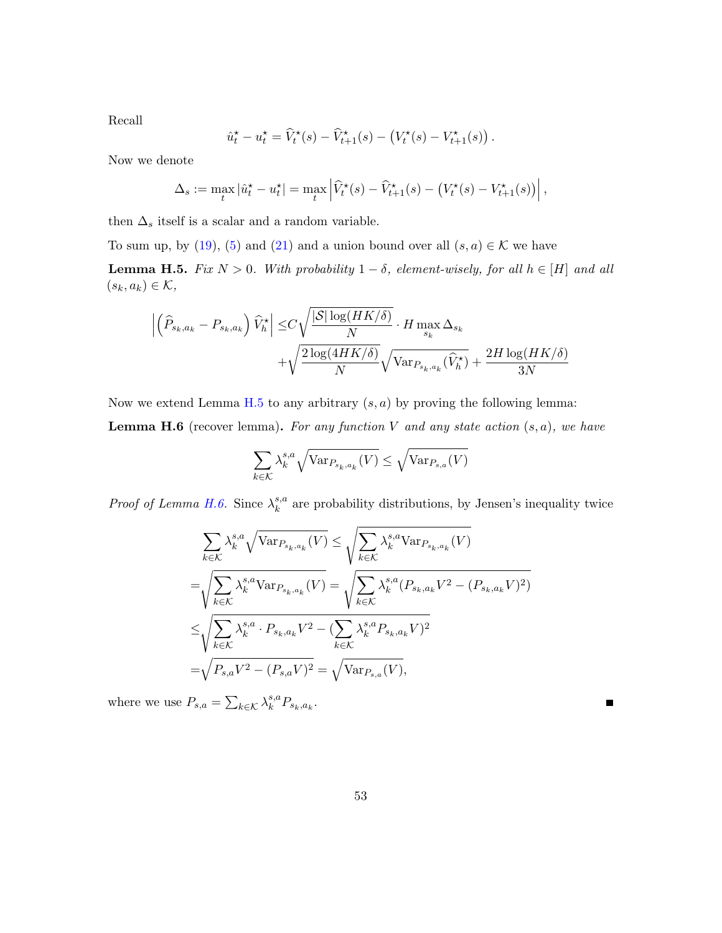Recall

$$
\hat{u}_t^\star - u_t^\star = \widehat{V}_t^\star(s) - \widehat{V}_{t+1}^\star(s) - \left(V_t^\star(s) - V_{t+1}^\star(s)\right).
$$

Now we denote

$$
\Delta_s := \max_t |\hat{u}_t^\star - u_t^\star| = \max_t \left| \widehat{V}_t^\star(s) - \widehat{V}_{t+1}^\star(s) - (V_t^\star(s) - V_{t+1}^\star(s)) \right|,
$$

then  $\Delta_s$  itself is a scalar and a random variable.

To sum up, by [\(19\)](#page-51-0), [\(5\)](#page-31-0) and [\(21\)](#page-51-1) and a union bound over all  $(s, a) \in \mathcal{K}$  we have

<span id="page-52-0"></span>**Lemma H.5.** Fix  $N > 0$ . With probability  $1 - \delta$ , element-wisely, for all  $h \in [H]$  and all  $(s_k, a_k) \in \mathcal{K}$ ,

$$
\begin{aligned} \left| \left( \widehat{P}_{s_k, a_k} - P_{s_k, a_k} \right) \widehat{V}_h^\star \right| \leq & C \sqrt{\frac{|\mathcal{S}| \log(HK/\delta)}{N}} \cdot H \max_{s_k} \Delta_{s_k} \\ + & \sqrt{\frac{2 \log(4HK/\delta)}{N}} \sqrt{\text{Var}_{P_{s_k, a_k}}(\widehat{V}_h^\star)} + \frac{2H \log(HK/\delta)}{3N} \end{aligned}
$$

Now we extend Lemma [H.5](#page-52-0) to any arbitrary  $(s, a)$  by proving the following lemma:

<span id="page-52-1"></span>**Lemma H.6** (recover lemma). For any function V and any state action  $(s, a)$ , we have

$$
\sum_{k \in \mathcal{K}} \lambda_k^{s,a} \sqrt{\text{Var}_{P_{s_k, a_k}}(V)} \le \sqrt{\text{Var}_{P_{s,a}}(V)}
$$

*Proof of Lemma [H.6.](#page-52-1)* Since  $\lambda_k^{s,a}$  $k_k^{s,a}$  are probability distributions, by Jensen's inequality twice

$$
\sum_{k \in \mathcal{K}} \lambda_k^{s,a} \sqrt{\text{Var}_{P_{s_k, a_k}}(V)} \leq \sqrt{\sum_{k \in \mathcal{K}} \lambda_k^{s,a} \text{Var}_{P_{s_k, a_k}}(V)}
$$
\n
$$
= \sqrt{\sum_{k \in \mathcal{K}} \lambda_k^{s,a} \text{Var}_{P_{s_k, a_k}}(V)} = \sqrt{\sum_{k \in \mathcal{K}} \lambda_k^{s,a} (P_{s_k, a_k} V^2 - (P_{s_k, a_k} V)^2)}
$$
\n
$$
\leq \sqrt{\sum_{k \in \mathcal{K}} \lambda_k^{s,a} \cdot P_{s_k, a_k} V^2 - (\sum_{k \in \mathcal{K}} \lambda_k^{s,a} P_{s_k, a_k} V)^2}
$$
\n
$$
= \sqrt{P_{s,a} V^2 - (P_{s,a} V)^2} = \sqrt{\text{Var}_{P_{s,a}}(V)},
$$

where we use  $P_{s,a} = \sum_{k \in \mathcal{K}} \lambda_k^{s,a}$  ${}_{k}^{s,a}P_{s_{k},a_{k}}.$ 

Е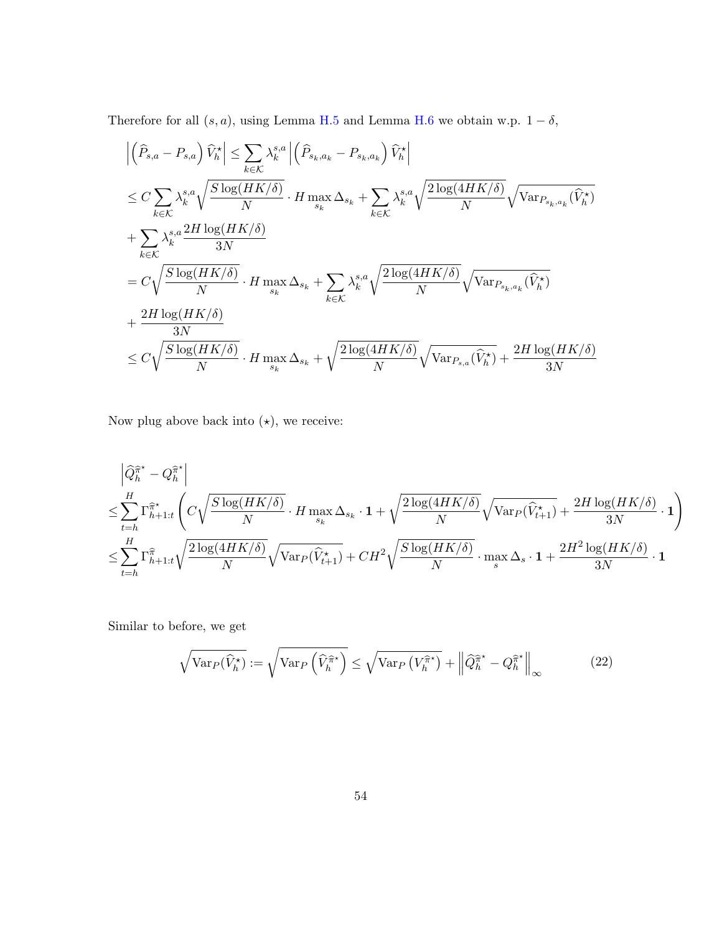Therefore for all  $(s, a)$ , using Lemma [H.5](#page-52-0) and Lemma [H.6](#page-52-1) we obtain w.p.  $1 - \delta$ ,

$$
\begin{split}\n&\left|\left(\widehat{P}_{s,a} - P_{s,a}\right)\widehat{V}_{h}^{\star}\right| \leq \sum_{k \in \mathcal{K}} \lambda_{k}^{s,a} \left|\left(\widehat{P}_{s_{k},a_{k}} - P_{s_{k},a_{k}}\right)\widehat{V}_{h}^{\star}\right| \\
&\leq C \sum_{k \in \mathcal{K}} \lambda_{k}^{s,a} \sqrt{\frac{S\log(HK/\delta)}{N}} \cdot H \max_{s_{k}} \Delta_{s_{k}} + \sum_{k \in \mathcal{K}} \lambda_{k}^{s,a} \sqrt{\frac{2\log(4HK/\delta)}{N}} \sqrt{\text{Var}_{P_{s_{k},a_{k}}}(\widehat{V}_{h}^{\star})} \\
&+ \sum_{k \in \mathcal{K}} \lambda_{k}^{s,a} \frac{2H\log(HK/\delta)}{3N} \\
&= C \sqrt{\frac{S\log(HK/\delta)}{N}} \cdot H \max_{s_{k}} \Delta_{s_{k}} + \sum_{k \in \mathcal{K}} \lambda_{k}^{s,a} \sqrt{\frac{2\log(4HK/\delta)}{N}} \sqrt{\text{Var}_{P_{s_{k},a_{k}}}(\widehat{V}_{h}^{\star})} \\
&\leq C \sqrt{\frac{S\log(HK/\delta)}{N}} \cdot H \max_{s_{k}} \Delta_{s_{k}} + \sqrt{\frac{2\log(4HK/\delta)}{N}} \sqrt{\text{Var}_{P_{s,a}}(\widehat{V}_{h}^{\star})} + \frac{2H\log(HK/\delta)}{3N}\n\end{split}
$$

Now plug above back into  $(\star),$  we receive:

$$
\begin{split} & \left| \widehat{Q}_{h}^{\widehat{\pi}^{\star}} - Q_{h}^{\widehat{\pi}^{\star}} \right| \\ & \leq \sum_{t=h}^{H} \Gamma_{h+1:t}^{\widehat{\pi}^{\star}} \left( C \sqrt{\frac{S \log(HK/\delta)}{N}} \cdot H \max_{s_{k}} \Delta_{s_{k}} \cdot \mathbf{1} + \sqrt{\frac{2 \log(4HK/\delta)}{N}} \sqrt{\text{Var}_{P}(\widehat{V}_{t+1}^{\star})} + \frac{2H \log(HK/\delta)}{3N} \cdot \mathbf{1} \right) \\ & \leq \sum_{t=h}^{H} \Gamma_{h+1:t}^{\widehat{\pi}} \sqrt{\frac{2 \log(4HK/\delta)}{N}} \sqrt{\text{Var}_{P}(\widehat{V}_{t+1}^{\star})} + CH^{2} \sqrt{\frac{S \log(HK/\delta)}{N}} \cdot \max_{s} \Delta_{s} \cdot \mathbf{1} + \frac{2H^{2} \log(HK/\delta)}{3N} \cdot \mathbf{1} \end{split}
$$

Similar to before, we get

<span id="page-53-0"></span>
$$
\sqrt{\text{Var}_P(\widehat{V}_h^\star)} := \sqrt{\text{Var}_P\left(\widehat{V}_h^{\widehat{\pi}^\star}\right)} \le \sqrt{\text{Var}_P\left(V_h^{\widehat{\pi}^\star}\right)} + \left\|\widehat{Q}_h^{\widehat{\pi}^\star} - Q_h^{\widehat{\pi}^\star}\right\|_{\infty} \tag{22}
$$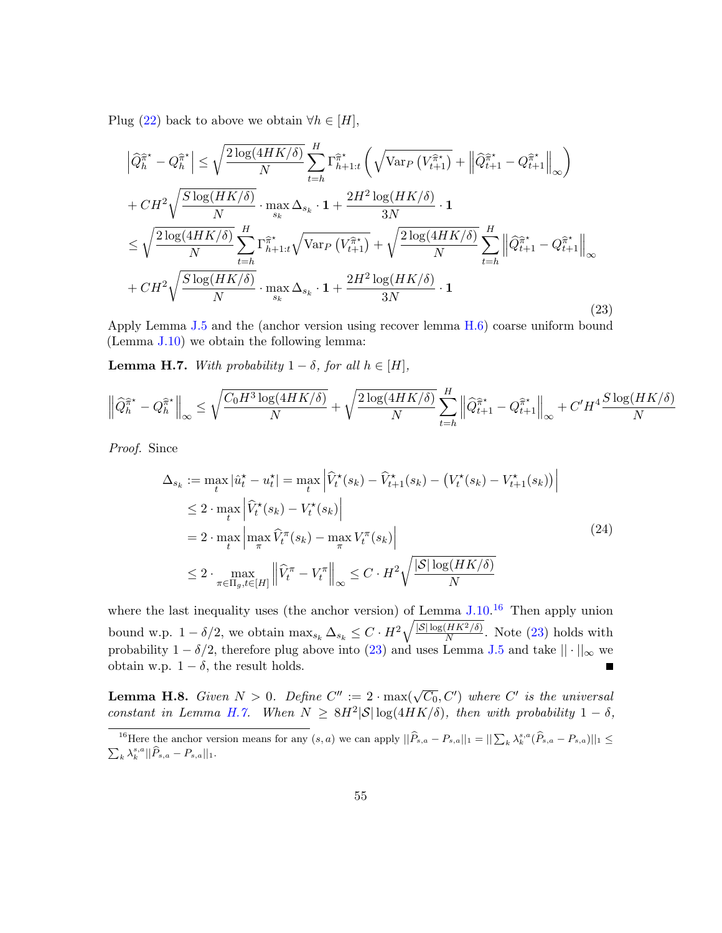Plug [\(22\)](#page-53-0) back to above we obtain  $\forall h \in [H]$ ,

<span id="page-54-1"></span>
$$
\left| \hat{Q}_{h}^{\hat{\pi}^*} - Q_{h}^{\hat{\pi}^*} \right| \leq \sqrt{\frac{2 \log(4HK/\delta)}{N}} \sum_{t=h}^{H} \Gamma_{h+1:t}^{\hat{\pi}^*} \left( \sqrt{\text{Var}_{P} \left( V_{t+1}^{\hat{\pi}^*} \right)} + \left\| \hat{Q}_{t+1}^{\hat{\pi}^*} - Q_{t+1}^{\hat{\pi}^*} \right\|_{\infty} \right)
$$
  
+  $CH^2 \sqrt{\frac{S \log(HK/\delta)}{N}} \cdot \max_{s_k} \Delta_{s_k} \cdot 1 + \frac{2H^2 \log(HK/\delta)}{3N} \cdot 1$   

$$
\leq \sqrt{\frac{2 \log(4HK/\delta)}{N}} \sum_{t=h}^{H} \Gamma_{h+1:t}^{\hat{\pi}^*} \sqrt{\text{Var}_{P} \left( V_{t+1}^{\hat{\pi}^*} \right)} + \sqrt{\frac{2 \log(4HK/\delta)}{N}} \sum_{t=h}^{H} \left\| \hat{Q}_{t+1}^{\hat{\pi}^*} - Q_{t+1}^{\hat{\pi}^*} \right\|_{\infty}
$$
  
+  $CH^2 \sqrt{\frac{S \log(HK/\delta)}{N}} \cdot \max_{s_k} \Delta_{s_k} \cdot 1 + \frac{2H^2 \log(HK/\delta)}{3N} \cdot 1$  (23)

Apply Lemma [J.5](#page-56-1) and the (anchor version using recover lemma [H.6\)](#page-52-1) coarse uniform bound (Lemma [J.10\)](#page-59-0) we obtain the following lemma:

<span id="page-54-2"></span>**Lemma H.7.** With probability  $1 - \delta$ , for all  $h \in [H]$ ,

$$
\left\| \widehat{Q}_{h}^{\widehat{\pi}^{\star}} - Q_{h}^{\widehat{\pi}^{\star}} \right\|_{\infty} \leq \sqrt{\frac{C_0 H^3 \log(4HK/\delta)}{N}} + \sqrt{\frac{2 \log(4HK/\delta)}{N}} \sum_{t=h}^{H} \left\| \widehat{Q}_{t+1}^{\widehat{\pi}^{\star}} - Q_{t+1}^{\widehat{\pi}^{\star}} \right\|_{\infty} + C'H^4 \frac{S \log(HK/\delta)}{N}
$$

Proof. Since

$$
\Delta_{s_k} := \max_t |\hat{u}_t^\star - u_t^\star| = \max_t \left| \widehat{V}_t^\star(s_k) - \widehat{V}_{t+1}^\star(s_k) - (V_t^\star(s_k) - V_{t+1}^\star(s_k)) \right|
$$
  
\n
$$
\leq 2 \cdot \max_t \left| \widehat{V}_t^\star(s_k) - V_t^\star(s_k) \right|
$$
  
\n
$$
= 2 \cdot \max_t \left| \max_{\pi} \widehat{V}_t^\pi(s_k) - \max_{\pi} V_t^\pi(s_k) \right|
$$
  
\n
$$
\leq 2 \cdot \max_{\pi \in \Pi_g, t \in [H]} \left\| \widehat{V}_t^\pi - V_t^\pi \right\|_{\infty} \leq C \cdot H^2 \sqrt{\frac{|S| \log(HK/\delta)}{N}}
$$
\n(24)

where the last inequality uses (the anchor version) of Lemma [J.10.](#page-59-0)<sup>[16](#page-54-0)</sup> Then apply union bound w.p.  $1 - \delta/2$ , we obtain  $\max_{s_k} \Delta_{s_k} \leq C \cdot H^2 \sqrt{\frac{|S| \log(HK^2/\delta)}{N}}$  $\frac{HR^{2}/0}{N}$ . Note [\(23\)](#page-54-1) holds with probability  $1 - \delta/2$ , therefore plug above into [\(23\)](#page-54-1) and uses Lemma [J.5](#page-56-1) and take  $|| \cdot ||_{\infty}$  we obtain w.p.  $1 - \delta$ , the result holds. E

**Lemma H.8.** Given  $N > 0$ . Define  $C'' := 2 \cdot \max(\sqrt{C_0}, C')$  where  $C'$  is the universal constant in Lemma [H.7.](#page-54-2) When  $N \geq 8H^2|\mathcal{S}| \log(4HK/\delta)$ , then with probability  $1-\delta$ ,

<span id="page-54-0"></span><sup>&</sup>lt;sup>16</sup>Here the anchor version means for any  $(s, a)$  we can apply  $||\widehat{P}_{s,a} - P_{s,a}||_1 = ||\sum_k \lambda_k^{s,a} (\widehat{P}_{s,a} - P_{s,a})||_1 \le$  $\sum_{k} \lambda_{k}^{s,a} ||\widehat{P}_{s,a} - P_{s,a}||_{1}.$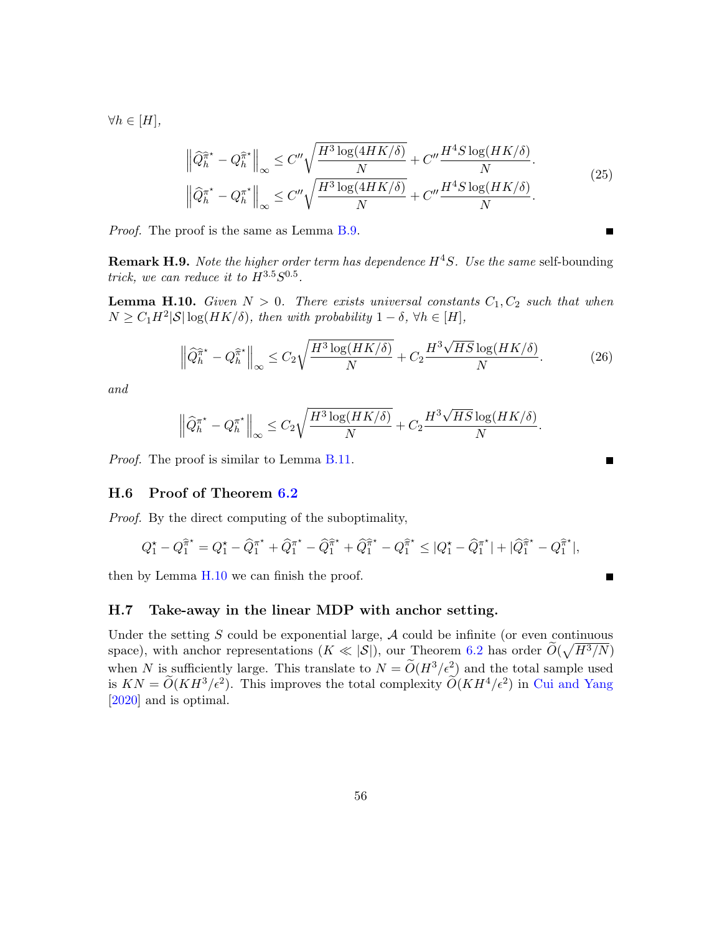$\forall h \in [H],$ 

$$
\left\| \widehat{Q}_{h}^{\widehat{\pi}^*} - Q_{h}^{\widehat{\pi}^*} \right\|_{\infty} \leq C'' \sqrt{\frac{H^3 \log(4HK/\delta)}{N}} + C'' \frac{H^4 S \log(HK/\delta)}{N}.
$$
\n
$$
\left\| \widehat{Q}_{h}^{\pi^*} - Q_{h}^{\pi^*} \right\|_{\infty} \leq C'' \sqrt{\frac{H^3 \log(4HK/\delta)}{N}} + C'' \frac{H^4 S \log(HK/\delta)}{N}.
$$
\n
$$
(25)
$$

Proof. The proof is the same as Lemma [B.9.](#page-33-1)

**Remark H.9.** Note the higher order term has dependence  $H^4S$ . Use the same self-bounding trick, we can reduce it to  $H^{3.5}S^{0.5}$ .

<span id="page-55-0"></span>**Lemma H.10.** Given  $N > 0$ . There exists universal constants  $C_1, C_2$  such that when  $N \geq C_1 H^2 |\mathcal{S}| \log(HK/\delta)$ , then with probability  $1 - \delta$ ,  $\forall h \in [H]$ ,

$$
\left\| \widehat{Q}_{h}^{\widehat{\pi}^{\star}} - Q_{h}^{\widehat{\pi}^{\star}} \right\|_{\infty} \leq C_{2} \sqrt{\frac{H^{3} \log(HK/\delta)}{N}} + C_{2} \frac{H^{3} \sqrt{HS} \log(HK/\delta)}{N}.
$$
 (26)

and

$$
\left\|\widehat{Q}_{h}^{\pi^\star} - Q_h^{\pi^\star}\right\|_\infty \leq C_2 \sqrt{\frac{H^3\log(HK/\delta)}{N}} + C_2 \frac{H^3\sqrt{HS}\log(HK/\delta)}{N}
$$

Proof. The proof is similar to Lemma [B.11.](#page-34-1)

#### H.6 Proof of Theorem [6.2](#page-14-2)

Proof. By the direct computing of the suboptimality,

$$
Q_1^{\star} - Q_1^{\hat{\pi}^{\star}} = Q_1^{\star} - \hat{Q}_1^{\pi^{\star}} + \hat{Q}_1^{\pi^{\star}} - \hat{Q}_1^{\hat{\pi}^{\star}} + \hat{Q}_1^{\hat{\pi}^{\star}} - Q_1^{\hat{\pi}^{\star}} \le |Q_1^{\star} - \hat{Q}_1^{\pi^{\star}}| + |\hat{Q}_1^{\hat{\pi}^{\star}} - Q_1^{\hat{\pi}^{\star}}|,
$$

then by Lemma [H.10](#page-55-0) we can finish the proof.

### H.7 Take-away in the linear MDP with anchor setting.

Under the setting  $S$  could be exponential large,  $A$  could be infinite (or even continuous space), with anchor representations  $(K \ll |\mathcal{S}|)$ , our Theorem [6.2](#page-14-2) has order  $\widetilde{O}(\sqrt{H^3/N})$ when N is sufficiently large. This translate to  $N = \widetilde{O}(H^3/\epsilon^2)$  and the total sample used is  $KN = \widetilde{O}(KH^3/\epsilon^2)$ . This improves the total complexity  $\widetilde{O}(KH^4/\epsilon^2)$  in [Cui and Yang](#page-16-6) [\[2020\]](#page-16-6) and is optimal.

Е

■

.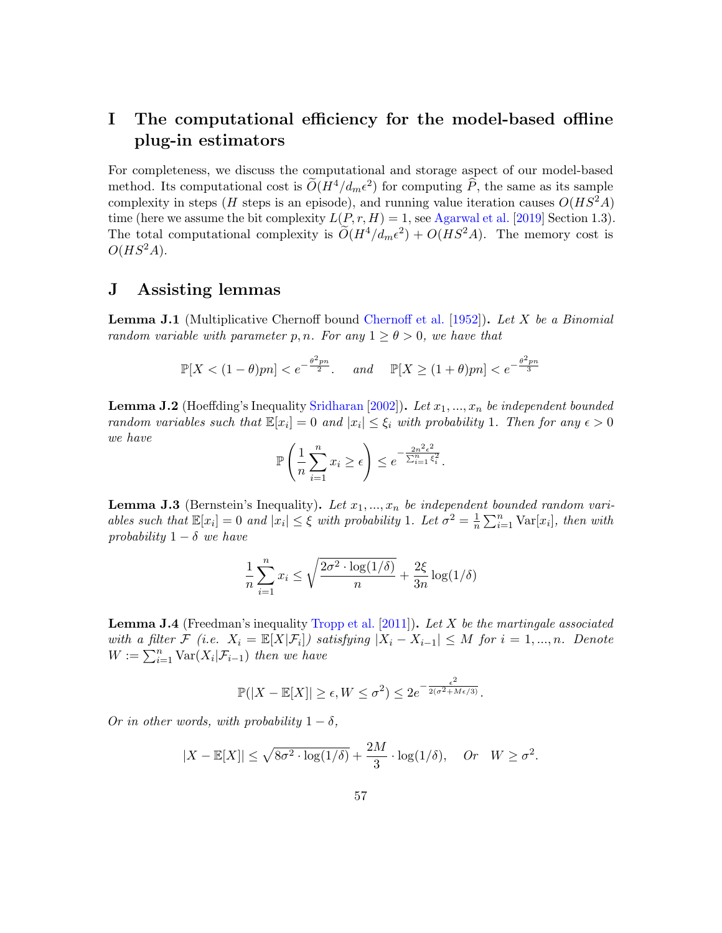## I The computational efficiency for the model-based offline plug-in estimators

For completeness, we discuss the computational and storage aspect of our model-based method. Its computational cost is  $\widetilde{O}(H^4/d_m\epsilon^2)$  for computing  $\widehat{P}$ , the same as its sample complexity in steps (H steps is an episode), and running value iteration causes  $O(HS<sup>2</sup>A)$ time (here we assume the bit complexity  $L(P, r, H) = 1$ , see [Agarwal et al.](#page-16-9) [\[2019\]](#page-16-9) Section 1.3). The total computational complexity is  $\widetilde{O}(H^4/d_m\epsilon^2) + O(HS^2A)$ . The memory cost is  $O(HS^2A).$ 

## J Assisting lemmas

<span id="page-56-2"></span>**Lemma J.1** (Multiplicative Chernoff bound [Chernoff et al.](#page-16-10) [\[1952\]](#page-16-10)). Let  $X$  be a Binomial random variable with parameter p, n. For any  $1 \ge \theta > 0$ , we have that

$$
\mathbb{P}[X < (1-\theta)pn] < e^{-\frac{\theta^2pn}{2}}. \quad \text{and} \quad \mathbb{P}[X \ge (1+\theta)pn] < e^{-\frac{\theta^2pn}{3}}
$$

**Lemma J.2** (Hoeffding's Inequality [Sridharan](#page-19-12) [\[2002\]](#page-19-12)). Let  $x_1, ..., x_n$  be independent bounded random variables such that  $\mathbb{E}[x_i] = 0$  and  $|x_i| \leq \xi_i$  with probability 1. Then for any  $\epsilon > 0$ we have

$$
\mathbb{P}\left(\frac{1}{n}\sum_{i=1}^n x_i \ge \epsilon\right) \le e^{-\frac{2n^2\epsilon^2}{\sum_{i=1}^n \xi_i^2}}.
$$

<span id="page-56-0"></span>**Lemma J.3** (Bernstein's Inequality). Let  $x_1, ..., x_n$  be independent bounded random variables such that  $\mathbb{E}[x_i] = 0$  and  $|x_i| \leq \xi$  with probability 1. Let  $\sigma^2 = \frac{1}{n}$  $\frac{1}{n} \sum_{i=1}^{n} \text{Var}[x_i]$ , then with probability  $1 - \delta$  we have

$$
\frac{1}{n}\sum_{i=1}^{n} x_i \le \sqrt{\frac{2\sigma^2 \cdot \log(1/\delta)}{n}} + \frac{2\xi}{3n} \log(1/\delta)
$$

**Lemma J.4** (Freedman's inequality [Tropp et al.](#page-19-13) [\[2011\]](#page-19-13)). Let X be the martingale associated with a filter  $\mathcal{F}$  (i.e.  $X_i = \mathbb{E}[X|\mathcal{F}_i]$ ) satisfying  $|X_i - X_{i-1}| \leq M$  for  $i = 1, ..., n$ . Denote  $W := \sum_{i=1}^n \text{Var}(X_i | \mathcal{F}_{i-1})$  then we have

$$
\mathbb{P}(|X - \mathbb{E}[X]| \ge \epsilon, W \le \sigma^2) \le 2e^{-\frac{\epsilon^2}{2(\sigma^2 + M\epsilon/3)}}.
$$

<span id="page-56-1"></span>Or in other words, with probability  $1 - \delta$ ,

$$
|X - \mathbb{E}[X]| \le \sqrt{8\sigma^2 \cdot \log(1/\delta)} + \frac{2M}{3} \cdot \log(1/\delta), \quad Or \quad W \ge \sigma^2.
$$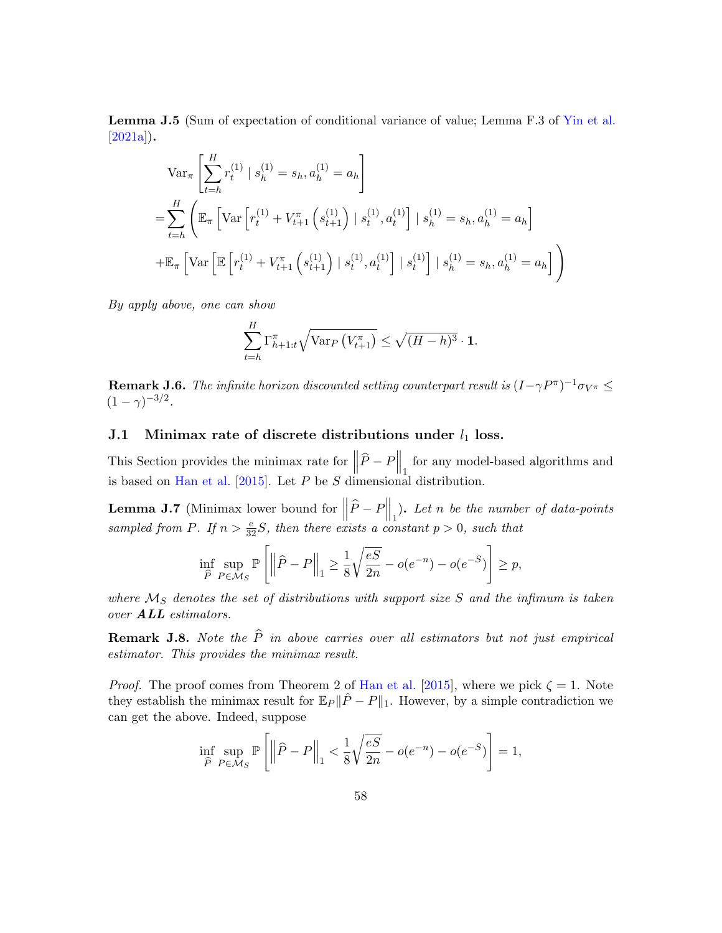Lemma J.5 (Sum of expectation of conditional variance of value; Lemma F.3 of [Yin et al.](#page-20-8)  $[2021a]$ .

$$
\operatorname{Var}_{\pi} \left[ \sum_{t=h}^{H} r_t^{(1)} \mid s_h^{(1)} = s_h, a_h^{(1)} = a_h \right]
$$
  
= 
$$
\sum_{t=h}^{H} \left( \mathbb{E}_{\pi} \left[ \operatorname{Var} \left[ r_t^{(1)} + V_{t+1}^{\pi} \left( s_{t+1}^{(1)} \right) \mid s_t^{(1)}, a_t^{(1)} \right] \mid s_h^{(1)} = s_h, a_h^{(1)} = a_h \right]
$$
  
+ 
$$
\mathbb{E}_{\pi} \left[ \operatorname{Var} \left[ \mathbb{E} \left[ r_t^{(1)} + V_{t+1}^{\pi} \left( s_{t+1}^{(1)} \right) \mid s_t^{(1)}, a_t^{(1)} \right] \mid s_t^{(1)} \right] \mid s_h^{(1)} = s_h, a_h^{(1)} = a_h \right] \right)
$$

By apply above, one can show

$$
\sum_{t=h}^{H} \Gamma_{h+1:t}^{\pi} \sqrt{\text{Var}_{P}\left(V_{t+1}^{\pi}\right)} \leq \sqrt{(H-h)^{3}} \cdot \mathbf{1}.
$$

**Remark J.6.** The infinite horizon discounted setting counterpart result is  $(I-\gamma P^{\pi})^{-1}\sigma_{V^{\pi}} \leq$  $(1 - \gamma)^{-3/2}.$ 

## J.1 Minimax rate of discrete distributions under  $l_1$  loss.

This Section provides the minimax rate for  $\left\|\widehat{P}-P\right\|_1$  for any model-based algorithms and is based on [Han et al.](#page-17-7) [\[2015\]](#page-17-7). Let  $P$  be  $S$  dimensional distribution.

<span id="page-57-0"></span>**Lemma J.7** (Minimax lower bound for  $\left\|\widehat{P} - P\right\|_1$ ). Let n be the number of data-points sampled from P. If  $n > \frac{e}{32}S$ , then there exists a constant  $p > 0$ , such that

$$
\inf_{\widehat{P}} \sup_{P \in \mathcal{M}_S} \mathbb{P}\left[ \left\| \widehat{P} - P \right\|_1 \ge \frac{1}{8} \sqrt{\frac{eS}{2n}} - o(e^{-n}) - o(e^{-S}) \right] \ge p,
$$

where  $\mathcal{M}_S$  denotes the set of distributions with support size  $S$  and the infimum is taken over ALL estimators.

**Remark J.8.** Note the  $\hat{P}$  in above carries over all estimators but not just empirical estimator. This provides the minimax result.

*Proof.* The proof comes from Theorem 2 of [Han et al.](#page-17-7) [\[2015\]](#page-17-7), where we pick  $\zeta = 1$ . Note they establish the minimax result for  $\mathbb{E}_P || \hat{P} - P ||_1$ . However, by a simple contradiction we can get the above. Indeed, suppose

$$
\inf_{\widehat{P}} \sup_{P \in \mathcal{M}_S} \mathbb{P}\left[ \left\| \widehat{P} - P \right\|_1 < \frac{1}{8} \sqrt{\frac{eS}{2n}} - o(e^{-n}) - o(e^{-S}) \right] = 1,
$$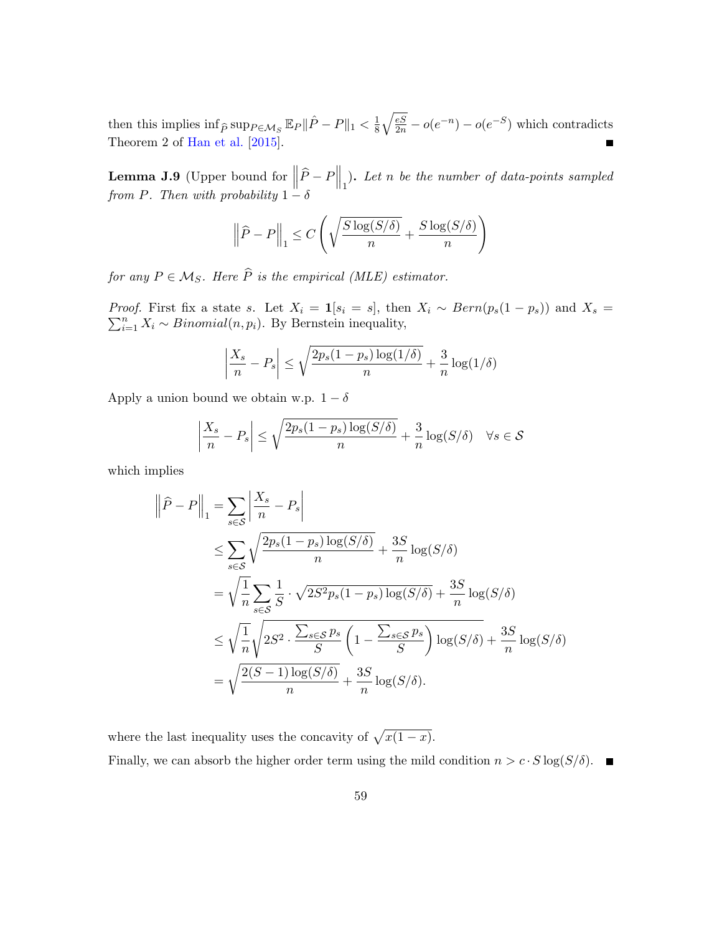$\sqrt{\frac{eS}{2n}} - o(e^{-n}) - o(e^{-S})$  which contradicts then this implies  $\inf_{\widehat{P}} \sup_{P \in \mathcal{M}_S} \mathbb{E}_P ||\widehat{P} - P||_1 < \frac{1}{8}$ 8 Theorem 2 of [Han et al.](#page-17-7) [\[2015\]](#page-17-7).  $\blacksquare$ 

<span id="page-58-0"></span>**Lemma J.9** (Upper bound for  $\left\|\widehat{P} - P\right\|_1$ ). Let n be the number of data-points sampled from P. Then with probability  $1 - \delta$ 

$$
\left\|\widehat{P} - P\right\|_1 \le C\left(\sqrt{\frac{S\log(S/\delta)}{n}} + \frac{S\log(S/\delta)}{n}\right)
$$

for any  $P \in \mathcal{M}_S$ . Here  $\widehat{P}$  is the empirical (MLE) estimator.

Proof.  $\sum$ *coof.* First fix a state s. Let  $X_i = \mathbf{1}[s_i = s]$ , then  $X_i \sim Bern(p_s(1 - p_s))$  and  $X_s = \sum_{i=1}^{n} X_i \sim Binomial(n, p_i)$ . By Bernstein inequality,

$$
\left|\frac{X_s}{n} - P_s\right| \le \sqrt{\frac{2p_s(1-p_s)\log(1/\delta)}{n}} + \frac{3}{n}\log(1/\delta)
$$

Apply a union bound we obtain w.p.  $1 - \delta$ 

$$
\left|\frac{X_s}{n} - P_s\right| \le \sqrt{\frac{2p_s(1 - p_s)\log(S/\delta)}{n}} + \frac{3}{n}\log(S/\delta) \quad \forall s \in \mathcal{S}
$$

which implies

$$
\|\widehat{P} - P\|_{1} = \sum_{s \in \mathcal{S}} \left| \frac{X_s}{n} - P_s \right|
$$
  
\n
$$
\leq \sum_{s \in \mathcal{S}} \sqrt{\frac{2p_s(1 - p_s)\log(S/\delta)}{n}} + \frac{3S}{n} \log(S/\delta)
$$
  
\n
$$
= \sqrt{\frac{1}{n} \sum_{s \in \mathcal{S}} \frac{1}{S} \cdot \sqrt{2S^2p_s(1 - p_s)\log(S/\delta)} + \frac{3S}{n} \log(S/\delta)}
$$
  
\n
$$
\leq \sqrt{\frac{1}{n} \sqrt{2S^2 \cdot \frac{\sum_{s \in \mathcal{S}} p_s}{S} \left(1 - \frac{\sum_{s \in \mathcal{S}} p_s}{S}\right) \log(S/\delta)} + \frac{3S}{n} \log(S/\delta)
$$
  
\n
$$
= \sqrt{\frac{2(S-1)\log(S/\delta)}{n} + \frac{3S}{n} \log(S/\delta)}.
$$

where the last inequality uses the concavity of  $\sqrt{x(1-x)}$ .

Finally, we can absorb the higher order term using the mild condition  $n > c \cdot S \log(S/\delta)$ .